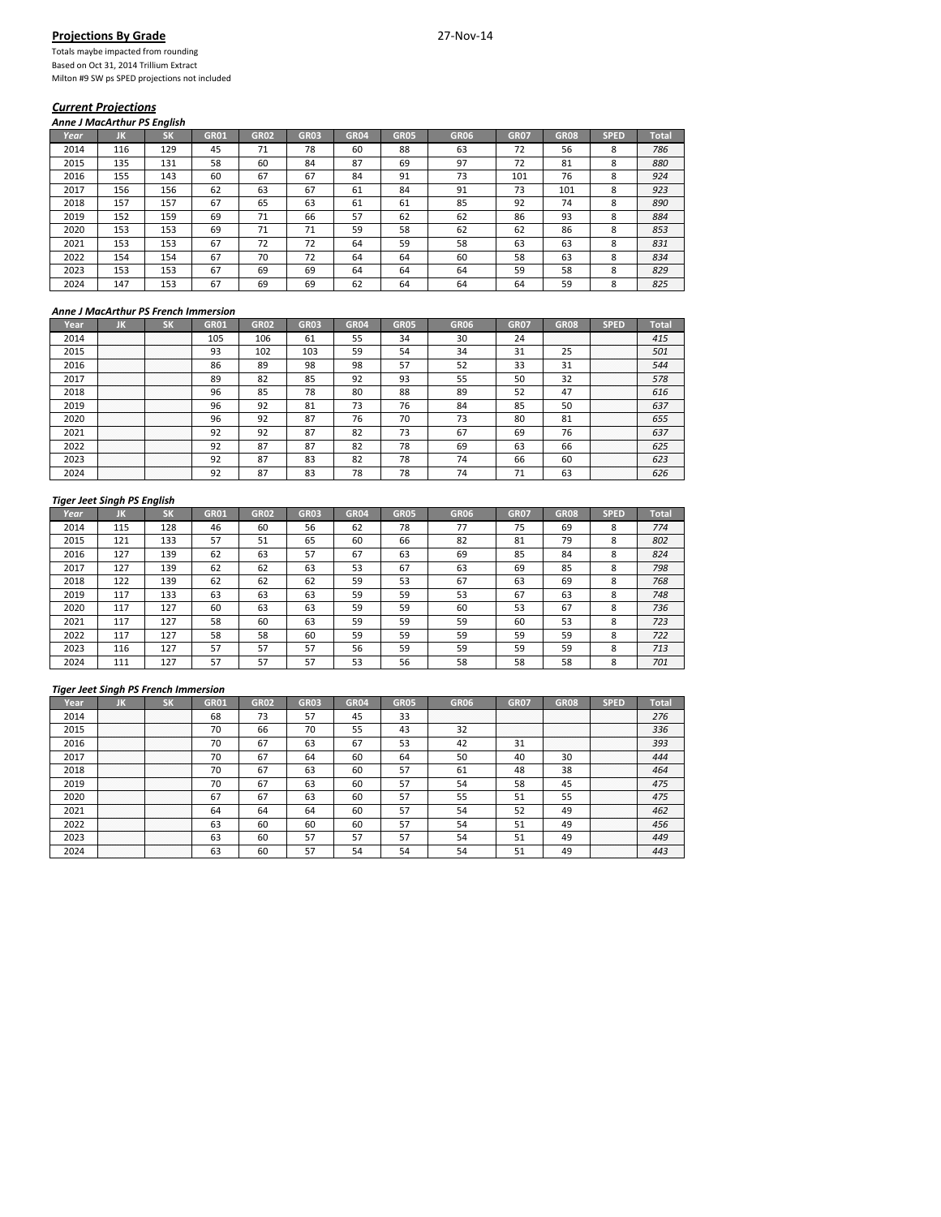## **Projections By Grade** 27‐Nov‐14

Totals maybe impacted from rounding Based on Oct 31, 2014 Trillium Extract Milton #9 SW ps SPED projections not included

## *Current Projections*

*Anne J MacArthur PS English*

| Year | ЛΚ  | <b>SK</b> | <b>GR01</b> | <b>GR02</b> | <b>GR03</b> | <b>GR04</b> | <b>GR05</b> | <b>GR06</b> | <b>GR07</b> | <b>GR08</b> | <b>SPED</b> | <b>Total</b> |
|------|-----|-----------|-------------|-------------|-------------|-------------|-------------|-------------|-------------|-------------|-------------|--------------|
| 2014 | 116 | 129       | 45          | 71          | 78          | 60          | 88          | 63          | 72          | 56          | 8           | 786          |
| 2015 | 135 | 131       | 58          | 60          | 84          | 87          | 69          | 97          | 72          | 81          | 8           | 880          |
| 2016 | 155 | 143       | 60          | 67          | 67          | 84          | 91          | 73          | 101         | 76          | 8           | 924          |
| 2017 | 156 | 156       | 62          | 63          | 67          | 61          | 84          | 91          | 73          | 101         | 8           | 923          |
| 2018 | 157 | 157       | 67          | 65          | 63          | 61          | 61          | 85          | 92          | 74          | 8           | 890          |
| 2019 | 152 | 159       | 69          | 71          | 66          | 57          | 62          | 62          | 86          | 93          | 8           | 884          |
| 2020 | 153 | 153       | 69          | 71          | 71          | 59          | 58          | 62          | 62          | 86          | 8           | 853          |
| 2021 | 153 | 153       | 67          | 72          | 72          | 64          | 59          | 58          | 63          | 63          | 8           | 831          |
| 2022 | 154 | 154       | 67          | 70          | 72          | 64          | 64          | 60          | 58          | 63          | 8           | 834          |
| 2023 | 153 | 153       | 67          | 69          | 69          | 64          | 64          | 64          | 59          | 58          | 8           | 829          |
| 2024 | 147 | 153       | 67          | 69          | 69          | 62          | 64          | 64          | 64          | 59          | 8           | 825          |

## *Anne J MacArthur PS French Immersion*

| Year |                  |             | GR01 | <b>GR02</b> | GRO3                 | GR <sub>04</sub> | GR05 | GR06 | <b>GR07</b> | GR08                 | SPED                  |     |
|------|------------------|-------------|------|-------------|----------------------|------------------|------|------|-------------|----------------------|-----------------------|-----|
| 2014 | <br>.<br>.       | .<br>.<br>. | 105  | 106         | ы                    | 55               | 34   | 30   | 24          | <br>.<br>.<br>.<br>. | .<br>.<br>.<br>.      | 415 |
| 2015 | .<br>.<br>.      | .<br>.<br>. | 93   | 102         | 103                  | 59               | 54   |      | 31          | 23                   | .<br>.<br>.<br>.<br>. | 501 |
| 2016 | .<br>.<br>.      | .<br>.<br>. | 86   | 89          | 98                   | 98               | 57   |      | 33          | 31                   | .<br>.<br>.<br>.<br>. | 544 |
| 2017 | .<br>.<br>.<br>. | .<br>.<br>. | 89   | 82          | 85                   | 92               | 93   |      | 50          | 32                   | .<br>.<br>.<br>.<br>. | 578 |
| 2018 | .                | .           | 96   | 85          | 78                   | 80               | 88   | 89   | 52          | 47                   | .<br>.<br>.<br>.      | 616 |
| 2019 | .<br>.<br>.      | .<br>.<br>. | 96   | 92          | O <sub>1</sub><br>81 | 73               | 76   | 84   | 85          | 50                   | <br>.<br>.<br>.<br>.  | 637 |
| 2020 | .<br>.<br>.      | .<br>.<br>. | 96   | 92          | O <sub>T</sub><br>δ. | 76               | 70   | כ ו  | 80          | 01<br>81             | .<br>.<br>.<br>.<br>. | 655 |
| 2021 | <br>.<br>.<br>.  | .<br>.<br>. | 92   | 92          | ິ<br>Õ.              | 82               | 73   | 6    | 69          |                      | .<br>.<br>.<br>.<br>. | 637 |
| 2022 | .                | .           | 92   | 87          | o-<br>δ.             | 82               | 78   | 69   | 63          | bh                   | .<br>.<br>.<br>.<br>. | 625 |
| 2023 | .                | .           | 92   | ິີ<br>δ.    | oπ<br>85             | 82               | 78   | 74   | 66          | 60                   | .<br>.<br>.<br>.<br>. | 623 |
|      | .<br>.           | .<br>.      | 92   |             |                      | 78               | 78   |      |             | 63                   | .<br>.<br>.<br>.<br>. |     |

## *Tiger Jeet Singh PS English*

| Year | ж   | <b>SK</b> | <b>GR01</b> | <b>GR02</b> | <b>GR03</b> | <b>GR04</b> | <b>GR05</b> | <b>GR06</b> | <b>GR07</b> | GR <sub>08</sub> | <b>SPED</b> | <b>Total</b> |
|------|-----|-----------|-------------|-------------|-------------|-------------|-------------|-------------|-------------|------------------|-------------|--------------|
| 2014 | 115 | 128       | 46          | 60          | 56          | 62          | 78          | 77          | 75          | 69               | 8           | 774          |
| 2015 | 121 | 133       | 57          | 51          | 65          | 60          | 66          | 82          | 81          | 79               | 8           | 802          |
| 2016 | 127 | 139       | 62          | 63          | 57          | 67          | 63          | 69          | 85          | 84               | 8           | 824          |
| 2017 | 127 | 139       | 62          | 62          | 63          | 53          | 67          | 63          | 69          | 85               | 8           | 798          |
| 2018 | 122 | 139       | 62          | 62          | 62          | 59          | 53          | 67          | 63          | 69               | 8           | 768          |
| 2019 | 117 | 133       | 63          | 63          | 63          | 59          | 59          | 53          | 67          | 63               | 8           | 748          |
| 2020 | 117 | 127       | 60          | 63          | 63          | 59          | 59          | 60          | 53          | 67               | 8           | 736          |
| 2021 | 117 | 127       | 58          | 60          | 63          | 59          | 59          | 59          | 60          | 53               | 8           | 723          |
| 2022 | 117 | 127       | 58          | 58          | 60          | 59          | 59          | 59          | 59          | 59               | 8           | 722          |
| 2023 | 116 | 127       | 57          | 57          | 57          | 56          | 59          | 59          | 59          | 59               | 8           | 713          |
| 2024 | 111 | 127       | 57          | 57          | 57          | 53          | 56          | 58          | 58          | 58               | 8           | 701          |

#### *Tiger Jeet Singh PS French Immersion*

| rear) |                       | * 1 N                 | GR01 | GR02 | GR03 |     | GR <sub>05</sub> | GR <sub>06</sub> | GRO7        | GR08                  |                       |     |
|-------|-----------------------|-----------------------|------|------|------|-----|------------------|------------------|-------------|-----------------------|-----------------------|-----|
| 2014  | <br>.<br>.<br>.       | .<br>.<br>.<br>.<br>. | 68   |      |      | 45  | 33               |                  |             | .<br>.                | .<br>.                | 276 |
| 2015  | .<br>.<br>.<br>.<br>. | .<br>.<br>.<br>.<br>. | 70   | 66   | 70   | 55  | 43               |                  | .<br>.<br>. | .<br>.<br>.           | .<br>.<br>.<br>.<br>. | 336 |
| 2016  | .<br>.<br>.<br>.<br>. | .<br>.<br>.<br>.<br>. | 70   | 67   | 63   | 67  | 53               |                  |             | .<br>.<br>.<br>.<br>. | .<br>.<br>.<br>.<br>. | 393 |
|       | .<br>.<br>.<br>.<br>. | .<br>.<br>.<br>.<br>. | 70   | 67   | 64   | 60  | 64               | 50               | 40          | 30                    | .<br>.<br>.<br>.<br>. |     |
| 2018  | .<br>.<br>.<br>.<br>. | .<br>.<br>.<br>.<br>. | 70   | 67   | 63   | 60  | 57               |                  | 48          | 38                    | .<br>.<br>.<br>.<br>. | 464 |
| 2019  | .<br>.<br>.<br>.<br>. | <br>.<br>.<br>.<br>.  | 70   | 67   | 63   | 60  |                  |                  | 58          |                       | <br>.<br>.<br>.<br>.  | 475 |
| 2020  | <br>.<br>.<br>.       | .<br>.<br>.<br>.<br>. | -67  |      | b≾   | 60  |                  |                  | 51          | 55                    | .<br>.<br>.<br>.<br>. | 475 |
| 202:  | .<br>.<br>.<br>.<br>. | .<br>.<br>.<br>.<br>. | 64   | 64   |      | -60 | 57               |                  | 52          | 49                    | .<br>.<br>.<br>.<br>. | 462 |
| 2022  | .<br>.<br>.<br>.<br>. | .<br>.<br>.<br>.<br>. | 63   | 60   | -60  | 60  | 57               |                  |             | 49                    | .<br>.<br>.<br>.<br>. | 456 |
|       | .<br>.<br>.<br>.<br>. | .<br>.<br>.<br>.<br>. | 63   | 60   |      | 57  | 57               |                  |             | 49                    | .<br>.<br>.<br>.<br>. | 449 |
|       | .<br>.<br>.           | .<br>.<br>.           | 63   | 60   |      |     |                  |                  |             |                       | .<br>.<br>.<br>.<br>. |     |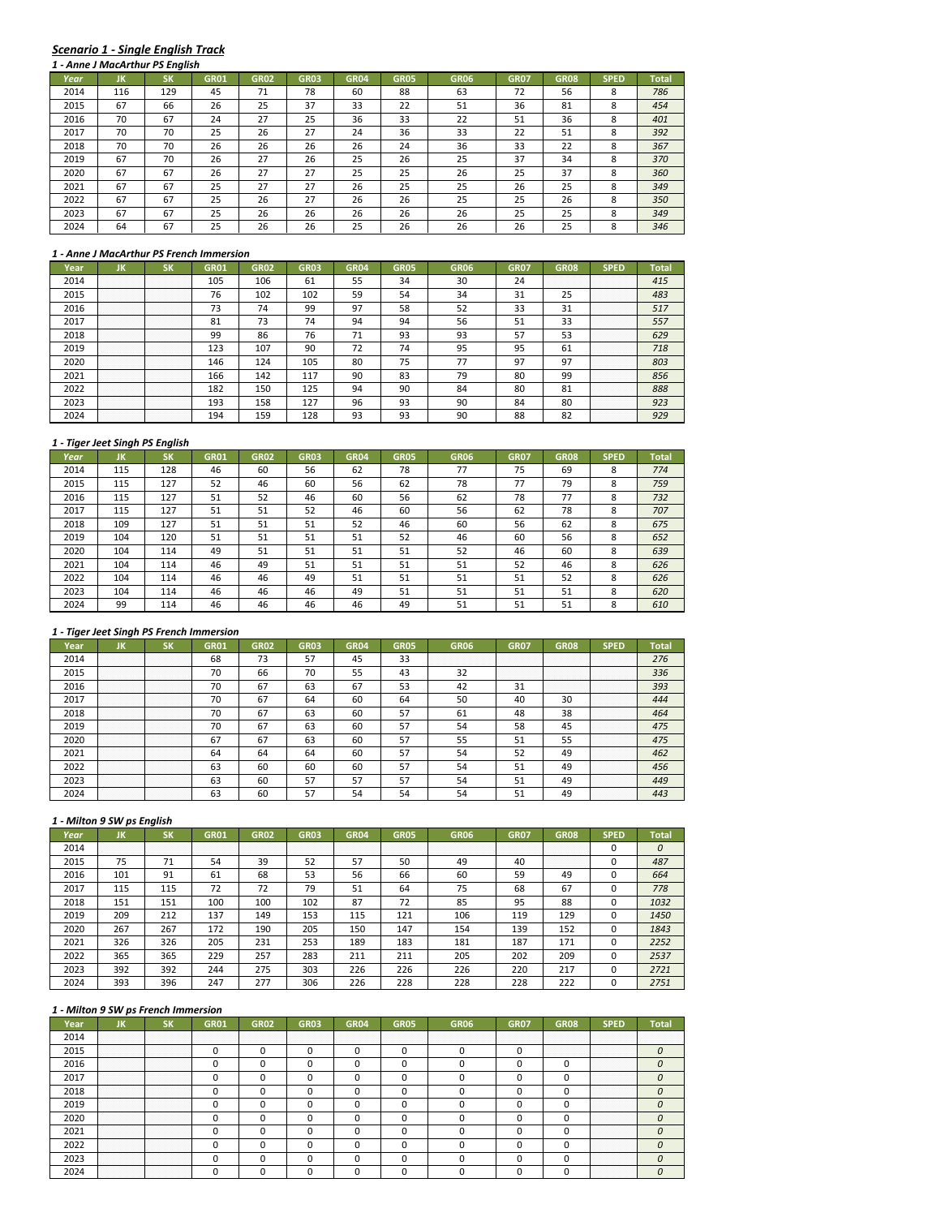# *Scenario 1 ‐ Single English Track*

|      | 1 - Anne J MacArthur PS English |     |             |             |             |             |             |             |             |             |             |              |  |  |
|------|---------------------------------|-----|-------------|-------------|-------------|-------------|-------------|-------------|-------------|-------------|-------------|--------------|--|--|
| Year | ЛΚ                              | SK  | <b>GR01</b> | <b>GR02</b> | <b>GR03</b> | <b>GR04</b> | <b>GR05</b> | <b>GR06</b> | <b>GR07</b> | <b>GR08</b> | <b>SPED</b> | <b>Total</b> |  |  |
| 2014 | 116                             | 129 | 45          | 71          | 78          | 60          | 88          | 63          | 72          | 56          | 8           | 786          |  |  |
| 2015 | 67                              | 66  | 26          | 25          | 37          | 33          | 22          | 51          | 36          | 81          | 8           | 454          |  |  |
| 2016 | 70                              | 67  | 24          | 27          | 25          | 36          | 33          | 22          | 51          | 36          | 8           | 401          |  |  |
| 2017 | 70                              | 70  | 25          | 26          | 27          | 24          | 36          | 33          | 22          | 51          | 8           | 392          |  |  |
| 2018 | 70                              | 70  | 26          | 26          | 26          | 26          | 24          | 36          | 33          | 22          | 8           | 367          |  |  |
| 2019 | 67                              | 70  | 26          | 27          | 26          | 25          | 26          | 25          | 37          | 34          | 8           | 370          |  |  |
| 2020 | 67                              | 67  | 26          | 27          | 27          | 25          | 25          | 26          | 25          | 37          | 8           | 360          |  |  |
| 2021 | 67                              | 67  | 25          | 27          | 27          | 26          | 25          | 25          | 26          | 25          | 8           | 349          |  |  |
| 2022 | 67                              | 67  | 25          | 26          | 27          | 26          | 26          | 25          | 25          | 26          | 8           | 350          |  |  |
| 2023 | 67                              | 67  | 25          | 26          | 26          | 26          | 26          | 26          | 25          | 25          | 8           | 349          |  |  |
| 2024 | 64                              | 67  | 25          | 26          | 26          | 25          | 26          | 26          | 26          | 25          | 8           | 346          |  |  |

#### *1 ‐ Anne J MacArthur PS French Immersion*

| Year | חנ                         | - 12                      | GR01 | GR <sub>02</sub> | GR03 | GR04 | GR05             | GR06 | GR07 | GR08        | SPED                      | Total |
|------|----------------------------|---------------------------|------|------------------|------|------|------------------|------|------|-------------|---------------------------|-------|
| 2014 | .<br>.<br>.                | .<br>.<br>.               | 105  | 106              | 61   | 55   | 34               | 30   | 24   | .<br>.<br>. | .<br>.<br>.               | 415   |
| 2015 | .<br>.<br>.<br>.<br>.      | .<br>.<br>.<br>.<br>.     | 76   | 102              | 102  | 59   | 54               | 34   | 31   | n r<br>25   | .<br>.<br>.<br>.<br>.     | 483   |
| 2016 | .<br>.<br>.<br>.<br>.      | .<br>.<br>.<br>.<br>.     | 73   | 74               | 99   | 97   | 58               | г٦   | 33   | 31          | .<br>.<br>.<br>.<br>.     | 517   |
| 2017 | .<br>.<br>.<br>.<br>.      | .<br>.<br>.<br>.<br>.     | 81   | 73               | 74   | 94   | 94               | 56   | 51   | 33          | .<br>.<br>.<br>.<br>.     | 557   |
| 2018 | .<br>.<br>.<br>.<br>.      | .<br>.<br>.<br>.<br>.     | 99   | 86               | 76   |      | 93               | 93   | 57   | 53          | .<br>.<br>.<br>.<br>.     | 629   |
| 2019 | .<br>.<br>.<br>.<br>.      | .<br>.<br>.<br>.          | 123  | 107              | 90   |      | 74               | 95   | 95   | 61          | .<br>.<br>.<br>.<br>.     | 718   |
| 2020 | .<br>.<br>.<br>.<br>.<br>. | <br>.<br>.<br>.<br>.<br>. | 146  | 124              | 105  | 80   | フロ<br>$\sqrt{2}$ |      | 97   | 97          | <br>.<br>.<br>.<br>.<br>. | 803   |
| 2021 | .<br>.<br>.<br>.<br>.      | <br>.<br>.<br>.<br>.      | 166  | 142              |      | 90   | 83               | 79   | 80   | 99          | <br>.<br>.<br>.<br>.      | 856   |
| 2022 | .<br>.<br>.<br>.<br>.      | .<br>.<br>.<br>.<br>.     | 182  | 150              | 125  | 94   | 90               | 84   | 80   | 01<br>Õ.    | .<br>.<br>.<br>.<br>.     | 888   |
| 2023 | .<br>.<br>.<br>.<br>.      | .<br>.<br>.<br>.<br>.     | 193  | 158              |      | 96   | 93               | 90   | 84   | 80          | .<br>.<br>.<br>.<br>.     | 923   |
|      | .<br>.<br>.<br>.<br>.      | .<br>.<br>.<br>.<br>.     | 194  | 159              |      | ۵î   | 93               |      | 88   | ິດ          | .<br>.<br>.<br>.<br>.     |       |

#### *1 ‐ Tiger Jeet Singh PS English*

|      | 1 - Tiger Jeet Singh PS English |           |             |             |             |             |             |             |             |             |             |              |
|------|---------------------------------|-----------|-------------|-------------|-------------|-------------|-------------|-------------|-------------|-------------|-------------|--------------|
| Year | JK                              | <b>SK</b> | <b>GR01</b> | <b>GR02</b> | <b>GR03</b> | <b>GR04</b> | <b>GR05</b> | <b>GR06</b> | <b>GR07</b> | <b>GR08</b> | <b>SPED</b> | <b>Total</b> |
| 2014 | 115                             | 128       | 46          | 60          | 56          | 62          | 78          | 77          | 75          | 69          | 8           | 774          |
| 2015 | 115                             | 127       | 52          | 46          | 60          | 56          | 62          | 78          | 77          | 79          | 8           | 759          |
| 2016 | 115                             | 127       | 51          | 52          | 46          | 60          | 56          | 62          | 78          | 77          | 8           | 732          |
| 2017 | 115                             | 127       | 51          | 51          | 52          | 46          | 60          | 56          | 62          | 78          | 8           | 707          |
| 2018 | 109                             | 127       | 51          | 51          | 51          | 52          | 46          | 60          | 56          | 62          | 8           | 675          |
| 2019 | 104                             | 120       | 51          | 51          | 51          | 51          | 52          | 46          | 60          | 56          | 8           | 652          |
| 2020 | 104                             | 114       | 49          | 51          | 51          | 51          | 51          | 52          | 46          | 60          | 8           | 639          |
| 2021 | 104                             | 114       | 46          | 49          | 51          | 51          | 51          | 51          | 52          | 46          | 8           | 626          |
| 2022 | 104                             | 114       | 46          | 46          | 49          | 51          | 51          | 51          | 51          | 52          | 8           | 626          |
| 2023 | 104                             | 114       | 46          | 46          | 46          | 49          | 51          | 51          | 51          | 51          | 8           | 620          |
| 2024 | 99                              | 114       | 46          | 46          | 46          | 46          | 49          | 51          | 51          | 51          | 8           | 610          |

## *1 ‐ Tiger Jeet Singh PS French Immersion*

|      | חנ                    |                                                                                                                                | GR01 | GR02 | GRO3 |     | GR05 | GR06 | GR07                  | GR08                  | SPED                      |     |
|------|-----------------------|--------------------------------------------------------------------------------------------------------------------------------|------|------|------|-----|------|------|-----------------------|-----------------------|---------------------------|-----|
| 2014 | .                     | .                                                                                                                              | 68   | 73   |      | 45  | 33   |      | .<br>.<br>.<br>.      | .<br>.<br>.<br>.      | .<br>.<br>.<br>.          | 276 |
| 2015 | .<br>.<br>.<br>.<br>. | .<br>.<br>.<br>.                                                                                                               | 70   | 66   | 70   | 55  | 43   | 32   | .<br>.<br>.<br>.<br>. | .<br>.<br>.<br>.<br>. | .<br>.<br>.<br>.<br>.     | 336 |
| 2016 | <br>.<br>.<br>.       | <br>.<br>.<br>.                                                                                                                | 70   | ь.   | 63   | 67  | 53   |      | 31                    | <br>.<br>.<br>.<br>.  | .<br>.<br>.<br>.<br>.     | 393 |
| 2017 | .                     | .                                                                                                                              | 70   | 6.   | 64   | 60  | 64   | 50   | 40                    | 30                    | .<br>.<br>.<br>.<br>.     | 444 |
| 2018 | .<br>.<br>.           | .<br>.<br>.                                                                                                                    | 70   | 67   | 63   | 60  | 57   | 61   | 48                    | 38                    | .<br>.<br>.<br>.<br>.     | 464 |
| 2019 | .<br>.<br>.           | .<br>.<br>.<br>the contract of the contract of the contract of the contract of the contract of the contract of the contract of | 70   | 67   | 63   | 60  | 57   |      | 58                    | 45                    | .<br>.<br>.<br>.<br>.     |     |
| 2020 | <br>.<br>.<br>.       | .<br>.<br>.                                                                                                                    | 67   | 67   | 63   | -60 | 57   |      | 51                    | 55                    | <br>.<br>.<br>.<br>.<br>. |     |
| 2021 | <br>.<br>.<br>.       | .<br>.<br>.                                                                                                                    | 64   | 64   | 64   | 60  | 57   |      | 52                    | 4 <sup>c</sup>        | .<br>.<br>.<br>.<br>.     | 462 |
| 2022 | .<br>.                | .<br>.                                                                                                                         | 63   | 60   | 60   | 60  | 57   |      | 51                    | 4 <sup>c</sup>        | .<br>.<br>.<br>.<br>.     | 456 |
| 2023 | .<br>.<br>.<br>.      | .<br>.<br>.<br>.                                                                                                               | 63   | 60   |      |     | 57   |      | 51                    | 49                    | .<br>.<br>.<br>.<br>.     | 449 |
|      | .<br>.<br>.<br>.      | .<br>.<br>.<br>.                                                                                                               |      |      |      |     |      |      |                       |                       | .<br>.<br>.<br>.<br>.     |     |

# *1 ‐ Milton 9 SW ps English*

| Year | JK          | SΚ          | <b>GR01</b>      | <b>GR02</b>      | <b>GR03</b> | <b>GR04</b> | <b>GR05</b> | <b>GR06</b> | <b>GR07</b> | <b>GR08</b>           | <b>SPED</b> | Total |
|------|-------------|-------------|------------------|------------------|-------------|-------------|-------------|-------------|-------------|-----------------------|-------------|-------|
| 2014 | .<br>.<br>. | .<br>.<br>. | .<br>.<br>.<br>. | .<br>.<br>.<br>. | .           | .           | .<br>.      |             | .<br>.      | .<br>.                |             | 0     |
| 2015 | 75          | 71          | 54               | 39               | 52          | 57          | 50          | 49          | 40          | .<br>.<br>.<br>.<br>. |             | 487   |
| 2016 | 101         | 91          | 61               | 68               | 53          | 56          | 66          | 60          | 59          | 49                    |             | 664   |
| 2017 | 115         | 115         | 72               | 72               | 79          | 51          | 64          | 75          | 68          | 67                    |             | 778   |
| 2018 | 151         | 151         | 100              | 100              | 102         | 87          | 72          | 85          | 95          | 88                    |             | 1032  |
| 2019 | 209         | 212         | 137              | 149              | 153         | 115         | 121         | 106         | 119         | 129                   |             | 1450  |
| 2020 | 267         | 267         | 172              | 190              | 205         | 150         | 147         | 154         | 139         | 152                   |             | 1843  |
| 2021 | 326         | 326         | 205              | 231              | 253         | 189         | 183         | 181         | 187         | 171                   |             | 2252  |
| 2022 | 365         | 365         | 229              | 257              | 283         | 211         | 211         | 205         | 202         | 209                   |             | 2537  |
| 2023 | 392         | 392         | 244              | 275              | 303         | 226         | 226         | 226         | 220         | 217                   |             | 2721  |
| 2024 | 393         | 396         | 247              | 277              | 306         | 226         | 228         | 228         | 228         | 222                   |             | 2751  |

| 2014 |                  |                                                                                                                          |  |  |  |   | .<br>.                | .<br>. |
|------|------------------|--------------------------------------------------------------------------------------------------------------------------|--|--|--|---|-----------------------|--------|
|      |                  |                                                                                                                          |  |  |  | . | .                     |        |
| 2016 |                  |                                                                                                                          |  |  |  |   | .<br>.<br>.<br>.<br>. |        |
|      | .<br>.           | .<br>.                                                                                                                   |  |  |  |   | .<br>.<br>.<br>.<br>. |        |
|      |                  |                                                                                                                          |  |  |  |   | .<br>.<br>.<br>.<br>. |        |
| 2019 |                  |                                                                                                                          |  |  |  |   | .<br>.<br>.<br>.<br>. |        |
| 2020 | .                | <br>.<br>the contract of the contract of the contract of the contract of the contract of the contract of the contract of |  |  |  |   | <br>.<br>.<br>.<br>.  |        |
|      | .<br>.<br>.<br>. | .<br>.<br>.<br>.                                                                                                         |  |  |  |   | <br>.<br>.<br>.<br>.  |        |
|      | .                | .                                                                                                                        |  |  |  |   | .<br>.<br>.<br>.<br>. |        |
|      | .<br>.           | .<br>.                                                                                                                   |  |  |  |   | .<br>.<br>.<br>.<br>. |        |
|      |                  |                                                                                                                          |  |  |  |   | .<br>.<br>.<br>.<br>. |        |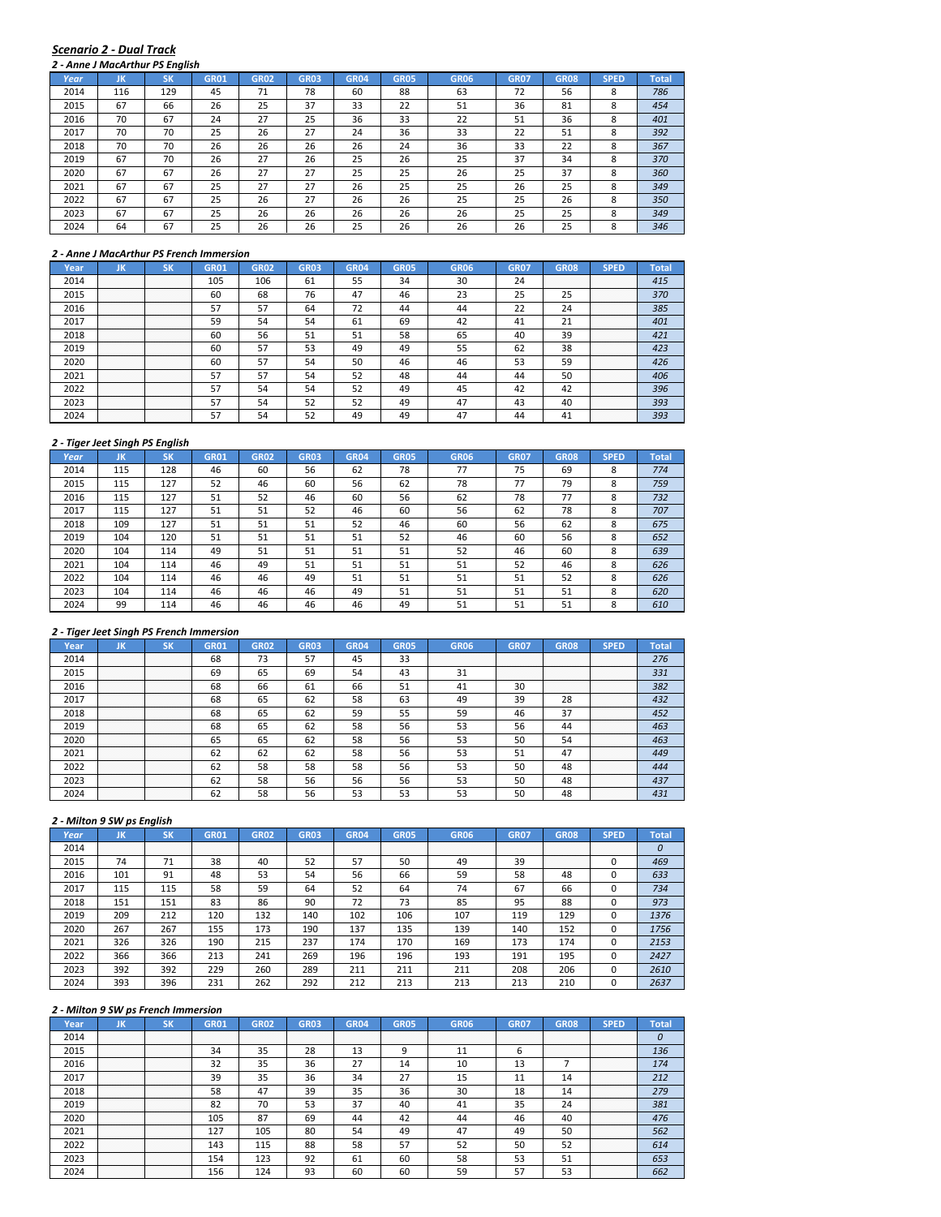#### *Scenario 2 ‐ Dual Track*

|      |     | 2 - Anne J MacArthur PS Enalish |             |             |             |             |             |             |             |             |             |              |
|------|-----|---------------------------------|-------------|-------------|-------------|-------------|-------------|-------------|-------------|-------------|-------------|--------------|
| Year | JK  | <b>SK</b>                       | <b>GR01</b> | <b>GR02</b> | <b>GR03</b> | <b>GR04</b> | <b>GR05</b> | <b>GR06</b> | <b>GR07</b> | <b>GR08</b> | <b>SPED</b> | <b>Total</b> |
| 2014 | 116 | 129                             | 45          | 71          | 78          | 60          | 88          | 63          | 72          | 56          | 8           | 786          |
| 2015 | 67  | 66                              | 26          | 25          | 37          | 33          | 22          | 51          | 36          | 81          | 8           | 454          |
| 2016 | 70  | 67                              | 24          | 27          | 25          | 36          | 33          | 22          | 51          | 36          | 8           | 401          |
| 2017 | 70  | 70                              | 25          | 26          | 27          | 24          | 36          | 33          | 22          | 51          | 8           | 392          |
| 2018 | 70  | 70                              | 26          | 26          | 26          | 26          | 24          | 36          | 33          | 22          | 8           | 367          |
| 2019 | 67  | 70                              | 26          | 27          | 26          | 25          | 26          | 25          | 37          | 34          | 8           | 370          |
| 2020 | 67  | 67                              | 26          | 27          | 27          | 25          | 25          | 26          | 25          | 37          | 8           | 360          |
| 2021 | 67  | 67                              | 25          | 27          | 27          | 26          | 25          | 25          | 26          | 25          | 8           | 349          |
| 2022 | 67  | 67                              | 25          | 26          | 27          | 26          | 26          | 25          | 25          | 26          | 8           | 350          |
| 2023 | 67  | 67                              | 25          | 26          | 26          | 26          | 26          | 26          | 25          | 25          | 8           | 349          |
| 2024 | 64  | 67                              | 25          | 26          | 26          | 25          | 26          | 26          | 26          | 25          | 8           | 346          |

#### *2 ‐ Anne J MacArthur PS French Immersion*

| Year | ш                     | ым                    | GR01 | <b>GR02</b> | GR03 | GR04 | GR05 | <b>GR06</b> | <b>GR07</b> | GR08             | SPED                  | Total |
|------|-----------------------|-----------------------|------|-------------|------|------|------|-------------|-------------|------------------|-----------------------|-------|
| 2014 | .<br>.<br>.<br>.      | .<br>.<br>.<br>.      | 105  | 106         | 61   | 55   | 34   | 30          | 24          | .<br>.<br>.<br>. | .<br>.<br>.<br>.      | 415   |
| 2015 | .<br>.<br>.<br>.      | .<br>.<br>.<br>.      | 60   | 68          | 76   | 47   | 46   | 23          | כא          | n m              | .<br>.<br>.<br>.<br>. | 370   |
| 2016 | .<br>.<br>.<br>.<br>. | .<br>.<br>.<br>.<br>. | 57   | 57          | 64   |      | 44   |             |             | 24               | .<br>.<br>.<br>.<br>. | 385   |
| 2017 | .<br>.<br>.<br>.<br>. | .<br>.<br>.<br>.<br>. | 59   | 54          | 54   | -61  | 69   |             | 41          |                  | .<br>.<br>.<br>.<br>. | 401   |
| 2018 | .<br>.<br>.<br>.<br>. | .<br>.<br>.<br>.<br>. | 60   | 56          | 51   | 51   | 58   | 65          | 40          | 39               | .<br>.<br>.<br>.<br>. |       |
| 2019 | .<br>.<br>.           | .<br>.<br>.           | 60   | 57          | 53   | 49   | 49   | 55          | 62          | 38               | .<br>.<br>.<br>.      |       |
| 2020 | <br>.<br>.<br>.<br>.  | <br>.<br>.<br>.<br>.  | 60   | 57          | 54   | 50   | 46   |             | 53          | 59               | <br>.<br>.<br>.<br>.  | 426   |
| 2021 | <br>.<br>.<br>.<br>.  | <br>.<br>.<br>.<br>.  | 57   | 57          | 54   | 52   | 48   |             | 44          | 50               | .<br>.<br>.<br>.<br>. | 406   |
| 2022 | .<br>.<br>.<br>.      | .<br>.<br>.<br>.      | 57   | 54          | 54   | 52   | 49   |             | 42          |                  | .<br>.<br>.<br>.<br>. | 396   |
| 2023 | .<br>.<br>.<br>.<br>. | .<br>.<br>.<br>.<br>. | 57   | 54          | 52   | 52   | 49   |             | 43          |                  | .<br>.<br>.<br>.<br>. | 393   |
|      | .<br>.<br>.           | .<br>.<br>.           |      |             |      | 49   | 49   |             |             | 41               | .<br>.<br>.<br>.<br>. | 393   |

#### *2 ‐ Tiger Jeet Singh PS English*

| Year | JK  | <b>SK</b> | <b>GR01</b> | <b>GR02</b> | <b>GR03</b> | <b>GR04</b> | <b>GR05</b> | <b>GR06</b> | <b>GR07</b> | <b>GR08</b> | <b>SPED</b> | <b>Total</b> |
|------|-----|-----------|-------------|-------------|-------------|-------------|-------------|-------------|-------------|-------------|-------------|--------------|
| 2014 | 115 | 128       | 46          | 60          | 56          | 62          | 78          | 77          | 75          | 69          | 8           | 774          |
| 2015 | 115 | 127       | 52          | 46          | 60          | 56          | 62          | 78          | 77          | 79          | 8           | 759          |
| 2016 | 115 | 127       | 51          | 52          | 46          | 60          | 56          | 62          | 78          | 77          | 8           | 732          |
| 2017 | 115 | 127       | 51          | 51          | 52          | 46          | 60          | 56          | 62          | 78          | 8           | 707          |
| 2018 | 109 | 127       | 51          | 51          | 51          | 52          | 46          | 60          | 56          | 62          | 8           | 675          |
| 2019 | 104 | 120       | 51          | 51          | 51          | 51          | 52          | 46          | 60          | 56          | 8           | 652          |
| 2020 | 104 | 114       | 49          | 51          | 51          | 51          | 51          | 52          | 46          | 60          | 8           | 639          |
| 2021 | 104 | 114       | 46          | 49          | 51          | 51          | 51          | 51          | 52          | 46          | 8           | 626          |
| 2022 | 104 | 114       | 46          | 46          | 49          | 51          | 51          | 51          | 51          | 52          | 8           | 626          |
| 2023 | 104 | 114       | 46          | 46          | 46          | 49          | 51          | 51          | 51          | 51          | 8           | 620          |
| 2024 | 99  | 114       | 46          | 46          | 46          | 46          | 49          | 51          | 51          | 51          | 8           | 610          |

## *2 ‐ Tiger Jeet Singh PS French Immersion*

| Year | uв               |                        | GR01       | GR02 | GRO3 |    | GR05 | GR06 | GR07             | GR08                  |                            |     |
|------|------------------|------------------------|------------|------|------|----|------|------|------------------|-----------------------|----------------------------|-----|
| 2014 | .                | .                      | 68         | כ ו  |      |    | 33   |      | .<br>.           | .<br>.                | .<br>.<br>.<br>.           | 276 |
| 2015 | .<br>.<br>.      | .<br>.                 | 69         |      | 69   | 54 | 43   |      | .<br>.<br>.<br>. | .<br>.<br>.<br>.      | .<br>.<br>.<br>.<br>.      | 331 |
| 2016 | .                | .                      | 68         | 66   | 61   | 66 | 51   |      | 30               | .<br>.<br>.<br>.<br>. | .<br>.<br>.<br>.<br>.      | 382 |
| 2017 | .<br>.<br>.<br>. | .<br>.<br>.<br>.       | 68         | 65   | 62   | 58 | 63   | 49   | 39               | 28                    | .<br>.<br>.<br>.<br>.      | 432 |
| 2018 | .<br>.<br>.      | .<br>.<br>.            | 68         | 65   | 62   | 59 | 55   | 59   | 46               | 37                    | .<br>.<br>.<br>.<br>.      | 452 |
| 2019 | .                | .                      | 68         | 65   | 62   | 58 | 56   | 53   | 56               | 44                    | .<br>.<br>.<br>.           |     |
| 2020 | .<br>.<br>.<br>. | .<br>.<br>.<br>.       | 65         | 65   |      | 58 | 56   |      | 50               |                       | .<br>.<br>.<br>.<br>.<br>. | 463 |
| 2021 | <br>.<br>.<br>.  | <b></b><br>.<br>.<br>. | 62         |      |      | 58 | 56   |      | 51               |                       | .<br>.<br>.<br>.<br>.      | 449 |
| 2022 | <br>.<br>.       | .<br>.<br>.            | 62         | 58   | 58   | 58 | 56   |      | 50               | 48                    | .<br>.<br>.<br>.<br>.      | 444 |
| 2023 |                  |                        | <b>b</b> z | 58   | 56   | 56 | 56   |      |                  |                       | .<br>.<br>.<br>.<br>.      | 437 |
|      | .                | .                      |            | 58   |      |    | 53   |      |                  |                       | .<br>.<br>.<br>.<br>.      |     |

## *2 ‐ Milton 9 SW ps English*

| Year | JK               | ιSΚ         | <b>GR01</b>      | <b>GR02</b>      | <b>GR03</b> | <b>GR04</b> | <b>GR05</b> | <b>GR06</b> | <b>GR07</b> | <b>GR08</b>           | <b>SPED</b> | Total |
|------|------------------|-------------|------------------|------------------|-------------|-------------|-------------|-------------|-------------|-----------------------|-------------|-------|
| 2014 | .<br>.<br>.<br>. | .<br>.<br>. | .<br>.<br>.<br>. | .<br>.<br>.<br>. | .<br>.      | .           | .<br>.      |             | .           | .<br>.<br>.<br>.      | .<br>.<br>. |       |
| 2015 | 74               | 71          | 38               | 40               | 52          | 57          | 50          | 49          | 39          | .<br>.<br>.<br>.<br>. |             | 469   |
| 2016 | 101              | 91          | 48               | 53               | 54          | 56          | 66          | 59          | 58          | 48                    |             | 633   |
| 2017 | 115              | 115         | 58               | 59               | 64          | 52          | 64          | 74          | 67          | 66                    |             | 734   |
| 2018 | 151              | 151         | 83               | 86               | 90          | 72          | 73          | 85          | 95          | 88                    |             | 973   |
| 2019 | 209              | 212         | 120              | 132              | 140         | 102         | 106         | 107         | 119         | 129                   |             | 1376  |
| 2020 | 267              | 267         | 155              | 173              | 190         | 137         | 135         | 139         | 140         | 152                   |             | 1756  |
| 2021 | 326              | 326         | 190              | 215              | 237         | 174         | 170         | 169         | 173         | 174                   |             | 2153  |
| 2022 | 366              | 366         | 213              | 241              | 269         | 196         | 196         | 193         | 191         | 195                   |             | 2427  |
| 2023 | 392              | 392         | 229              | 260              | 289         | 211         | 211         | 211         | 208         | 206                   |             | 2610  |
| 2024 | 393              | 396         | 231              | 262              | 292         | 212         | 213         | 213         | 213         | 210                   |             | 2637  |

| Year | . .                   |                       | GR01 | GR02 | GR03     |    | GRO5          | GR <sub>06</sub> | GR07             | GR <sub>08</sub>      |                            |     |
|------|-----------------------|-----------------------|------|------|----------|----|---------------|------------------|------------------|-----------------------|----------------------------|-----|
| 2014 | .<br>.<br>.           | .                     | .    |      |          |    |               |                  | .<br>.<br>.<br>. | .<br>.<br>.<br>.      | .<br>.<br>.<br>.           |     |
| 2015 | .<br>.                | .<br>.                | 34   | 35   | າດ<br>۷õ |    |               |                  |                  | .<br>.<br>.<br>.<br>. | .<br>.<br>.<br>.<br>.      |     |
| 2016 | .                     | .                     | 32   | 35   | 36       |    | 14            |                  | 13               |                       | .<br>.<br>.<br>.<br>.      |     |
| 2017 | .                     | .                     | 39   | 35   | 36       | 34 | $\mathcal{L}$ |                  |                  |                       | .<br>.<br>.<br>.<br>.      |     |
| 2018 | .<br>.                | .<br>.                | 58   | 47   | 39       | 35 | 36            |                  | 18               |                       | .<br>.<br>.<br>.<br>.      | 279 |
| 2019 | .<br>.                | .<br>.                | 82   | 70   | כנ       | 37 | 40            |                  | 35               |                       | .<br>.<br>.<br>.<br>.      | 381 |
| 2020 | <br>.<br>.            | .<br>.<br>.           | 105  |      |          |    |               |                  | 46               |                       | .<br>.<br>.<br>.<br>.<br>. |     |
| 2021 |                       |                       | 127  | 105  | 80       | 54 | 49            |                  | 49               |                       | <br>.<br>.<br>.<br>.       | 562 |
| 2022 |                       |                       | 143  | 115  | 88       | 58 | 57            | 52               | 50               |                       | .<br>.<br>.<br>.<br>.      | 614 |
| 2023 | .<br>.<br>.<br>.<br>. | .<br>.<br>.<br>.<br>. | 154  | 123  | 92       | 61 | 60            | 58               | 53               | ו כ                   | .<br>.<br>.<br>.<br>.      |     |
|      |                       |                       | 156  |      |          |    | 60            |                  |                  |                       | .<br>.<br>.<br>.<br>.      |     |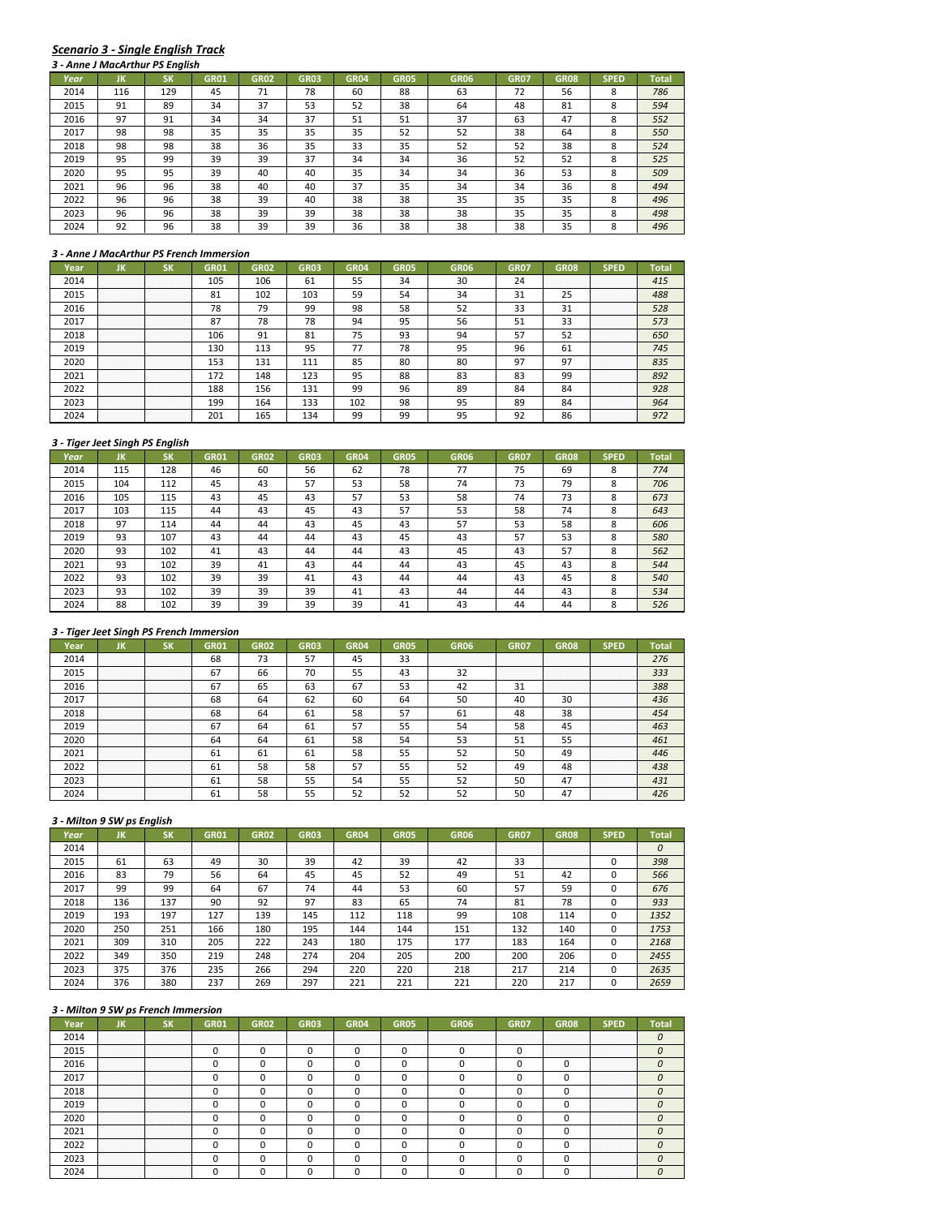# *Scenario 3 ‐ Single English Track*

|      |     | 3 - Anne J MacArthur PS English |             |             |             |             |             |             |             |             |             |              |
|------|-----|---------------------------------|-------------|-------------|-------------|-------------|-------------|-------------|-------------|-------------|-------------|--------------|
| Year | ЛΚ  | SK                              | <b>GR01</b> | <b>GR02</b> | <b>GR03</b> | <b>GR04</b> | <b>GR05</b> | <b>GR06</b> | <b>GR07</b> | <b>GR08</b> | <b>SPED</b> | <b>Total</b> |
| 2014 | 116 | 129                             | 45          | 71          | 78          | 60          | 88          | 63          | 72          | 56          | 8           | 786          |
| 2015 | 91  | 89                              | 34          | 37          | 53          | 52          | 38          | 64          | 48          | 81          | 8           | 594          |
| 2016 | 97  | 91                              | 34          | 34          | 37          | 51          | 51          | 37          | 63          | 47          | 8           | 552          |
| 2017 | 98  | 98                              | 35          | 35          | 35          | 35          | 52          | 52          | 38          | 64          | 8           | 550          |
| 2018 | 98  | 98                              | 38          | 36          | 35          | 33          | 35          | 52          | 52          | 38          | 8           | 524          |
| 2019 | 95  | 99                              | 39          | 39          | 37          | 34          | 34          | 36          | 52          | 52          | 8           | 525          |
| 2020 | 95  | 95                              | 39          | 40          | 40          | 35          | 34          | 34          | 36          | 53          | 8           | 509          |
| 2021 | 96  | 96                              | 38          | 40          | 40          | 37          | 35          | 34          | 34          | 36          | 8           | 494          |
| 2022 | 96  | 96                              | 38          | 39          | 40          | 38          | 38          | 35          | 35          | 35          | 8           | 496          |
| 2023 | 96  | 96                              | 38          | 39          | 39          | 38          | 38          | 38          | 35          | 35          | 8           | 498          |
| 2024 | 92  | 96                              | 38          | 39          | 39          | 36          | 38          | 38          | 38          | 35          | 8           | 496          |

#### *3 ‐ Anne J MacArthur PS French Immersion*

| Year | חו                        | - 12                      | GR01 | GR <sub>02</sub> | GR03 | GR04 | GR05 | GR06 | GR07 | GR08               | SPED                      | Total |
|------|---------------------------|---------------------------|------|------------------|------|------|------|------|------|--------------------|---------------------------|-------|
| 2014 | .<br>.<br>.               | .<br>.<br>.               | 105  | 106              | 61   | 55   | 34   | 30   | 24   | .<br>.<br>.        | .<br>.<br>.               | 415   |
| 2015 | .<br>.<br>.<br>.<br>.     | .<br>.<br>.<br>.<br>.     | 81   | 102              | 103  | 59   | 54   | 34   | 31   | n r<br>25          | .<br>.<br>.<br>.<br>.     | 488   |
| 2016 | .<br>.<br>.<br>.<br>.     | .<br>.<br>.<br>.<br>.     | 78   | 79               | 99   | 98   | 58   | г٦   | 33   | 31                 | .<br>.<br>.<br>.<br>.     | 528   |
| 2017 | .<br>.<br>.<br>.<br>.     | .<br>.<br>.<br>.<br>.     | 87   | 78               | 78   | 94   | 95   | 56   | 51   | 33                 | .<br>.<br>.<br>.<br>.     | 573   |
| 2018 | .<br>.<br>.<br>.<br>.     | .<br>.<br>.<br>.<br>.     | 106  | 91               | 81   | 75   | 93   | 94   | 57   | 52                 | .<br>.<br>.<br>.<br>.     | 650   |
| 2019 | .<br>.<br>.<br>.          | .<br>.<br>.<br>.          | 130  | 113              | 95   |      | 78   | 95   | 96   | 61                 | .<br>.<br>.<br>.<br>.     | 745   |
| 2020 | <br>.<br>.<br>.<br>.<br>. | <br>.<br>.<br>.<br>.<br>. | 153  | 131              |      | 85   | 80   | 80   | 97   | 97                 | <br>.<br>.<br>.<br>.<br>. | 835   |
| 2021 | .<br>.<br>.<br>.<br>.     | .<br>.<br>.<br>.<br>.     | 172  | 148              | 123  | 95   | 88   | 83   | 83   | 99                 | <br>.<br>.<br>.<br>.      | 892   |
| 2022 | .<br>.<br>.<br>.<br>.     | .<br>.<br>.<br>.<br>.     | 188  | 156              | 131  | 99   | 96   | 89   | 84   | 84                 | .<br>.<br>.<br>.<br>.     | 928   |
| 2023 | .<br>.<br>.<br>.<br>.     | .<br>.<br>.<br>.<br>.     | 199  | 164              | 133  | 102  | 98   | 95   | 89   | 84                 | .<br>.<br>.<br>.<br>.     | 964   |
|      | .<br>.<br>.<br>.<br>.     | .<br>.<br>.<br>.<br>.     | 201  | 65               |      | ററ   | 99   |      | ۵٦   | $\mathbf{a}$<br>xn | .<br>.<br>.<br>.<br>.     |       |

#### *3 ‐ Tiger Jeet Singh PS English*

|      | 3 - Tiger Jeet Singh PS English |           |             |             |             |             |             |             |             |             |             |       |
|------|---------------------------------|-----------|-------------|-------------|-------------|-------------|-------------|-------------|-------------|-------------|-------------|-------|
| Year | JK                              | <b>SK</b> | <b>GR01</b> | <b>GR02</b> | <b>GR03</b> | <b>GR04</b> | <b>GR05</b> | <b>GR06</b> | <b>GR07</b> | <b>GR08</b> | <b>SPED</b> | Total |
| 2014 | 115                             | 128       | 46          | 60          | 56          | 62          | 78          | 77          | 75          | 69          | 8           | 774   |
| 2015 | 104                             | 112       | 45          | 43          | 57          | 53          | 58          | 74          | 73          | 79          | 8           | 706   |
| 2016 | 105                             | 115       | 43          | 45          | 43          | 57          | 53          | 58          | 74          | 73          | 8           | 673   |
| 2017 | 103                             | 115       | 44          | 43          | 45          | 43          | 57          | 53          | 58          | 74          | 8           | 643   |
| 2018 | 97                              | 114       | 44          | 44          | 43          | 45          | 43          | 57          | 53          | 58          | 8           | 606   |
| 2019 | 93                              | 107       | 43          | 44          | 44          | 43          | 45          | 43          | 57          | 53          | 8           | 580   |
| 2020 | 93                              | 102       | 41          | 43          | 44          | 44          | 43          | 45          | 43          | 57          | 8           | 562   |
| 2021 | 93                              | 102       | 39          | 41          | 43          | 44          | 44          | 43          | 45          | 43          | 8           | 544   |
| 2022 | 93                              | 102       | 39          | 39          | 41          | 43          | 44          | 44          | 43          | 45          | 8           | 540   |
| 2023 | 93                              | 102       | 39          | 39          | 39          | 41          | 43          | 44          | 44          | 43          | 8           | 534   |
| 2024 | 88                              | 102       | 39          | 39          | 39          | 39          | 41          | 43          | 44          | 44          | 8           | 526   |

## *3 ‐ Tiger Jeet Singh PS French Immersion*

|      | חו               |                                      | GR01 | GR02      | GRO3 |    | GR05 | GR06 | GR07             | GR08                  | SPED                      |     |
|------|------------------|--------------------------------------|------|-----------|------|----|------|------|------------------|-----------------------|---------------------------|-----|
| 2014 | .<br>.           | .<br>.                               | 68   | רי<br>כ ו | 57   |    | 33   |      | .                | .<br>.                | .<br>.<br>.<br>.          | 276 |
| 2015 | .<br>.<br>.<br>. | .<br>.<br>.<br>.                     | 67   | bЬ        | 70   | 55 | 43   | 32   | .<br>.<br>.<br>. | .<br>.<br>.<br>.      | .<br>.<br>.<br>.<br>.     | 333 |
| 2016 | .<br>.<br>.<br>. | . <del>.</del> .<br>.<br>.<br>.<br>. | 67   |           | 63   | 67 | 53   |      | 31               | .<br>.<br>.<br>.<br>. | .<br>.<br>.<br>.<br>.     | 388 |
| 2017 | .<br>.<br>.      | .<br>.<br>.                          | 68   | 64        | 62   | 60 | 64   | 50   | 40               | 30                    | .<br>.<br>.<br>.<br>.     | 436 |
| 2018 | .<br>.<br>.      | .<br>.<br>.                          | 68   | 64        | 61   | 58 | 57   | -61  | 48               | 38                    | .<br>.<br>.<br>.<br>.     | 454 |
| 2019 | .                | .                                    | 67   | 64        | -61  | 57 | 55   |      | 58               | 45                    | .<br>.<br>.<br>.          |     |
| 2020 | <br>.<br>.       | .<br>.<br>.                          | 64   | 64        | 61   | 58 | 54   |      | 51               |                       | <br>.<br>.<br>.<br>.<br>. | 461 |
| 2021 | .<br>.           | .<br>.                               | b.   | 61        | ы    | 58 | 55   |      | 50               | 49                    | <br>.<br>.<br>.<br>.      | 446 |
| 2022 | .<br>.<br>.<br>. | .<br>.<br>.<br>.                     | 61   | 58        | 58   |    | 55   |      | 49               |                       | .<br>.<br>.<br>.<br>.     | 438 |
| 2023 | .<br>.<br>.      | .<br>.<br>.                          | 61   | 58        | 55   | 54 | 55   |      | 50               |                       | .<br>.<br>.<br>.<br>.     | 431 |
|      | .                | .                                    | ы    | 58        |      |    | 52   |      | 50               |                       | .<br>.<br>.<br>.<br>.     |     |

# *3 ‐ Milton 9 SW ps English*

| Year | JK          | SΚ          | <b>GR01</b> | <b>GR02</b>      | <b>GR03</b> | <b>GR04</b> | <b>GR05</b> | <b>GR06</b> | <b>GR07</b> | <b>GR08</b>           | <b>SPED</b> | Total |
|------|-------------|-------------|-------------|------------------|-------------|-------------|-------------|-------------|-------------|-----------------------|-------------|-------|
| 2014 | .<br>.<br>. | .<br>.<br>. | .<br>.<br>. | .<br>.<br>.<br>. | .           | .           | .<br>.      |             | .           | .<br>.<br>.           | .<br>.      |       |
| 2015 | 61          | 63          | 49          | 30               | 39          | 42          | 39          | 42          | 33          | .<br>.<br>.<br>.<br>. |             | 398   |
| 2016 | 83          | 79          | 56          | 64               | 45          | 45          | 52          | 49          | 51          | 42                    |             | 566   |
| 2017 | 99          | 99          | 64          | 67               | 74          | 44          | 53          | 60          | 57          | 59                    |             | 676   |
| 2018 | 136         | 137         | 90          | 92               | 97          | 83          | 65          | 74          | 81          | 78                    |             | 933   |
| 2019 | 193         | 197         | 127         | 139              | 145         | 112         | 118         | 99          | 108         | 114                   |             | 1352  |
| 2020 | 250         | 251         | 166         | 180              | 195         | 144         | 144         | 151         | 132         | 140                   |             | 1753  |
| 2021 | 309         | 310         | 205         | 222              | 243         | 180         | 175         | 177         | 183         | 164                   |             | 2168  |
| 2022 | 349         | 350         | 219         | 248              | 274         | 204         | 205         | 200         | 200         | 206                   |             | 2455  |
| 2023 | 375         | 376         | 235         | 266              | 294         | 220         | 220         | 218         | 217         | 214                   |             | 2635  |
| 2024 | 376         | 380         | 237         | 269              | 297         | 221         | 221         | 221         | 220         | 217                   |             | 2659  |

|      |                  |                                                                                                                         | <b>GR02</b> | GR03 | GR05 | GRO6 | GRO. | GR08   |                       |  |
|------|------------------|-------------------------------------------------------------------------------------------------------------------------|-------------|------|------|------|------|--------|-----------------------|--|
| 2014 | .                |                                                                                                                         |             |      |      |      |      |        | .<br>.<br>.           |  |
| 2015 | .<br>.           | .<br>.                                                                                                                  |             |      |      |      |      | .<br>. | .<br>.                |  |
| 2016 | .<br>.<br>.<br>. | .<br>.<br>.<br>.                                                                                                        |             |      |      |      |      |        | .<br>.<br>.<br>.<br>. |  |
|      | .<br>.<br>.<br>. | .<br>.<br>.<br>.                                                                                                        |             |      |      |      |      |        | .<br>.<br>.<br>.<br>. |  |
| 2018 | .<br>.<br>.      | .<br>.<br>.                                                                                                             |             |      |      |      |      |        | .<br>.<br>.<br>.<br>. |  |
| 2019 | .<br>.           | .<br>.                                                                                                                  |             |      |      |      |      |        | .<br>.<br>.<br>.<br>. |  |
| 2020 |                  | <br>and the contract of the contract of the contract of the contract of the contract of the contract of the contract of |             |      |      |      |      |        | <br>.<br>.<br>.<br>.  |  |
| 2021 | .<br>.           | <br>.                                                                                                                   |             |      |      |      |      |        | <br>.<br>.<br>.<br>.  |  |
| 2022 | .<br>.<br>.<br>. | .<br>.<br>.<br>.                                                                                                        |             |      |      |      |      |        | .<br>.<br>.<br>.<br>. |  |
|      | .<br>.<br>.<br>. | .<br>.<br>.<br>.                                                                                                        |             |      |      |      |      |        | .<br>.<br>.<br>.<br>. |  |
|      |                  |                                                                                                                         |             |      |      |      |      |        | .<br>.<br>.<br>.<br>. |  |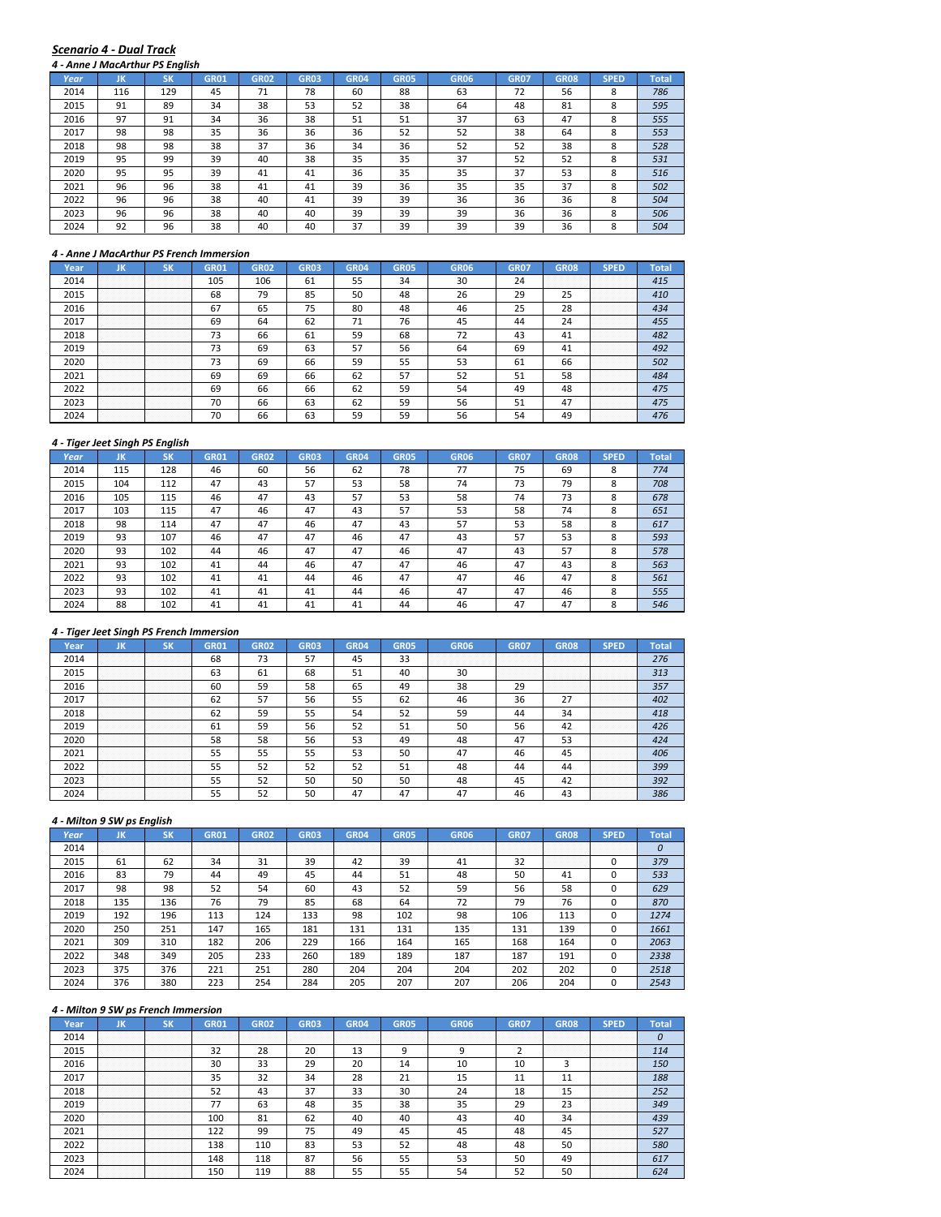#### *Scenario 4 ‐ Dual Track*

|      | 4 - Anne J MacArthur PS Enalish |           |             |             |             |                  |             |             |             |             |             |              |
|------|---------------------------------|-----------|-------------|-------------|-------------|------------------|-------------|-------------|-------------|-------------|-------------|--------------|
| Year | JK                              | <b>SK</b> | <b>GR01</b> | <b>GR02</b> | <b>GR03</b> | GR <sub>04</sub> | <b>GR05</b> | <b>GR06</b> | <b>GR07</b> | <b>GR08</b> | <b>SPED</b> | <b>Total</b> |
| 2014 | 116                             | 129       | 45          | 71          | 78          | 60               | 88          | 63          | 72          | 56          | 8           | 786          |
| 2015 | 91                              | 89        | 34          | 38          | 53          | 52               | 38          | 64          | 48          | 81          | 8           | 595          |
| 2016 | 97                              | 91        | 34          | 36          | 38          | 51               | 51          | 37          | 63          | 47          | 8           | 555          |
| 2017 | 98                              | 98        | 35          | 36          | 36          | 36               | 52          | 52          | 38          | 64          | 8           | 553          |
| 2018 | 98                              | 98        | 38          | 37          | 36          | 34               | 36          | 52          | 52          | 38          | 8           | 528          |
| 2019 | 95                              | 99        | 39          | 40          | 38          | 35               | 35          | 37          | 52          | 52          | 8           | 531          |
| 2020 | 95                              | 95        | 39          | 41          | 41          | 36               | 35          | 35          | 37          | 53          | 8           | 516          |
| 2021 | 96                              | 96        | 38          | 41          | 41          | 39               | 36          | 35          | 35          | 37          | 8           | 502          |
| 2022 | 96                              | 96        | 38          | 40          | 41          | 39               | 39          | 36          | 36          | 36          | 8           | 504          |
| 2023 | 96                              | 96        | 38          | 40          | 40          | 39               | 39          | 39          | 36          | 36          | 8           | 506          |
| 2024 | 92                              | 96        | 38          | 40          | 40          | 37               | 39          | 39          | 39          | 36          | 8           | 504          |

#### *4 ‐ Anne J MacArthur PS French Immersion*

| Year. | ш                     | ым                    | GR01 | <b>GR02</b> | GR03 | GR04 | GR05 | <b>GR06</b> | <b>GR07</b> | GR08             | SPED                  | Total |
|-------|-----------------------|-----------------------|------|-------------|------|------|------|-------------|-------------|------------------|-----------------------|-------|
| 2014  | .<br>.<br>.<br>.      | .<br>.<br>.<br>.      | 105  | 106         | 61   | 55   | 34   | 30          | 24          | .<br>.<br>.<br>. | .<br>.<br>.<br>.      | 415   |
| 2015  | .<br>.<br>.<br>.<br>. | .<br>.<br>.<br>.<br>. | 68   | 79          | 85   | 50   | 48   | 26          | 29          | n m              | .<br>.<br>.<br>.<br>. | 410   |
| 2016  | .<br>.<br>.<br>.<br>. | .<br>.<br>.<br>.<br>. | 67   | 65          | 75   | 80   | 48   |             | 25          | 28               | .<br>.<br>.<br>.<br>. | 434   |
| 2017  | .<br>.<br>.<br>.<br>. | .<br>.<br>.<br>.<br>. | 69   | 64          | 62   | 71   | 76   |             | 44          | 24               | .<br>.<br>.<br>.<br>. |       |
| 2018  | .<br>.<br>.<br>.<br>. | .<br>.<br>.<br>.<br>. | 73   | 66          | 61   | 59   | 68   |             | 43          | 41               | .<br>.<br>.<br>.<br>. | 482   |
| 2019  | .<br>.<br>.<br>.      | .<br>.<br>.<br>.      | 73   | 69          | 63   | 57   | 56   | 64          | 69          | 41               | .<br>.<br>.<br>.      | 492   |
| 2020  | <br>.<br>.<br>.<br>.  | <br>.<br>.<br>.<br>.  | 73   | 69          | 66   | 59   | 55   | 53          | 61          | 66               | <br>.<br>.<br>.<br>.  | 502   |
| 2021  | <br>.<br>.<br>.<br>.  | <br>.<br>.<br>.<br>.  | 69   | 69          | 66   | 62   | 57   |             | 51          | 58               | .<br>.<br>.<br>.<br>. | 484   |
| 2022  | .<br>.<br>.<br>.      | .<br>.<br>.<br>.      | 69   | 66          | 66   | 62   | 59   |             | 49          | 48               | .<br>.<br>.<br>.<br>. | 475   |
| 2023  | .<br>.<br>.<br>.<br>. | .<br>.<br>.<br>.<br>. | 70   | 66          | 63   | 62   | 59   | 56          | 51          |                  | .<br>.<br>.<br>.<br>. | 475   |
|       | .<br>.<br>.           | .<br>.<br>.           | 70   | bb          | 63   | 59   | 59   |             |             |                  | .<br>.<br>.<br>.<br>. | 476   |

#### *4 ‐ Tiger Jeet Singh PS English*

|      |     | 4 - Tiger Jeet Singh PS Engilsh |             |             |             |             |             |             |             |             |             |              |
|------|-----|---------------------------------|-------------|-------------|-------------|-------------|-------------|-------------|-------------|-------------|-------------|--------------|
| Year | JK  | <b>SK</b>                       | <b>GR01</b> | <b>GR02</b> | <b>GR03</b> | <b>GR04</b> | <b>GR05</b> | <b>GR06</b> | <b>GR07</b> | <b>GR08</b> | <b>SPED</b> | <b>Total</b> |
| 2014 | 115 | 128                             | 46          | 60          | 56          | 62          | 78          | 77          | 75          | 69          | 8           | 774          |
| 2015 | 104 | 112                             | 47          | 43          | 57          | 53          | 58          | 74          | 73          | 79          | 8           | 708          |
| 2016 | 105 | 115                             | 46          | 47          | 43          | 57          | 53          | 58          | 74          | 73          | 8           | 678          |
| 2017 | 103 | 115                             | 47          | 46          | 47          | 43          | 57          | 53          | 58          | 74          | 8           | 651          |
| 2018 | 98  | 114                             | 47          | 47          | 46          | 47          | 43          | 57          | 53          | 58          | 8           | 617          |
| 2019 | 93  | 107                             | 46          | 47          | 47          | 46          | 47          | 43          | 57          | 53          | 8           | 593          |
| 2020 | 93  | 102                             | 44          | 46          | 47          | 47          | 46          | 47          | 43          | 57          | 8           | 578          |
| 2021 | 93  | 102                             | 41          | 44          | 46          | 47          | 47          | 46          | 47          | 43          | 8           | 563          |
| 2022 | 93  | 102                             | 41          | 41          | 44          | 46          | 47          | 47          | 46          | 47          | 8           | 561          |
| 2023 | 93  | 102                             | 41          | 41          | 41          | 44          | 46          | 47          | 47          | 46          | 8           | 555          |
| 2024 | 88  | 102                             | 41          | 41          | 41          | 41          | 44          | 46          | 47          | 47          | 8           | 546          |

## *4 ‐ Tiger Jeet Singh PS French Immersion*

| Year | uв               |                  | GR01 | GR02 | GRO3 |    | GR05 | GR06 | GR07             | GR08                  |                            |     |
|------|------------------|------------------|------|------|------|----|------|------|------------------|-----------------------|----------------------------|-----|
| 2014 | .                | .                | 68   | 75   |      |    | 33   |      | .<br>.           | .<br>.                | .<br>.<br>.<br>.           | 276 |
| 2015 | .<br>.           | .<br>.           | 63   | ьî   | 68   |    | 40   |      | .<br>.<br>.<br>. | .<br>.<br>.<br>.      | .<br>.<br>.<br>.<br>.      | 313 |
| 2016 | .                | .                | 60   | 59   | 58   | 65 | 49   | 38   | 29               | .<br>.<br>.<br>.<br>. | .<br>.<br>.<br>.<br>.      | 357 |
| 2017 | .<br>.<br>.<br>. | .<br>.<br>.<br>. | 62   |      | 56   | 55 | 62   | 46   | 36               |                       | .<br>.<br>.<br>.<br>.      | 402 |
| 2018 | .<br>.<br>.      | .<br>.<br>.      | 62   | 59   | 55   | 54 | 52   | 59   | 44               |                       | .<br>.<br>.<br>.<br>.      | 418 |
| 2019 |                  |                  | ы    | 59   | 56   | 52 | 51   | 50   | 56               |                       | .<br>.<br>.<br>.           |     |
| 2020 | .<br>.<br>.<br>. | <br>.<br>.<br>.  | 58   | 58   | 56   | 53 | 49   | 48   | 47               |                       | .<br>.<br>.<br>.<br>.<br>. | 424 |
| 2021 | <br>.<br>.       | .<br>.           | 55   |      | 55   | 53 | 50   | 47   | 46               | 45                    | .<br>.<br>.<br>.<br>.      | 406 |
| 2022 | .                | .                | 55   | 52   | 52   |    | 51   | 48   | 44               | 44                    | .<br>.<br>.<br>.<br>.      | 399 |
| 2023 |                  |                  | 55   |      | 50   | 50 | 50   | 48   | 45               |                       | .<br>.<br>.<br>.<br>.      | 392 |
|      | .                | .                | ᄄ    |      |      |    |      |      |                  |                       | .<br>.<br>.<br>.<br>.      | 386 |

## *4 ‐ Milton 9 SW ps English*

| Year | ΪК               | <b>SK</b>        | <b>GR01</b>      | GR02             | <b>GR03</b>      | <b>GR04</b> | <b>GR05</b>      | <b>GR06</b> | <b>GR07</b> | <b>GR08</b>           | <b>SPED</b> | <b>Total</b> |
|------|------------------|------------------|------------------|------------------|------------------|-------------|------------------|-------------|-------------|-----------------------|-------------|--------------|
| 2014 | .<br>.<br>.<br>. | .<br>.<br>.<br>. | .<br>.<br>.<br>. | .<br>.<br>.<br>. | .<br>.<br>.<br>. | .<br>.<br>. | .<br>.<br>.<br>. |             | .<br>.<br>. | .<br>.<br>.<br>.      | .<br>.      |              |
| 2015 | 61               | 62               | 34               | 31               | 39               | 42          | 39               | 41          | 32          | .<br>.<br>.<br>.<br>. |             | 379          |
| 2016 | 83               | 79               | 44               | 49               | 45               | 44          | 51               | 48          | 50          | 41                    |             | 533          |
| 2017 | 98               | 98               | 52               | 54               | 60               | 43          | 52               | 59          | 56          | 58                    |             | 629          |
| 2018 | 135              | 136              | 76               | 79               | 85               | 68          | 64               | 72          | 79          | 76                    |             | 870          |
| 2019 | 192              | 196              | 113              | 124              | 133              | 98          | 102              | 98          | 106         | 113                   |             | 1274         |
| 2020 | 250              | 251              | 147              | 165              | 181              | 131         | 131              | 135         | 131         | 139                   |             | 1661         |
| 2021 | 309              | 310              | 182              | 206              | 229              | 166         | 164              | 165         | 168         | 164                   |             | 2063         |
| 2022 | 348              | 349              | 205              | 233              | 260              | 189         | 189              | 187         | 187         | 191                   | $\Omega$    | 2338         |
| 2023 | 375              | 376              | 221              | 251              | 280              | 204         | 204              | 204         | 202         | 202                   | 0           | 2518         |
| 2024 | 376              | 380              | 223              | 254              | 284              | 205         | 207              | 207         | 206         | 204                   |             | 2543         |

|      |         | 4 - Milton 9 SW ps French Immersion |      |      |                  |             |             |             |             |                       |                           |       |
|------|---------|-------------------------------------|------|------|------------------|-------------|-------------|-------------|-------------|-----------------------|---------------------------|-------|
| Year | JN      |                                     | GR01 | GR02 | GR <sub>03</sub> | <b>GR04</b> | <b>GR05</b> | <b>GR06</b> | <b>GR07</b> | <b>GR08</b>           | SPED                      | Total |
| 2014 |         |                                     |      |      |                  |             | .           |             | .<br>.      | .<br>.<br>.<br>.      | .<br>.<br>.<br>.          |       |
| 2015 | .       | .                                   | 32   | 28   | 20               | 13          | c           |             |             | .<br>.<br>.<br>.<br>. | .<br>.<br>.<br>.<br>.     | 114   |
| 2016 |         |                                     | 30   | 33   | 29               | 20          | 14          | 10          | 10          |                       | <br>.<br>.<br>.<br>.      | 150   |
| 2017 |         |                                     | 35   | 32   | 34               | 28          | 21          |             | 11          |                       | .<br>.<br>.<br>.<br>.     | 188   |
| 2018 |         |                                     | 52   | 43   | 37               | 33          | 30          | 24          | 18          | 15                    | .<br>.<br>.<br>.<br>.     | 252   |
| 2019 |         |                                     | 77   | 63   | 48               | 35          | 38          | 35          | 29          | 23                    | .<br>.<br>.<br>.          | 349   |
| 2020 | <br>. 1 | .                                   | 100  | 81   | 62               | 40          | 40          | 43          | 40          | 34                    | <br>.<br>.<br>.<br>.<br>. | 439   |
| 2021 |         |                                     | 122  | 99   | 75               | 49          | 45          | 45          | 48          | 45                    | .<br>.<br>.<br>.<br>.     | 527   |
| 2022 |         |                                     | 138  | 110  | 83               | 53          | 52          | 48          | 48          | 50                    | .<br>.<br>.<br>.<br>.     | 580   |
| 2023 | .       | .                                   | 148  | 118  | 87               | 56          | 55          | 53          | 50          | 49                    | .<br>.<br>.<br>.<br>.     | 617   |
| 2024 |         |                                     | 150  | 119  | 88               | 55          | 55          |             | 52          |                       | .<br>.<br>.<br>.<br>.     | 624   |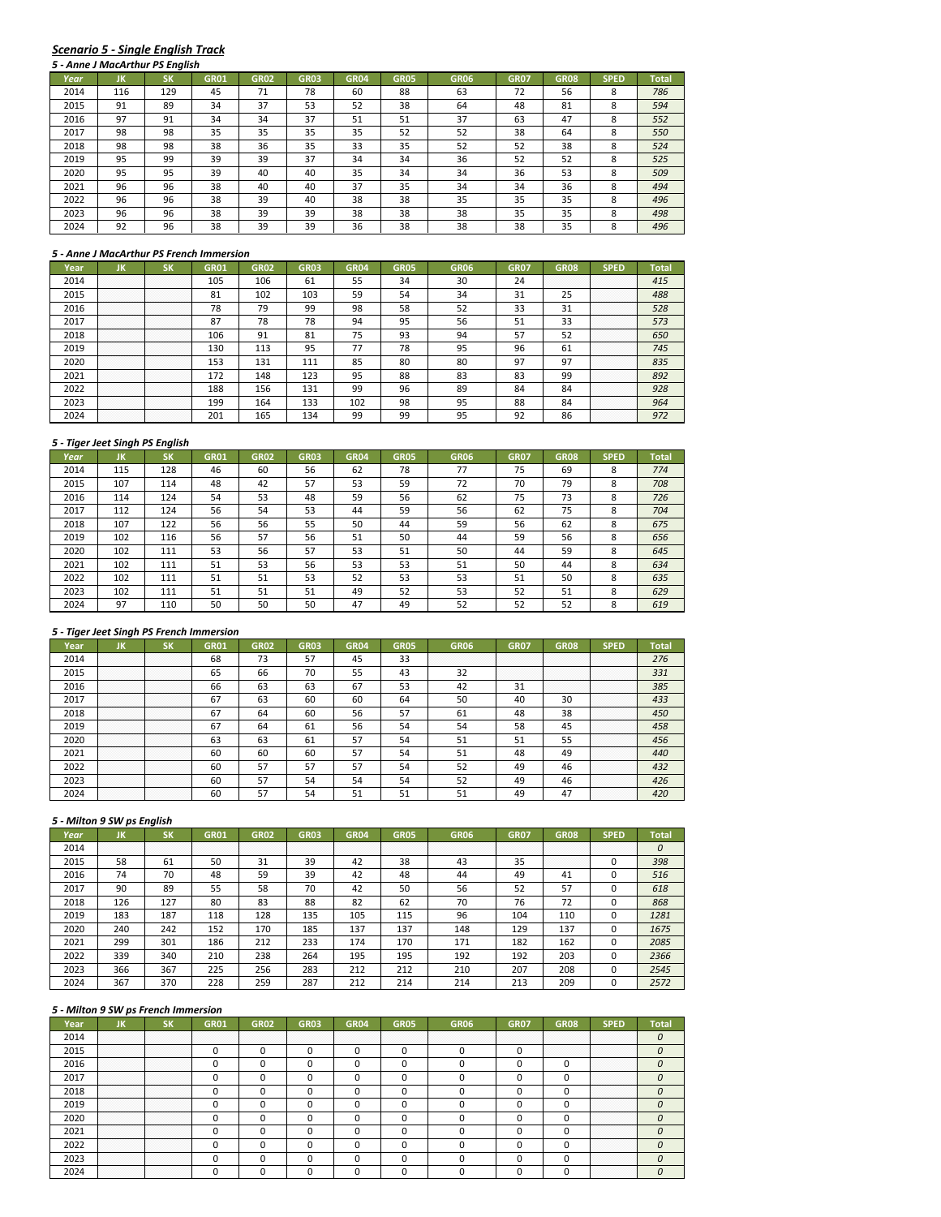# *Scenario 5 ‐ Single English Track*

|      |     | 5 - Anne J MacArthur PS English |             |             |             |             |             |             |             |             |             |              |
|------|-----|---------------------------------|-------------|-------------|-------------|-------------|-------------|-------------|-------------|-------------|-------------|--------------|
| Year | ЛΚ  | SK                              | <b>GR01</b> | <b>GR02</b> | <b>GR03</b> | <b>GR04</b> | <b>GR05</b> | <b>GR06</b> | <b>GR07</b> | <b>GR08</b> | <b>SPED</b> | <b>Total</b> |
| 2014 | 116 | 129                             | 45          | 71          | 78          | 60          | 88          | 63          | 72          | 56          | 8           | 786          |
| 2015 | 91  | 89                              | 34          | 37          | 53          | 52          | 38          | 64          | 48          | 81          | 8           | 594          |
| 2016 | 97  | 91                              | 34          | 34          | 37          | 51          | 51          | 37          | 63          | 47          | 8           | 552          |
| 2017 | 98  | 98                              | 35          | 35          | 35          | 35          | 52          | 52          | 38          | 64          | 8           | 550          |
| 2018 | 98  | 98                              | 38          | 36          | 35          | 33          | 35          | 52          | 52          | 38          | 8           | 524          |
| 2019 | 95  | 99                              | 39          | 39          | 37          | 34          | 34          | 36          | 52          | 52          | 8           | 525          |
| 2020 | 95  | 95                              | 39          | 40          | 40          | 35          | 34          | 34          | 36          | 53          | 8           | 509          |
| 2021 | 96  | 96                              | 38          | 40          | 40          | 37          | 35          | 34          | 34          | 36          | 8           | 494          |
| 2022 | 96  | 96                              | 38          | 39          | 40          | 38          | 38          | 35          | 35          | 35          | 8           | 496          |
| 2023 | 96  | 96                              | 38          | 39          | 39          | 38          | 38          | 38          | 35          | 35          | 8           | 498          |
| 2024 | 92  | 96                              | 38          | 39          | 39          | 36          | 38          | 38          | 38          | 35          | 8           | 496          |

#### *5 ‐ Anne J MacArthur PS French Immersion*

| Year | חנ                    |                       | GR01 | GR02 | GR03 | GR04 | GR05 | GR06 | GR07 | GR08             | <b>SPED</b>           | Total |
|------|-----------------------|-----------------------|------|------|------|------|------|------|------|------------------|-----------------------|-------|
| 2014 | .<br>.<br>.<br>.      | .<br>.<br>.<br>.      | 105  | 106  | 61   | 55   | 34   | 30   | 24   | .<br>.<br>.<br>. | .<br>.<br>.<br>.      | 415   |
| 2015 | .<br>.<br>.<br>.<br>. | .<br>.<br>.<br>.<br>. | 81   | 102  | 103  | 59   | 54   | 34   | 31   | <b>DE</b>        | .<br>.<br>.<br>.<br>. | 488   |
| 2016 | .<br>.<br>.<br>.<br>. | .<br>.<br>.<br>.<br>. | 78   | 79   | 99   | 98   | 58   | 52   | 33   | 31               | .<br>.<br>.<br>.<br>. | 528   |
| 2017 | .<br>.<br>.<br>.<br>. | .<br>.<br>.<br>.<br>. | 87   | 78   | 78   | 94   | 95   | 56   | 51   | 33               | .<br>.<br>.<br>.<br>. | 573   |
| 2018 | .<br>.                | .<br>.                | 106  | 91   | 81   | 75   | 93   | 94   | 57   | 52               | .<br>.<br>.<br>.<br>. | 650   |
| 2019 | .<br>.<br>.<br>.<br>. | .<br>.<br>.<br>.      | 130  | 113  | 95   |      | 78   | 95   | 96   | bï               | .<br>.<br>.<br>.<br>. | 745   |
| 2020 | <br>.<br>.<br>.<br>.  | <br>.<br>.<br>.<br>.  | 153  | 131  |      | 85   | 80   | 80   | 97   | 97               | <br>.<br>.<br>.<br>.  | 835   |
| 2021 | <br>.<br>.<br>.<br>.  | .<br>.<br>.<br>.<br>. | 172  | 148  | 123  | 95   | 88   | 83   | 83   | 99               | .<br>.<br>.<br>.<br>. | 892   |
| 2022 | .<br>.<br>.<br>.<br>. | <br>.<br>.<br>.<br>.  | 188  | 156  | 131  | 99   | 96   | 89   | 84   | 84               | .<br>.<br>.<br>.<br>. | 928   |
| 2023 | .<br>.<br>.<br>.<br>. | .<br>.<br>.<br>.<br>. | 199  | 164  | 133  | 102  | 98   | 95   | 88   | 84               | .<br>.<br>.<br>.<br>. | 964   |
|      | .<br>.<br>.<br>.<br>. | .<br>.<br>.<br>.<br>. | 201  | '65  |      | ۵Q   | 99   |      | ດາ   | 86               | .<br>.<br>.<br>.<br>. |       |

#### *5 ‐ Tiger Jeet Singh PS English*

|      | 3 - Tiger Jeet Singh PS English |           |             |             |             |             |             |             |             |             |             |              |
|------|---------------------------------|-----------|-------------|-------------|-------------|-------------|-------------|-------------|-------------|-------------|-------------|--------------|
| Year | JK                              | <b>SK</b> | <b>GR01</b> | <b>GR02</b> | <b>GR03</b> | <b>GR04</b> | <b>GR05</b> | <b>GR06</b> | <b>GR07</b> | <b>GR08</b> | <b>SPED</b> | <b>Total</b> |
| 2014 | 115                             | 128       | 46          | 60          | 56          | 62          | 78          | 77          | 75          | 69          | 8           | 774          |
| 2015 | 107                             | 114       | 48          | 42          | 57          | 53          | 59          | 72          | 70          | 79          | 8           | 708          |
| 2016 | 114                             | 124       | 54          | 53          | 48          | 59          | 56          | 62          | 75          | 73          | 8           | 726          |
| 2017 | 112                             | 124       | 56          | 54          | 53          | 44          | 59          | 56          | 62          | 75          | 8           | 704          |
| 2018 | 107                             | 122       | 56          | 56          | 55          | 50          | 44          | 59          | 56          | 62          | 8           | 675          |
| 2019 | 102                             | 116       | 56          | 57          | 56          | 51          | 50          | 44          | 59          | 56          | 8           | 656          |
| 2020 | 102                             | 111       | 53          | 56          | 57          | 53          | 51          | 50          | 44          | 59          | 8           | 645          |
| 2021 | 102                             | 111       | 51          | 53          | 56          | 53          | 53          | 51          | 50          | 44          | 8           | 634          |
| 2022 | 102                             | 111       | 51          | 51          | 53          | 52          | 53          | 53          | 51          | 50          | 8           | 635          |
| 2023 | 102                             | 111       | 51          | 51          | 51          | 49          | 52          | 53          | 52          | 51          | 8           | 629          |
| 2024 | 97                              | 110       | 50          | 50          | 50          | 47          | 49          | 52          | 52          | 52          | 8           | 619          |

## *5 ‐ Tiger Jeet Singh PS French Immersion*

| rear |          | אכ                  | GR01 |    | 6RO3 |    | GR05 | GR06 | GR07        |                  |                           |     |
|------|----------|---------------------|------|----|------|----|------|------|-------------|------------------|---------------------------|-----|
| 2014 |          | .                   | 68   | 73 |      | 45 | 33   |      |             |                  | .<br>.                    | 276 |
| 2015 | .<br>.   | .<br>.              | 65   | 66 | 70   | 55 | 43   | 52   | .<br>.<br>. | .<br>.           | .<br>.<br>.               | 331 |
| 2016 | .        | . <del>.</del><br>. | 66   | 63 | 63   | 67 | 53   |      |             | .<br>.<br>.<br>. | .<br>.<br>.<br>.          | 385 |
| 2017 | .<br>.   | .<br>.              | 67   | 63 | 60   | 60 | 64   |      |             | 30               | .<br>.<br>.<br>.<br>.     | 433 |
| 2018 |          | .                   | 67   | 64 | 60   | 56 |      | 61   | 48          | 38               | .<br>.<br>.<br>.<br>.     | 450 |
| 2019 | .        |                     | 67   | 64 | ы    | 56 |      |      | 58          | 45               | .<br>.<br>.<br>.<br>.     | 458 |
| 2020 |          | .                   | 63   | 63 | 61   | 57 |      |      | 51          |                  | <br>.<br>.<br>.<br>.<br>. |     |
| 2021 |          | <br>.               | 60   | 60 | -60  |    |      |      |             | 49               | <br>.<br>.<br>.<br>.      | 440 |
| 2022 | .<br>. 1 | .<br>.<br>.         | 60   |    |      |    |      |      |             |                  | .<br>.<br>.<br>.<br>.     | 432 |
| 2023 |          |                     | 60   |    |      |    |      |      |             |                  | .<br>.<br>.<br>.<br>.     | 426 |
|      |          |                     | 60   |    |      |    |      |      |             |                  | .<br>.<br>.<br>.<br>.     |     |

# *5 ‐ Milton 9 SW ps English*

| Year | JK          | SΚ          | <b>GR01</b> | <b>GR02</b>      | <b>GR03</b> | <b>GR04</b> | <b>GR05</b> | <b>GR06</b> | <b>GR07</b> | <b>GR08</b>           | <b>SPED</b> | Total |
|------|-------------|-------------|-------------|------------------|-------------|-------------|-------------|-------------|-------------|-----------------------|-------------|-------|
| 2014 | .<br>.<br>. | .<br>.<br>. | .<br>.<br>. | .<br>.<br>.<br>. | .           | .           | .<br>.      |             | .           | .<br>.<br>.           | .<br>.      |       |
| 2015 | 58          | 61          | 50          | 31               | 39          | 42          | 38          | 43          | 35          | .<br>.<br>.<br>.<br>. |             | 398   |
| 2016 | 74          | 70          | 48          | 59               | 39          | 42          | 48          | 44          | 49          | 41                    |             | 516   |
| 2017 | 90          | 89          | 55          | 58               | 70          | 42          | 50          | 56          | 52          | 57                    |             | 618   |
| 2018 | 126         | 127         | 80          | 83               | 88          | 82          | 62          | 70          | 76          | 72                    |             | 868   |
| 2019 | 183         | 187         | 118         | 128              | 135         | 105         | 115         | 96          | 104         | 110                   |             | 1281  |
| 2020 | 240         | 242         | 152         | 170              | 185         | 137         | 137         | 148         | 129         | 137                   |             | 1675  |
| 2021 | 299         | 301         | 186         | 212              | 233         | 174         | 170         | 171         | 182         | 162                   |             | 2085  |
| 2022 | 339         | 340         | 210         | 238              | 264         | 195         | 195         | 192         | 192         | 203                   |             | 2366  |
| 2023 | 366         | 367         | 225         | 256              | 283         | 212         | 212         | 210         | 207         | 208                   |             | 2545  |
| 2024 | 367         | 370         | 228         | 259              | 287         | 212         | 214         | 214         | 213         | 209                   |             | 2572  |

| 'ea |             |                                                                                     | GR02 |  |  |   |        |                       |  |
|-----|-------------|-------------------------------------------------------------------------------------|------|--|--|---|--------|-----------------------|--|
|     |             |                                                                                     |      |  |  | . |        |                       |  |
|     |             |                                                                                     |      |  |  |   | .<br>. | .<br>.                |  |
|     | .<br>.<br>. | .<br>.<br>.                                                                         |      |  |  |   |        | .<br>.<br>.<br>.<br>. |  |
|     | .<br>.      | .<br>.                                                                              |      |  |  |   |        | .<br>.<br>.<br>.<br>. |  |
|     | .<br>.      | .<br>.                                                                              |      |  |  |   |        | .<br>.<br>.<br>.<br>. |  |
|     | .           | .                                                                                   |      |  |  |   |        | .<br>.<br>.<br>.<br>. |  |
|     | .           | <br>the contract of the contract of the contract of the contract of the contract of |      |  |  |   |        | <br>.<br>.<br>.<br>.  |  |
|     | .<br>.      | <br>.                                                                               |      |  |  |   |        | <br>.<br>.<br>.<br>.  |  |
|     | .           | .                                                                                   |      |  |  |   |        | .<br>.<br>.<br>.<br>. |  |
|     | .<br>.<br>. | .<br>.<br>.                                                                         |      |  |  |   |        | .<br>.<br>.<br>.<br>. |  |
|     |             |                                                                                     |      |  |  |   |        | .<br>.<br>.<br>.<br>. |  |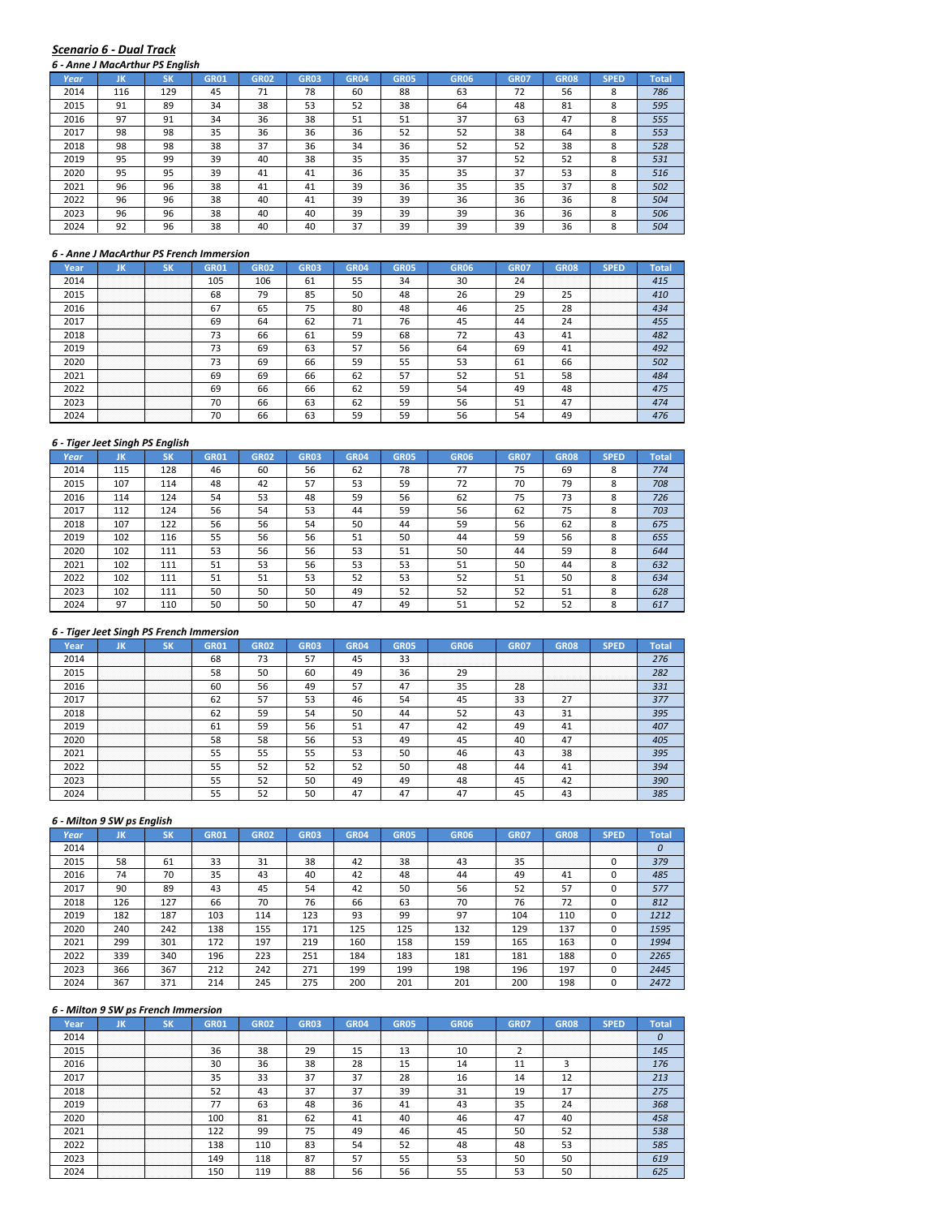#### *Scenario 6 ‐ Dual Track*

|      |     | 6 - Anne J MacArthur PS Enalish |             |             |             |                  |             |             |             |             |             |              |
|------|-----|---------------------------------|-------------|-------------|-------------|------------------|-------------|-------------|-------------|-------------|-------------|--------------|
| Year | JK  | <b>SK</b>                       | <b>GR01</b> | <b>GR02</b> | <b>GR03</b> | GR <sub>04</sub> | <b>GR05</b> | <b>GR06</b> | <b>GR07</b> | <b>GR08</b> | <b>SPED</b> | <b>Total</b> |
| 2014 | 116 | 129                             | 45          | 71          | 78          | 60               | 88          | 63          | 72          | 56          | 8           | 786          |
| 2015 | 91  | 89                              | 34          | 38          | 53          | 52               | 38          | 64          | 48          | 81          | 8           | 595          |
| 2016 | 97  | 91                              | 34          | 36          | 38          | 51               | 51          | 37          | 63          | 47          | 8           | 555          |
| 2017 | 98  | 98                              | 35          | 36          | 36          | 36               | 52          | 52          | 38          | 64          | 8           | 553          |
| 2018 | 98  | 98                              | 38          | 37          | 36          | 34               | 36          | 52          | 52          | 38          | 8           | 528          |
| 2019 | 95  | 99                              | 39          | 40          | 38          | 35               | 35          | 37          | 52          | 52          | 8           | 531          |
| 2020 | 95  | 95                              | 39          | 41          | 41          | 36               | 35          | 35          | 37          | 53          | 8           | 516          |
| 2021 | 96  | 96                              | 38          | 41          | 41          | 39               | 36          | 35          | 35          | 37          | 8           | 502          |
| 2022 | 96  | 96                              | 38          | 40          | 41          | 39               | 39          | 36          | 36          | 36          | 8           | 504          |
| 2023 | 96  | 96                              | 38          | 40          | 40          | 39               | 39          | 39          | 36          | 36          | 8           | 506          |
| 2024 | 92  | 96                              | 38          | 40          | 40          | 37               | 39          | 39          | 39          | 36          | 8           | 504          |

#### *6 ‐ Anne J MacArthur PS French Immersion*

| Year. | ш                     | ым                    | GR01 | GR02 | GR03 | GR04 | GR05 | <b>GR06</b> | <b>GR07</b> | GR08             | SPED                  | Total |
|-------|-----------------------|-----------------------|------|------|------|------|------|-------------|-------------|------------------|-----------------------|-------|
| 2014  | .<br>.<br>.<br>.      | .<br>.<br>.<br>.      | 105  | 106  | 61   | 55   | 34   | 30          | 24          | .<br>.<br>.<br>. | .<br>.<br>.<br>.      | 415   |
| 2015  | .<br>.<br>.<br>.<br>. | .<br>.<br>.<br>.<br>. | 68   | 79   | 85   | 50   | 48   | 26          | 29          | n m              | .<br>.<br>.<br>.<br>. | 410   |
| 2016  | .<br>.<br>.<br>.<br>. | .<br>.<br>.<br>.<br>. | 67   | 65   | 75   | 80   | 48   | 46          | 25          | 70<br>28         | .<br>.<br>.<br>.<br>. |       |
| 2017  | .<br>.<br>.<br>.<br>. | .<br>.<br>.<br>.<br>. | 69   | 64   | 62   | 71   | 76   | 45          | 44          | 24               | .<br>.<br>.<br>.<br>. |       |
| 2018  | .<br>.                | .<br>.                |      | 66   | bì   | 59   | 68   |             | 43          |                  | .<br>.<br>.<br>.<br>. |       |
| 2019  | .<br>.<br>.<br>.<br>. | .<br>.<br>.<br>.<br>. | 73   | 69   | 63   | 57   | 56   | 64          | 69          |                  | .<br>.<br>.<br>.<br>. | 492   |
| 2020  | <br>.<br>.<br>.<br>.  | <br>.<br>.<br>.<br>.  | 73   | 69   | 66   | 59   | 55   | 53          | 61          | 66               | <br>.<br>.<br>.<br>.  | 502   |
| 2021  | .<br>.<br>.<br>.<br>. | <br>.<br>.<br>.<br>.  | 69   | 69   | 66   | 62   | 57   |             | 51          | 58               | .<br>.<br>.<br>.<br>. | 484   |
| 2022  | .<br>.<br>.<br>.<br>. | .<br>.<br>.<br>.<br>. | 69   | 66   | 66   | 62   | 59   |             | 49          | 48               | .<br>.<br>.<br>.<br>. | 475   |
| 2023  | .<br>.<br>.<br>.      | .<br>.<br>.<br>.      | 70   | 66   | 63   | 62   | 59   | 56          | 51          | 47               | .<br>.<br>.<br>.<br>. | 474   |
|       | .<br>.<br>.<br>.<br>. | .<br>.<br>.<br>.<br>. | 70   | bb   |      | 59   | 59   |             |             |                  | .<br>.<br>.<br>.<br>. |       |

#### *6 ‐ Tiger Jeet Singh PS English*

|      | 0 - Tiger Jeet Singh PS English |           |             |             |             |             |             |             |             |             |             |              |
|------|---------------------------------|-----------|-------------|-------------|-------------|-------------|-------------|-------------|-------------|-------------|-------------|--------------|
| Year | JK                              | <b>SK</b> | <b>GR01</b> | <b>GR02</b> | <b>GR03</b> | <b>GR04</b> | <b>GR05</b> | <b>GR06</b> | <b>GR07</b> | <b>GR08</b> | <b>SPED</b> | <b>Total</b> |
| 2014 | 115                             | 128       | 46          | 60          | 56          | 62          | 78          | 77          | 75          | 69          | 8           | 774          |
| 2015 | 107                             | 114       | 48          | 42          | 57          | 53          | 59          | 72          | 70          | 79          | 8           | 708          |
| 2016 | 114                             | 124       | 54          | 53          | 48          | 59          | 56          | 62          | 75          | 73          | 8           | 726          |
| 2017 | 112                             | 124       | 56          | 54          | 53          | 44          | 59          | 56          | 62          | 75          | 8           | 703          |
| 2018 | 107                             | 122       | 56          | 56          | 54          | 50          | 44          | 59          | 56          | 62          | 8           | 675          |
| 2019 | 102                             | 116       | 55          | 56          | 56          | 51          | 50          | 44          | 59          | 56          | 8           | 655          |
| 2020 | 102                             | 111       | 53          | 56          | 56          | 53          | 51          | 50          | 44          | 59          | 8           | 644          |
| 2021 | 102                             | 111       | 51          | 53          | 56          | 53          | 53          | 51          | 50          | 44          | 8           | 632          |
| 2022 | 102                             | 111       | 51          | 51          | 53          | 52          | 53          | 52          | 51          | 50          | 8           | 634          |
| 2023 | 102                             | 111       | 50          | 50          | 50          | 49          | 52          | 52          | 52          | 51          | 8           | 628          |
| 2024 | 97                              | 110       | 50          | 50          | 50          | 47          | 49          | 51          | 52          | 52          | 8           | 617          |

## *6 ‐ Tiger Jeet Singh PS French Immersion*

| Year |                  |                  | GR01 | GR02 | GRO3 |    | GR05 | GR06 | GR07             | GR08                  |                            |     |
|------|------------------|------------------|------|------|------|----|------|------|------------------|-----------------------|----------------------------|-----|
| 2014 | .                | .                | 68   | 75   |      |    | 33   |      | .<br>.           | .<br>.                | .<br>.<br>.<br>.           | 276 |
| 2015 | .<br>.           | .<br>.           | 58   | 50   | 60   | 49 | 36   |      | .<br>.<br>.<br>. | .<br>.<br>.<br>.      | .<br>.<br>.<br>.<br>.      | 282 |
| 2016 | .                | .                | 60   | 56   | 49   | 57 | 47   |      | 28               | .<br>.<br>.<br>.<br>. | .<br>.<br>.<br>.<br>.      | 331 |
| 2017 | .<br>.<br>.<br>. | .<br>.<br>.<br>. | 62   |      | 53   | 46 | 54   | 45   | 33               |                       | .<br>.<br>.<br>.<br>.      |     |
| 2018 | .<br>.<br>.      | .<br>.<br>.      | 62   | 59   | 54   | 50 | 44   |      | 43               | 31                    | .<br>.<br>.<br>.<br>.      | 395 |
| 2019 |                  |                  | ы    | 59   | 56   |    |      | 42   | 49               |                       | .<br>.<br>.<br>.           |     |
| 2020 | <br>.<br>.<br>.  | <br>.<br>.<br>.  | 58   | 58   | 56   | 53 | 49   | 45   | 40               | 47                    | .<br>.<br>.<br>.<br>.<br>. | 405 |
| 2021 | <br>.<br>.       | .<br>.           | 55   |      | 55   | 53 | 50   | 46   | 43               | 38                    | .<br>.<br>.<br>.<br>.      | 395 |
| 2022 | .                | .                | 55   | 52   | 52   |    | 50   | 48   | 44               |                       | .<br>.<br>.<br>.<br>.      | 394 |
| 2023 |                  |                  | 55   |      | 50   | 49 | 49   | 48   | 45               |                       | .<br>.<br>.<br>.<br>.      | 390 |
|      | .                | .                | ᄄ    |      |      |    |      |      |                  |                       | .<br>.<br>.<br>.<br>.      | 385 |

# *6 ‐ Milton 9 SW ps English*

| Year | JK               | SK          | <b>GR01</b>      | <b>GR02</b>      | <b>GR03</b> | <b>GR04</b> | <b>GR05</b>      | <b>GR06</b> | <b>GR07</b> | <b>GR08</b>           | <b>SPED</b> | <b>Total</b> |
|------|------------------|-------------|------------------|------------------|-------------|-------------|------------------|-------------|-------------|-----------------------|-------------|--------------|
| 2014 | .<br>.<br>.<br>. | .<br>.<br>. | .<br>.<br>.<br>. | .<br>.<br>.<br>. | .<br>.<br>. | .<br>.<br>. | .<br>.<br>.<br>. |             | .<br>.      | .                     |             | 0            |
| 2015 | 58               | 61          | 33               | 31               | 38          | 42          | 38               | 43          | 35          | .<br>.<br>.<br>.<br>. |             | 379          |
| 2016 | 74               | 70          | 35               | 43               | 40          | 42          | 48               | 44          | 49          | 41                    |             | 485          |
| 2017 | 90               | 89          | 43               | 45               | 54          | 42          | 50               | 56          | 52          | 57                    |             | 577          |
| 2018 | 126              | 127         | 66               | 70               | 76          | 66          | 63               | 70          | 76          | 72                    |             | 812          |
| 2019 | 182              | 187         | 103              | 114              | 123         | 93          | 99               | 97          | 104         | 110                   |             | 1212         |
| 2020 | 240              | 242         | 138              | 155              | 171         | 125         | 125              | 132         | 129         | 137                   |             | 1595         |
| 2021 | 299              | 301         | 172              | 197              | 219         | 160         | 158              | 159         | 165         | 163                   |             | 1994         |
| 2022 | 339              | 340         | 196              | 223              | 251         | 184         | 183              | 181         | 181         | 188                   |             | 2265         |
| 2023 | 366              | 367         | 212              | 242              | 271         | 199         | 199              | 198         | 196         | 197                   |             | 2445         |
| 2024 | 367              | 371         | 214              | 245              | 275         | 200         | 201              | 201         | 200         | 198                   |             | 2472         |

| b - Milton 9 SW ps French immersion |                           |                       |      |      |      |    |             |                  |             |                       |                           |       |  |
|-------------------------------------|---------------------------|-----------------------|------|------|------|----|-------------|------------------|-------------|-----------------------|---------------------------|-------|--|
| Year                                | ЛN                        |                       | GR01 | GR02 | GR03 |    | <b>GR05</b> | GR <sub>06</sub> | <b>GR07</b> | GR08                  | <b>SPED</b>               | Total |  |
| 2014                                | . 1                       | .                     | .    | .    |      |    | .           |                  |             | .                     | .<br>.<br>.<br>.          |       |  |
| 2015                                | .<br>.<br>.<br>.<br>.     | .<br>.<br>.<br>.<br>. | 36   | 38   | 29   | 15 | 13          |                  |             | .<br>.<br>.<br>.<br>. | .<br>.<br>.<br>.<br>.     | 145   |  |
| 2016                                | .<br>.<br>.<br>.<br>.     | .<br>.<br>.<br>.<br>. | 30   | 36   | 38   | 28 | 15          | 14               |             |                       | .<br>.<br>.<br>.<br>.     | 176   |  |
| 2017                                | .<br>. 1                  | .                     | 35   | 33   | 37   | 37 | 28          | 16               | 14          | 12                    | .<br>.<br>.<br>.<br>.     | 213   |  |
| 2018                                | .                         | .                     | 52   | 43   | 37   | 37 | 39          | 31               | 19          | 17                    | .<br>.<br>.<br>.<br>.     | 275   |  |
| 2019                                | .<br>.<br>.<br>.          | .<br>.<br>.<br>.      | 77   | 63   | 48   | 36 | 41          | 43               | 35          | 24                    | .<br>.<br>.<br>.<br>.     | 368   |  |
| 2020                                | <br>.<br>.<br>.<br>.<br>. | .<br>.<br>.<br>.      | 100  | 81   | 62   | 41 | 40          | 46               | 47          | 40                    | <br>.<br>.<br>.<br>.<br>. | 458   |  |
| 2021                                | .<br>.<br>.               | .<br>.<br>.           | 122  | 99   | 75   | 49 | 46          | 45               | 50          | 52                    | .<br>.<br>.<br>.<br>.     | 538   |  |
| 2022                                | .                         | .                     | 138  | 110  | 83   | 54 | 52          | 48               | 48          | 53                    | .<br>.<br>.<br>.<br>.     | 585   |  |
| 2023                                | .<br>.<br>.<br>.          | .<br>.<br>.<br>.      | 149  | 118  | 87   | 57 | 55          | 53               | 50          | 50                    | .<br>.<br>.<br>.<br>.     | 619   |  |
| 2024                                | .<br>.<br>. 1             | .<br>.<br>.           | 150  | 119  | 88   | 56 | 56          |                  | 53          | 50                    | .<br>.<br>.<br>.<br>.     | 625   |  |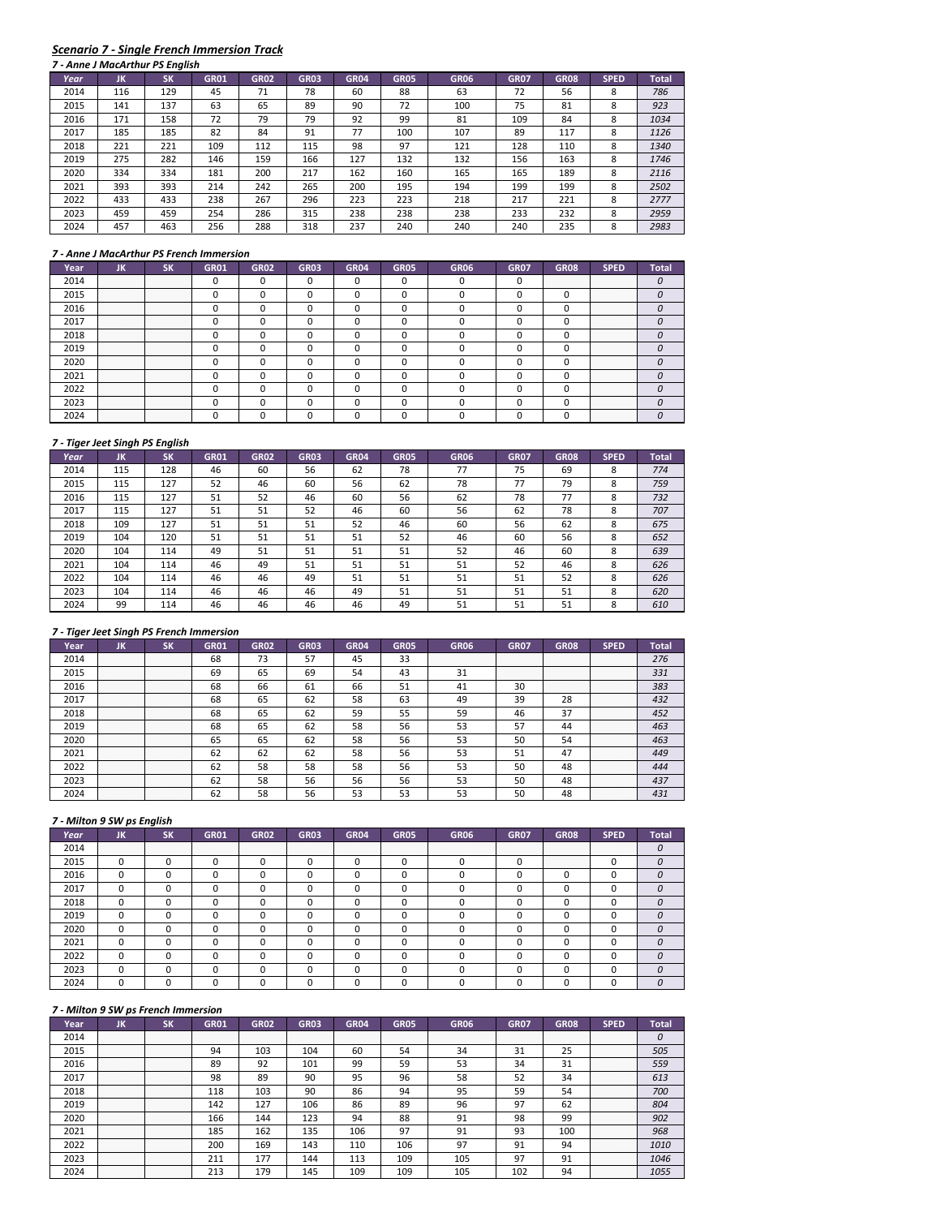# *Scenario 7 ‐ Single French Immersion Track*

|      |     | 7 - Anne J MacArthur PS English |             |             |             |             |             |             |             |             |             |              |
|------|-----|---------------------------------|-------------|-------------|-------------|-------------|-------------|-------------|-------------|-------------|-------------|--------------|
| Year | JK  | <b>SK</b>                       | <b>GR01</b> | <b>GR02</b> | <b>GR03</b> | <b>GR04</b> | <b>GR05</b> | <b>GR06</b> | <b>GR07</b> | <b>GR08</b> | <b>SPED</b> | <b>Total</b> |
| 2014 | 116 | 129                             | 45          | 71          | 78          | 60          | 88          | 63          | 72          | 56          | 8           | 786          |
| 2015 | 141 | 137                             | 63          | 65          | 89          | 90          | 72          | 100         | 75          | 81          | 8           | 923          |
| 2016 | 171 | 158                             | 72          | 79          | 79          | 92          | 99          | 81          | 109         | 84          | 8           | 1034         |
| 2017 | 185 | 185                             | 82          | 84          | 91          | 77          | 100         | 107         | 89          | 117         | 8           | 1126         |
| 2018 | 221 | 221                             | 109         | 112         | 115         | 98          | 97          | 121         | 128         | 110         | 8           | 1340         |
| 2019 | 275 | 282                             | 146         | 159         | 166         | 127         | 132         | 132         | 156         | 163         | 8           | 1746         |
| 2020 | 334 | 334                             | 181         | 200         | 217         | 162         | 160         | 165         | 165         | 189         | 8           | 2116         |
| 2021 | 393 | 393                             | 214         | 242         | 265         | 200         | 195         | 194         | 199         | 199         | 8           | 2502         |
| 2022 | 433 | 433                             | 238         | 267         | 296         | 223         | 223         | 218         | 217         | 221         | 8           | 2777         |
| 2023 | 459 | 459                             | 254         | 286         | 315         | 238         | 238         | 238         | 233         | 232         | 8           | 2959         |
| 2024 | 457 | 463                             | 256         | 288         | 318         | 237         | 240         | 240         | 240         | 235         | 8           | 2983         |

## *7 ‐ Anne J MacArthur PS French Immersion*

| Year |                       |                       | GR01 | <b>GR02</b> | <b>GR03</b> | GR04 | GR05 | GR06 | <b>GR07</b> | <b>GR08</b> | SPED                      |  |
|------|-----------------------|-----------------------|------|-------------|-------------|------|------|------|-------------|-------------|---------------------------|--|
| 2014 | .<br>.                | .<br>.                |      |             |             |      |      |      |             |             |                           |  |
| 2015 | .<br>.<br>.<br>.      | <br>.<br>.<br>.       |      |             |             |      |      |      |             |             | .<br>.<br>.<br>.<br>.     |  |
| 2016 | .<br>.<br>.           | .<br>.<br>.           |      |             |             |      |      |      |             |             | .<br>.<br>.<br>.<br>.     |  |
| 2017 | .<br>.                | .<br>.                |      |             |             |      |      |      |             |             | .<br>.<br>.<br>.<br>.     |  |
| 2018 | .<br>.<br>.<br>.<br>. | .<br>.<br>.<br>.<br>. |      |             |             |      |      |      |             |             | .<br>.<br>.<br>.<br>.     |  |
| 2019 | .                     | .                     |      |             |             |      |      |      |             |             | .<br>.<br>.<br>.<br>.     |  |
|      | .<br>.<br>.<br>.<br>. | .<br>.<br>.<br>.<br>. |      |             |             |      |      |      |             |             | <br>.<br>.<br>.<br>.<br>. |  |
| 2021 | <br>.                 | <br>.                 |      |             |             |      |      |      |             |             | <br>.<br>.<br>.<br>.      |  |
| 2022 | .<br>.<br>.<br>.      | .<br>.<br>.<br>.      |      |             |             |      |      |      |             |             | .<br>.<br>.<br>.<br>.     |  |
| 2023 | .<br>.<br>.           | .<br>.<br>.           |      |             |             |      |      |      |             |             | .<br>.<br>.<br>.<br>.     |  |
|      | .<br>.<br>.           | .<br>.<br>.           |      |             |             |      |      |      |             |             | .<br>.<br>.<br>.<br>.     |  |

#### *7 ‐ Tiger Jeet Singh PS English*

| Year | JK  | <b>SK</b> | <b>GR01</b> | <b>GR02</b> | <b>GR03</b> | <b>GR04</b> | <b>GR05</b> | <b>GR06</b> | <b>GR07</b> | <b>GR08</b> | <b>SPED</b> | <b>Total</b> |
|------|-----|-----------|-------------|-------------|-------------|-------------|-------------|-------------|-------------|-------------|-------------|--------------|
| 2014 | 115 | 128       | 46          | 60          | 56          | 62          | 78          | 77          | 75          | 69          | 8           | 774          |
| 2015 | 115 | 127       | 52          | 46          | 60          | 56          | 62          | 78          | 77          | 79          | 8           | 759          |
| 2016 | 115 | 127       | 51          | 52          | 46          | 60          | 56          | 62          | 78          | 77          | 8           | 732          |
| 2017 | 115 | 127       | 51          | 51          | 52          | 46          | 60          | 56          | 62          | 78          | 8           | 707          |
| 2018 | 109 | 127       | 51          | 51          | 51          | 52          | 46          | 60          | 56          | 62          | 8           | 675          |
| 2019 | 104 | 120       | 51          | 51          | 51          | 51          | 52          | 46          | 60          | 56          | 8           | 652          |
| 2020 | 104 | 114       | 49          | 51          | 51          | 51          | 51          | 52          | 46          | 60          | 8           | 639          |
| 2021 | 104 | 114       | 46          | 49          | 51          | 51          | 51          | 51          | 52          | 46          | 8           | 626          |
| 2022 | 104 | 114       | 46          | 46          | 49          | 51          | 51          | 51          | 51          | 52          | 8           | 626          |
| 2023 | 104 | 114       | 46          | 46          | 46          | 49          | 51          | 51          | 51          | 51          | 8           | 620          |
| 2024 | 99  | 114       | 46          | 46          | 46          | 46          | 49          | 51          | 51          | 51          | 8           | 610          |

## *7 ‐ Tiger Jeet Singh PS French Immersion*

| Year | יי                    |                                                                                                                                | GR01 | <b>GR02</b> | <b>GRO3</b> |    | GR05 | GR06 | <b>GR07</b>           | GR08                  |                           |     |
|------|-----------------------|--------------------------------------------------------------------------------------------------------------------------------|------|-------------|-------------|----|------|------|-----------------------|-----------------------|---------------------------|-----|
| 2014 | .                     | .                                                                                                                              | 68   | 73          |             | 45 | 33   |      | .<br>.                | .<br>.<br>.<br>.      | .<br>.<br>.<br>.          | 276 |
| 2015 | .<br>.<br>.<br>.<br>. | .<br>.<br>.<br>.                                                                                                               | 69   | 65          | 69          | 54 | 43   | 51   | .<br>.<br>.<br>.<br>. | .<br>.<br>.<br>.<br>. | .<br>.<br>.<br>.<br>.     | 331 |
| 2016 | <br>.<br>.<br>.       | .<br>.<br>.<br>.                                                                                                               | 68   | 66          | 61          | 66 | 51   |      | 30                    | <br>.<br>.<br>.<br>.  | .<br>.<br>.<br>.<br>.     | 383 |
| 2017 | .                     | .                                                                                                                              | 68   |             |             | 58 | 63   | 49   | 39                    | 28                    | .<br>.<br>.<br>.<br>.     | 432 |
| 2018 | .<br>.<br>.           | .<br>.<br>.                                                                                                                    | 68   | 65          | 62          | 59 | 55   | 59   | 46                    | 37                    | .<br>.<br>.<br>.<br>.     | 452 |
| 2019 | .<br>.<br>.           | .<br>.<br>.<br>the contract of the contract of the contract of the contract of the contract of the contract of the contract of | 68   | 65          | 62          | 58 | 56   | 53   | 57                    | 44                    | .<br>.<br>.<br>.          | 463 |
| 2020 | <br>.<br>.<br>.       | .<br>.<br>.                                                                                                                    | 65   | 65          | 62          | 58 | 56   | 53   | 50                    | 54                    | <br>.<br>.<br>.<br>.<br>. | 463 |
| 2021 | <br>.<br>.<br>.       | .<br>.<br>.                                                                                                                    |      | 62          | 62          | 58 | 56   |      | 51                    |                       | .<br>.<br>.<br>.<br>.     | 449 |
| 2022 | .<br>.<br>.           | .<br>.<br>.                                                                                                                    | 62   | 58          | 58          | 58 | 56   |      | 50                    | 48                    | .<br>.<br>.<br>.<br>.     | 444 |
| 2023 | .<br>.<br>.<br>.      | .<br>.<br>.<br>.                                                                                                               | 62   | 58          | 56          | 56 | 56   |      | 50                    | 48                    | .<br>.<br>.<br>.<br>.     | 437 |
|      | .<br>.<br>.           | .<br>.<br>.                                                                                                                    |      | 58          |             |    | 53   |      |                       |                       | .<br>.<br>.<br>.<br>.     |     |

## *7 ‐ Milton 9 SW ps English*

| Year | JK          | SΚ | <b>GR01</b> | <b>GR02</b> | GR03 | <b>GR04</b> | <b>GR05</b> | <b>GR06</b> | <b>GR07</b> | <b>GR08</b>          | <b>SPED</b>      | Total |
|------|-------------|----|-------------|-------------|------|-------------|-------------|-------------|-------------|----------------------|------------------|-------|
| 2014 | .<br>.<br>. | .  |             |             | .    |             | .           |             |             |                      | .<br>.<br>.<br>. |       |
| 2015 |             |    |             |             |      |             |             |             |             | <br>.<br>.<br>.<br>. |                  |       |
| 2016 |             |    |             |             |      |             |             |             |             |                      |                  |       |
| 2017 |             |    |             |             |      |             |             |             |             |                      |                  |       |
| 2018 |             |    |             |             |      |             |             |             |             |                      |                  |       |
| 2019 |             |    |             |             |      |             |             |             |             |                      |                  |       |
| 2020 |             |    |             |             |      |             |             |             |             |                      |                  |       |
| 2021 |             |    |             |             |      |             |             |             |             |                      |                  |       |
| 2022 |             |    |             |             |      |             |             |             |             |                      |                  |       |
| 2023 |             |    |             |             |      |             |             |             |             |                      |                  |       |
| 2024 |             |    |             |             |      |             |             |             |             |                      |                  |       |

|      |                       | 7 - whiteh 3 3 W ps French humersion |                  |                  |                  |                  |                  |             |                  |                  |                       |       |
|------|-----------------------|--------------------------------------|------------------|------------------|------------------|------------------|------------------|-------------|------------------|------------------|-----------------------|-------|
| Year | JK                    | <b>SK</b>                            | <b>GR01</b>      | <b>GR02</b>      | <b>GR03</b>      | <b>GR04</b>      | <b>GR05</b>      | <b>GR06</b> | <b>GR07</b>      | <b>GR08</b>      | <b>SPED</b>           | Total |
| 2014 | .<br>.<br>.<br>.      | .<br>.<br>.<br>.                     | .<br>.<br>.<br>. | .<br>.<br>.<br>. | .<br>.<br>.<br>. | .<br>.<br>.<br>. | .<br>.<br>.<br>. |             | .<br>.<br>.<br>. | .<br>.<br>.<br>. | .<br>.<br>.<br>.      |       |
| 2015 | .<br>.<br>.<br>.      | <br>.<br>.<br>.                      | 94               | 103              | 104              | 60               | 54               | 34          | 31               | 25               | .<br>.<br>.<br>.<br>. | 505   |
| 2016 | .<br>.<br>.<br>.<br>. | .<br>.<br>.<br>.<br>.                | 89               | 92               | 101              | 99               | 59               | 53          | 34               | 31               | .<br>.<br>.<br>.<br>. | 559   |
| 2017 | .<br>.<br>.<br>.<br>. | .<br>.<br>.<br>.<br>.                | 98               | 89               | 90               | 95               | 96               | 58          | 52               | 34               | .<br>.<br>.<br>.<br>. | 613   |
| 2018 | .<br>.<br>.<br>.<br>. | .<br>.<br>.<br>.<br>.                | 118              | 103              | 90               | 86               | 94               | 95          | 59               | 54               | .<br>.<br>.<br>.<br>. | 700   |
| 2019 | .<br>.<br>.<br>.<br>. | .<br>.<br>.<br>.<br>.                | 142              | 127              | 106              | 86               | 89               | 96          | 97               | 62               | .<br>.<br>.<br>.<br>. | 804   |
| 2020 | <br>.<br>.            | .<br>.<br>.                          | 166              | 144              | 123              | 94               | 88               | 91          | 98               | 99               | <br>.<br>.<br>.<br>.  | 902   |
| 2021 | <br>.<br>.<br>.<br>.  | <br>.<br>.<br>.<br>.                 | 185              | 162              | 135              | 106              | 97               | 91          | 93               | 100              | <br>.<br>.<br>.<br>.  | 968   |
| 2022 | .<br>.<br>.<br>.<br>. | .<br>.<br>.<br>.<br>.                | 200              | 169              | 143              | 110              | 106              | 97          | 91               | 94               | .<br>.<br>.<br>.<br>. | 1010  |
| 2023 | .<br>.<br>.<br>.      | .<br>.<br>.<br>.                     | 211              | 177              | 144              | 113              | 109              | 105         | 97               | 91               | .<br>.<br>.<br>.<br>. | 1046  |
| 2024 | .<br>.<br>.           | .<br>.<br>.                          | 213              | 179              | 145              | 109              | 109              | 105         |                  | 94               | .<br>.<br>.<br>.<br>. |       |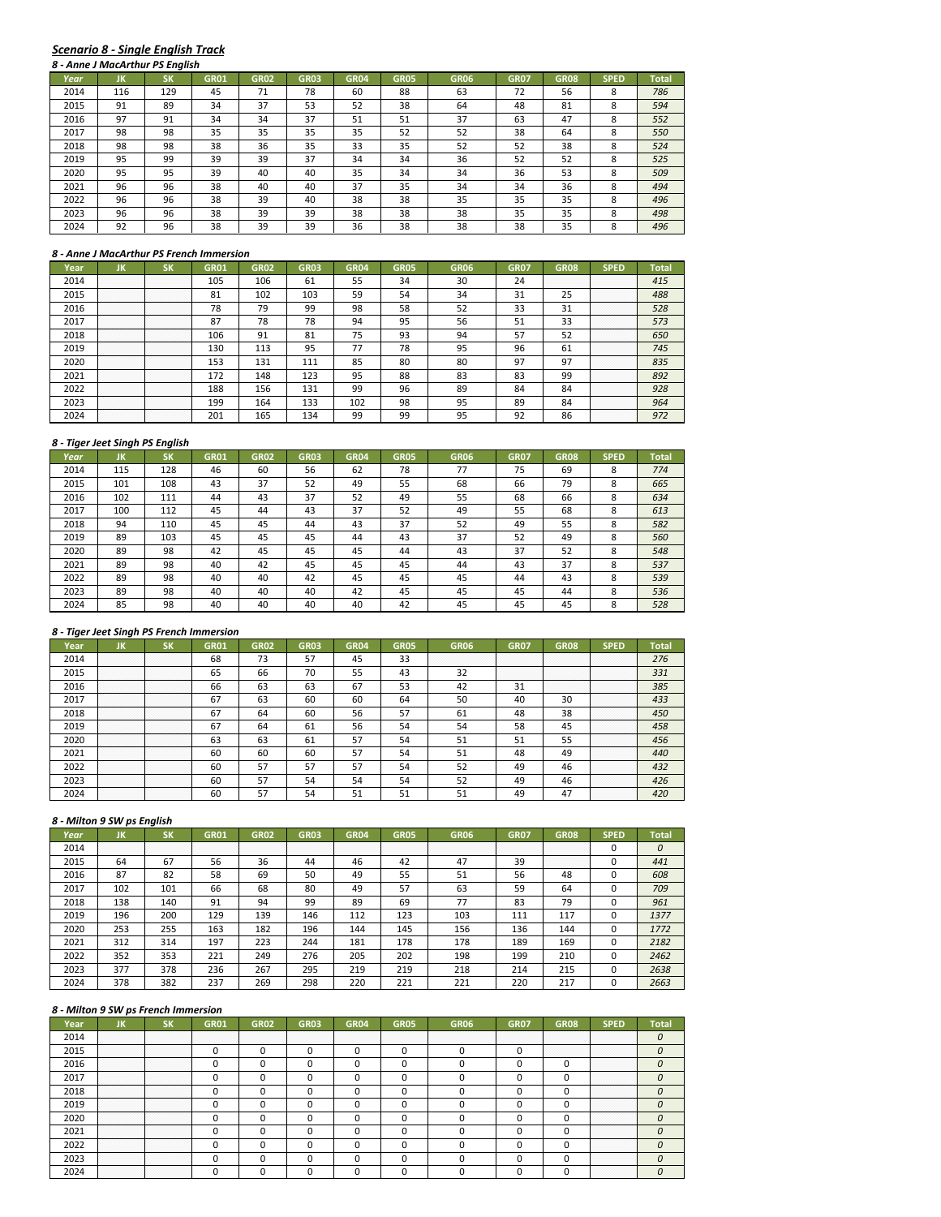# *Scenario 8 ‐ Single English Track*

|      |     | 8 - Anne J MacArthur PS Enalish |             |             |             |             |             |             |             |             |             |              |
|------|-----|---------------------------------|-------------|-------------|-------------|-------------|-------------|-------------|-------------|-------------|-------------|--------------|
| Year | ЛΚ  | SK                              | <b>GR01</b> | <b>GR02</b> | <b>GR03</b> | <b>GR04</b> | <b>GR05</b> | <b>GR06</b> | <b>GR07</b> | <b>GR08</b> | <b>SPED</b> | <b>Total</b> |
| 2014 | 116 | 129                             | 45          | 71          | 78          | 60          | 88          | 63          | 72          | 56          | 8           | 786          |
| 2015 | 91  | 89                              | 34          | 37          | 53          | 52          | 38          | 64          | 48          | 81          | 8           | 594          |
| 2016 | 97  | 91                              | 34          | 34          | 37          | 51          | 51          | 37          | 63          | 47          | 8           | 552          |
| 2017 | 98  | 98                              | 35          | 35          | 35          | 35          | 52          | 52          | 38          | 64          | 8           | 550          |
| 2018 | 98  | 98                              | 38          | 36          | 35          | 33          | 35          | 52          | 52          | 38          | 8           | 524          |
| 2019 | 95  | 99                              | 39          | 39          | 37          | 34          | 34          | 36          | 52          | 52          | 8           | 525          |
| 2020 | 95  | 95                              | 39          | 40          | 40          | 35          | 34          | 34          | 36          | 53          | 8           | 509          |
| 2021 | 96  | 96                              | 38          | 40          | 40          | 37          | 35          | 34          | 34          | 36          | 8           | 494          |
| 2022 | 96  | 96                              | 38          | 39          | 40          | 38          | 38          | 35          | 35          | 35          | 8           | 496          |
| 2023 | 96  | 96                              | 38          | 39          | 39          | 38          | 38          | 38          | 35          | 35          | 8           | 498          |
| 2024 | 92  | 96                              | 38          | 39          | 39          | 36          | 38          | 38          | 38          | 35          | 8           | 496          |

#### *8 ‐ Anne J MacArthur PS French Immersion*

| Year | חנ                    |                       | GR01 | GR02 | GR03 | GR04 | GR05 | GR06 | GR07 | GR08             | <b>SPED</b>           | Total |
|------|-----------------------|-----------------------|------|------|------|------|------|------|------|------------------|-----------------------|-------|
| 2014 | .<br>.<br>.<br>.      | .<br>.<br>.<br>.      | 105  | 106  | 61   | 55   | 34   | 30   | 24   | .<br>.<br>.<br>. | .<br>.<br>.<br>.      | 415   |
| 2015 | .<br>.<br>.<br>.<br>. | .<br>.<br>.<br>.<br>. | 81   | 102  | 103  | 59   | 54   | 34   | 31   | <b>DE</b>        | .<br>.<br>.<br>.<br>. | 488   |
| 2016 | .<br>.<br>.<br>.<br>. | .<br>.<br>.<br>.<br>. | 78   | 79   | 99   | 98   | 58   | 52   | 33   | 31               | .<br>.<br>.<br>.<br>. | 528   |
| 2017 | .<br>.<br>.<br>.<br>. | .<br>.<br>.<br>.<br>. | 87   | 78   | 78   | 94   | 95   | 56   | 51   | 33               | .<br>.<br>.<br>.<br>. | 573   |
| 2018 | .<br>.                | .<br>.                | 106  | 91   | 81   | 75   | 93   | 94   | 57   | 52               | .<br>.<br>.<br>.<br>. | 650   |
| 2019 | .<br>.<br>.<br>.<br>. | .<br>.<br>.<br>.      | 130  | 113  | 95   |      | 78   | 95   | 96   | bï               | .<br>.<br>.<br>.<br>. | 745   |
| 2020 | <br>.<br>.<br>.<br>.  | <br>.<br>.<br>.<br>.  | 153  | 131  |      | 85   | 80   | 80   | 97   | 97               | <br>.<br>.<br>.<br>.  | 835   |
| 2021 | <br>.<br>.<br>.<br>.  | .<br>.<br>.<br>.<br>. | 172  | 148  | 123  | 95   | 88   | 83   | 83   | 99               | .<br>.<br>.<br>.<br>. | 892   |
| 2022 | .<br>.<br>.<br>.<br>. | <br>.<br>.<br>.<br>.  | 188  | 156  | 131  | 99   | 96   | 89   | 84   | 84               | .<br>.<br>.<br>.<br>. | 928   |
| 2023 | .<br>.<br>.<br>.<br>. | .<br>.<br>.<br>.<br>. | 199  | 164  | 133  | 102  | 98   | 95   | 89   | 84               | .<br>.<br>.<br>.<br>. | 964   |
|      | .<br>.<br>.<br>.<br>. | .<br>.<br>.<br>.<br>. | 201  | '65  |      | ۵Q   | 99   |      | ດາ   | 86               | .<br>.<br>.<br>.<br>. |       |

#### *8 ‐ Tiger Jeet Singh PS English*

|      | o - Tiger Jeet Singh PS English |           |             |             |             |             |             |             |             |             |             |       |
|------|---------------------------------|-----------|-------------|-------------|-------------|-------------|-------------|-------------|-------------|-------------|-------------|-------|
| Year | JK                              | <b>SK</b> | <b>GR01</b> | <b>GR02</b> | <b>GR03</b> | <b>GR04</b> | <b>GR05</b> | <b>GR06</b> | <b>GR07</b> | <b>GR08</b> | <b>SPED</b> | Total |
| 2014 | 115                             | 128       | 46          | 60          | 56          | 62          | 78          | 77          | 75          | 69          | 8           | 774   |
| 2015 | 101                             | 108       | 43          | 37          | 52          | 49          | 55          | 68          | 66          | 79          | 8           | 665   |
| 2016 | 102                             | 111       | 44          | 43          | 37          | 52          | 49          | 55          | 68          | 66          | 8           | 634   |
| 2017 | 100                             | 112       | 45          | 44          | 43          | 37          | 52          | 49          | 55          | 68          | 8           | 613   |
| 2018 | 94                              | 110       | 45          | 45          | 44          | 43          | 37          | 52          | 49          | 55          | 8           | 582   |
| 2019 | 89                              | 103       | 45          | 45          | 45          | 44          | 43          | 37          | 52          | 49          | 8           | 560   |
| 2020 | 89                              | 98        | 42          | 45          | 45          | 45          | 44          | 43          | 37          | 52          | 8           | 548   |
| 2021 | 89                              | 98        | 40          | 42          | 45          | 45          | 45          | 44          | 43          | 37          | 8           | 537   |
| 2022 | 89                              | 98        | 40          | 40          | 42          | 45          | 45          | 45          | 44          | 43          | 8           | 539   |
| 2023 | 89                              | 98        | 40          | 40          | 40          | 42          | 45          | 45          | 45          | 44          | 8           | 536   |
| 2024 | 85                              | 98        | 40          | 40          | 40          | 40          | 42          | 45          | 45          | 45          | 8           | 528   |

## *8 ‐ Tiger Jeet Singh PS French Immersion*

|      | חו               |                                      | GR01 | GR02      | GRO3 |    | GR05 | GR06 | GR07             | GR08                  | SPED                      |     |
|------|------------------|--------------------------------------|------|-----------|------|----|------|------|------------------|-----------------------|---------------------------|-----|
| 2014 | .<br>.           | .<br>.                               | 68   | רי<br>כ ו | 57   |    | 33   |      | .<br>.           | .<br>.                | .<br>.<br>.<br>.          | 276 |
| 2015 | .<br>.<br>.<br>. | .<br>.<br>.<br>.                     | 65   | bЬ        | 70   | 55 | 43   | 32   | .<br>.<br>.<br>. | .<br>.<br>.<br>.      | .<br>.<br>.<br>.<br>.     | 331 |
| 2016 | .<br>.<br>.<br>. | . <del>.</del> .<br>.<br>.<br>.<br>. | 66   | 63        | 63   | 67 | 53   |      | 31               | .<br>.<br>.<br>.<br>. | .<br>.<br>.<br>.<br>.     | 385 |
| 2017 | .<br>.<br>.      | .<br>.<br>.                          | 67   | 63        | 60   | 60 | 64   | 50   | 40               | 30                    | .<br>.<br>.<br>.<br>.     | 433 |
| 2018 | .<br>.<br>.      | .<br>.<br>.                          | 67   | 64        | 60   | 56 | 57   | -61  | 48               | 38                    | .<br>.<br>.<br>.<br>.     | 450 |
| 2019 | .                | .                                    | 67   | 64        | 61   | 56 | 54   |      | 58               | 45                    | .<br>.<br>.<br>.<br>.     | 458 |
| 2020 | <br>.            | .<br>.                               | 63   | 63        | 61   | 57 |      |      | 51               |                       | <br>.<br>.<br>.<br>.<br>. | 456 |
| 2021 | .<br>.           | .<br>.                               | 60   | 60        | 60   |    | 54   |      | 48               | 49                    | <br>.<br>.<br>.<br>.      | 440 |
| 2022 | .<br>.<br>.<br>. | .<br>.<br>.<br>.                     | 60   |           |      |    | 54   |      | 49               |                       | .<br>.<br>.<br>.<br>.     | 432 |
| 2023 | .<br>.<br>.      | .<br>.<br>.                          | 60   |           |      | 54 | 54   |      | 49               | 46                    | .<br>.<br>.<br>.<br>.     | 426 |
|      | .                | .                                    | 60   |           |      |    |      |      | 49               |                       | .<br>.<br>.<br>.<br>.     |     |

# *8 ‐ Milton 9 SW ps English*

| Year | JK          | SΚ          | <b>GR01</b>      | <b>GR02</b>      | <b>GR03</b> | <b>GR04</b> | <b>GR05</b> | <b>GR06</b> | <b>GR07</b> | <b>GR08</b>           | <b>SPED</b> | Total |
|------|-------------|-------------|------------------|------------------|-------------|-------------|-------------|-------------|-------------|-----------------------|-------------|-------|
| 2014 | .<br>.<br>. | .<br>.<br>. | .<br>.<br>.<br>. | .<br>.<br>.<br>. | .           | .           | .<br>.      |             | .           | .<br>.                |             | 0     |
| 2015 | 64          | 67          | 56               | 36               | 44          | 46          | 42          | 47          | 39          | .<br>.<br>.<br>.<br>. |             | 441   |
| 2016 | 87          | 82          | 58               | 69               | 50          | 49          | 55          | 51          | 56          | 48                    |             | 608   |
| 2017 | 102         | 101         | 66               | 68               | 80          | 49          | 57          | 63          | 59          | 64                    |             | 709   |
| 2018 | 138         | 140         | 91               | 94               | 99          | 89          | 69          | 77          | 83          | 79                    |             | 961   |
| 2019 | 196         | 200         | 129              | 139              | 146         | 112         | 123         | 103         | 111         | 117                   |             | 1377  |
| 2020 | 253         | 255         | 163              | 182              | 196         | 144         | 145         | 156         | 136         | 144                   |             | 1772  |
| 2021 | 312         | 314         | 197              | 223              | 244         | 181         | 178         | 178         | 189         | 169                   |             | 2182  |
| 2022 | 352         | 353         | 221              | 249              | 276         | 205         | 202         | 198         | 199         | 210                   |             | 2462  |
| 2023 | 377         | 378         | 236              | 267              | 295         | 219         | 219         | 218         | 214         | 215                   |             | 2638  |
| 2024 | 378         | 382         | 237              | 269              | 298         | 220         | 221         | 221         | 220         | 217                   |             | 2663  |

|      |                  |                  | GR01   | <b>GR02</b> | <b>GR03</b> | GR <sub>04</sub> | GR05 | GR06 | <b>GR07</b> | GR08                  |                                      |  |
|------|------------------|------------------|--------|-------------|-------------|------------------|------|------|-------------|-----------------------|--------------------------------------|--|
|      | .<br>.<br>.      | .<br>.<br>.      | .<br>. |             |             | .                | .    |      | .<br>.      | .<br>.                | .<br>.<br>.<br>.                     |  |
|      | .<br>.<br>.<br>. | .<br>.<br>.<br>. |        |             |             |                  |      |      |             | .<br>.<br>.<br>.<br>. | . <del>.</del> .<br>.<br>.<br>.<br>. |  |
| 2016 | .                | .                |        |             |             |                  |      |      |             |                       | .<br>.<br>.<br>.<br>.                |  |
|      | .                | .                |        |             |             |                  |      |      |             |                       | .<br>.<br>.<br>.<br>.                |  |
| 2018 | .<br>.<br>.      | .<br>.<br>.      |        |             |             |                  |      |      |             |                       | .<br>.<br>.<br>.<br>.                |  |
|      | .<br>.<br>.<br>. | .<br>.<br>.<br>. |        |             |             |                  |      |      |             |                       | .<br>.<br>.<br>.<br>.                |  |
| 2020 | .<br>.<br>.<br>. | <br>.<br>.<br>.  |        |             |             |                  |      |      |             |                       | <br>.<br>.<br>.<br>.<br>.            |  |
| 202: | .                |                  |        |             |             |                  |      |      |             |                       | <br>.<br>.<br>.<br>.                 |  |
| 2022 | .<br>.           | .<br>.           |        |             |             |                  |      |      |             |                       | .<br>.<br>.<br>.<br>.                |  |
|      | .<br>.<br>.<br>. | .<br>.<br>.<br>. |        |             |             |                  |      |      |             |                       | .<br>.<br>.<br>.<br>.                |  |
|      |                  |                  |        |             |             |                  |      |      |             |                       | .<br>.<br>.<br>.<br>.                |  |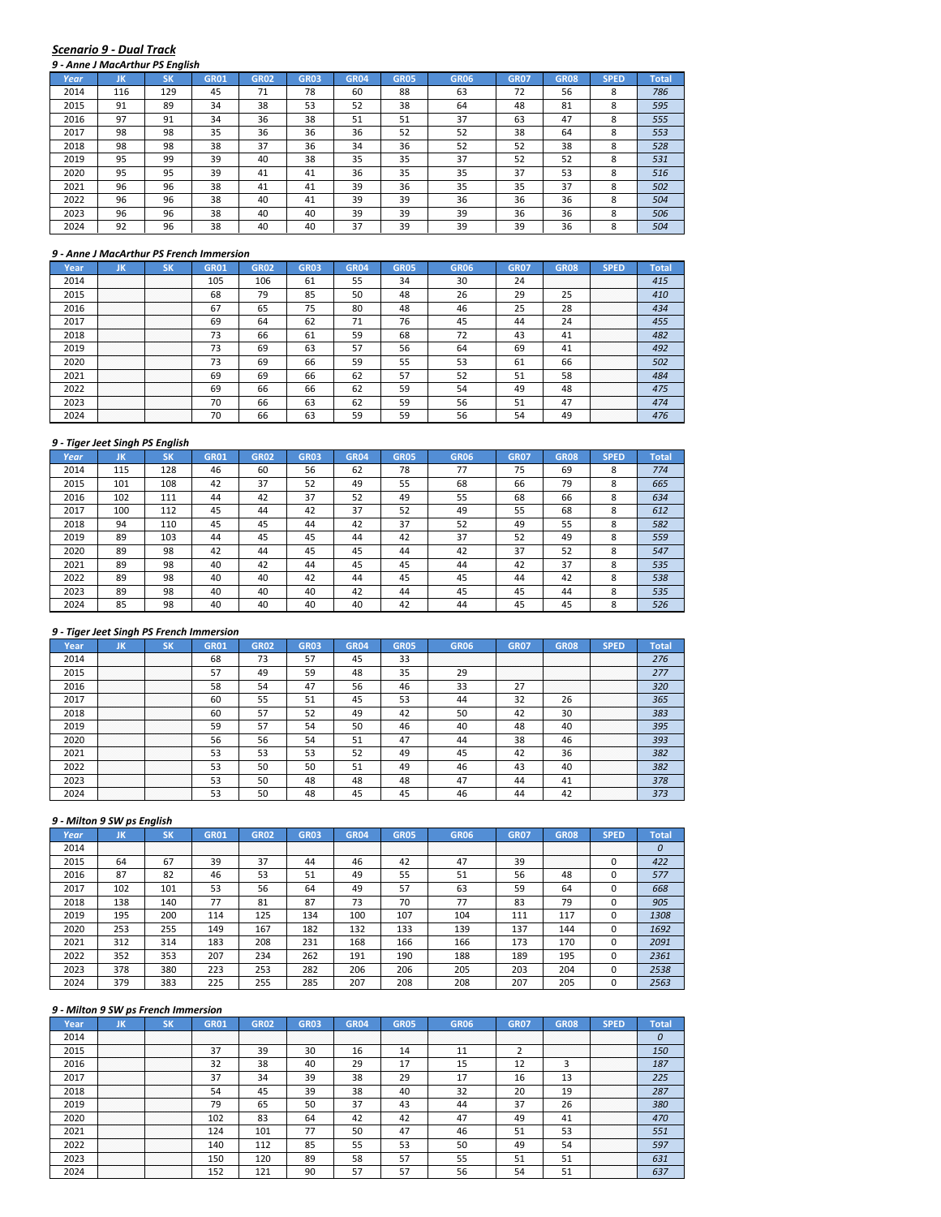#### *Scenario 9 ‐ Dual Track*

|      | 9 - Anne J MacArthur PS Enalish |           |             |             |             |                  |             |             |             |             |             |              |
|------|---------------------------------|-----------|-------------|-------------|-------------|------------------|-------------|-------------|-------------|-------------|-------------|--------------|
| Year | JK                              | <b>SK</b> | <b>GR01</b> | <b>GR02</b> | <b>GR03</b> | GR <sub>04</sub> | <b>GR05</b> | <b>GR06</b> | <b>GR07</b> | <b>GR08</b> | <b>SPED</b> | <b>Total</b> |
| 2014 | 116                             | 129       | 45          | 71          | 78          | 60               | 88          | 63          | 72          | 56          | 8           | 786          |
| 2015 | 91                              | 89        | 34          | 38          | 53          | 52               | 38          | 64          | 48          | 81          | 8           | 595          |
| 2016 | 97                              | 91        | 34          | 36          | 38          | 51               | 51          | 37          | 63          | 47          | 8           | 555          |
| 2017 | 98                              | 98        | 35          | 36          | 36          | 36               | 52          | 52          | 38          | 64          | 8           | 553          |
| 2018 | 98                              | 98        | 38          | 37          | 36          | 34               | 36          | 52          | 52          | 38          | 8           | 528          |
| 2019 | 95                              | 99        | 39          | 40          | 38          | 35               | 35          | 37          | 52          | 52          | 8           | 531          |
| 2020 | 95                              | 95        | 39          | 41          | 41          | 36               | 35          | 35          | 37          | 53          | 8           | 516          |
| 2021 | 96                              | 96        | 38          | 41          | 41          | 39               | 36          | 35          | 35          | 37          | 8           | 502          |
| 2022 | 96                              | 96        | 38          | 40          | 41          | 39               | 39          | 36          | 36          | 36          | 8           | 504          |
| 2023 | 96                              | 96        | 38          | 40          | 40          | 39               | 39          | 39          | 36          | 36          | 8           | 506          |
| 2024 | 92                              | 96        | 38          | 40          | 40          | 37               | 39          | 39          | 39          | 36          | 8           | 504          |

#### *9 ‐ Anne J MacArthur PS French Immersion*

| Year. | ш                     | ым                    | GR01 | GR02 | GR03 | GR04 | GR05 | <b>GR06</b> | <b>GR07</b> | GR08             | SPED                  | Total |
|-------|-----------------------|-----------------------|------|------|------|------|------|-------------|-------------|------------------|-----------------------|-------|
| 2014  | .<br>.<br>.<br>.      | .<br>.<br>.<br>.      | 105  | 106  | 61   | 55   | 34   | 30          | 24          | .<br>.<br>.<br>. | .<br>.<br>.<br>.      | 415   |
| 2015  | .<br>.<br>.<br>.<br>. | .<br>.<br>.<br>.<br>. | 68   | 79   | 85   | 50   | 48   | 26          | 29          | n m              | .<br>.<br>.<br>.<br>. | 410   |
| 2016  | .<br>.<br>.<br>.<br>. | .<br>.<br>.<br>.<br>. | 67   | 65   | 75   | 80   | 48   | 46          | 25          | 70<br>28         | .<br>.<br>.<br>.<br>. |       |
| 2017  | .<br>.<br>.<br>.<br>. | .<br>.<br>.<br>.<br>. | 69   | 64   | 62   | 71   | 76   | 45          | 44          | 24               | .<br>.<br>.<br>.<br>. |       |
| 2018  | .<br>.                | .<br>.                |      | 66   | bì   | 59   | 68   |             | 43          |                  | .<br>.<br>.<br>.<br>. |       |
| 2019  | .<br>.<br>.<br>.<br>. | .<br>.<br>.<br>.<br>. | 73   | 69   | 63   | 57   | 56   | 64          | 69          |                  | .<br>.<br>.<br>.<br>. | 492   |
| 2020  | <br>.<br>.<br>.<br>.  | <br>.<br>.<br>.<br>.  | 73   | 69   | 66   | 59   | 55   | 53          | 61          | 66               | <br>.<br>.<br>.<br>.  | 502   |
| 2021  | .<br>.<br>.<br>.<br>. | .<br>.<br>.<br>.<br>. | 69   | 69   | 66   | 62   | 57   |             | 51          | 58               | .<br>.<br>.<br>.<br>. | 484   |
| 2022  | .<br>.<br>.<br>.<br>. | .<br>.<br>.<br>.<br>. | 69   | 66   | 66   | 62   | 59   |             | 49          | 48               | .<br>.<br>.<br>.<br>. | 475   |
| 2023  | .<br>.<br>.<br>.      | .<br>.<br>.<br>.      | 70   | 66   | 63   | 62   | 59   | 56          | 51          | 47               | .<br>.<br>.<br>.<br>. | 474   |
|       | .<br>.<br>.<br>.<br>. | .<br>.<br>.<br>.<br>. | 70   | bb   |      | 59   | 59   |             |             |                  | .<br>.<br>.<br>.<br>. |       |

#### *9 ‐ Tiger Jeet Singh PS English*

|      | 9 - Tiger Jeet Singh PS English |           |             |             |             |             |             |             |             |             |             |              |
|------|---------------------------------|-----------|-------------|-------------|-------------|-------------|-------------|-------------|-------------|-------------|-------------|--------------|
| Year | JK                              | <b>SK</b> | <b>GR01</b> | <b>GR02</b> | <b>GR03</b> | <b>GR04</b> | <b>GR05</b> | <b>GR06</b> | <b>GR07</b> | <b>GR08</b> | <b>SPED</b> | <b>Total</b> |
| 2014 | 115                             | 128       | 46          | 60          | 56          | 62          | 78          | 77          | 75          | 69          | 8           | 774          |
| 2015 | 101                             | 108       | 42          | 37          | 52          | 49          | 55          | 68          | 66          | 79          | 8           | 665          |
| 2016 | 102                             | 111       | 44          | 42          | 37          | 52          | 49          | 55          | 68          | 66          | 8           | 634          |
| 2017 | 100                             | 112       | 45          | 44          | 42          | 37          | 52          | 49          | 55          | 68          | 8           | 612          |
| 2018 | 94                              | 110       | 45          | 45          | 44          | 42          | 37          | 52          | 49          | 55          | 8           | 582          |
| 2019 | 89                              | 103       | 44          | 45          | 45          | 44          | 42          | 37          | 52          | 49          | 8           | 559          |
| 2020 | 89                              | 98        | 42          | 44          | 45          | 45          | 44          | 42          | 37          | 52          | 8           | 547          |
| 2021 | 89                              | 98        | 40          | 42          | 44          | 45          | 45          | 44          | 42          | 37          | 8           | 535          |
| 2022 | 89                              | 98        | 40          | 40          | 42          | 44          | 45          | 45          | 44          | 42          | 8           | 538          |
| 2023 | 89                              | 98        | 40          | 40          | 40          | 42          | 44          | 45          | 45          | 44          | 8           | 535          |
| 2024 | 85                              | 98        | 40          | 40          | 40          | 40          | 42          | 44          | 45          | 45          | 8           | 526          |

## *9 ‐ Tiger Jeet Singh PS French Immersion*

| Year | uв               |                  | GR01 | GR02 | GRO3 |    | GR05 | GR06 | GR07             | GR08                  |                           |     |
|------|------------------|------------------|------|------|------|----|------|------|------------------|-----------------------|---------------------------|-----|
| 2014 | .                | .                | 68   | כ. ז |      |    | 33   |      | .<br>.           | .<br>.                | .<br>.<br>.<br>.          | 276 |
| 2015 | .<br>.           | .<br>.           | 57   |      | 59   | 48 | 35   |      | .<br>.<br>.<br>. | .<br>.<br>.<br>.      | .<br>.<br>.<br>.<br>.     |     |
| 2016 | .                | .                | 58   | 54   | 47   | 56 | 46   | 33   |                  | .<br>.<br>.<br>.<br>. | .<br>.<br>.<br>.<br>.     | 320 |
| 2017 | .<br>.<br>.<br>. | .<br>.<br>.<br>. | 60   | 55   |      | 45 | 53   |      | 32               | 26                    | .<br>.<br>.<br>.<br>.     | 365 |
| 2018 | .<br>.<br>.      | .<br>.<br>.      | 60   | 57   | 52   | 49 |      | 50   | 42               | 30                    | .<br>.<br>.<br>.<br>.     | 383 |
| 2019 |                  |                  | 59   |      | 54   | 50 | 46   | 40   | 48               | 40                    | .<br>.<br>.<br>.          | 395 |
| 2020 | <br>.<br>.<br>.  | <br>.<br>.<br>.  | 56   | 56   | 54   |    |      |      | 38               |                       | <br>.<br>.<br>.<br>.<br>. | 393 |
| 2021 | <br>.<br>.       | .<br>.           | 53   |      | 53   |    | 49   | 45   | 42               | 36                    | .<br>.<br>.<br>.<br>.     | 382 |
| 2022 | .                | .                | 53   | 50   | 50   |    | 49   | 46   | 43               | 40                    | .<br>.<br>.<br>.<br>.     | 382 |
| 2023 |                  |                  | 53   | 50   |      | 48 | 48   | 47   | 44               |                       | .<br>.<br>.<br>.<br>.     | 378 |
|      | .                | .                | τэ   |      |      |    |      |      |                  |                       | .<br>.<br>.<br>.<br>.     | 373 |

## *9 ‐ Milton 9 SW ps English*

| Year | JK               | ιSΚ         | <b>GR01</b>      | <b>GR02</b>      | <b>GR03</b> | <b>GR04</b> | <b>GR05</b> | <b>GR06</b> | <b>GR07</b> | <b>GR08</b>           | <b>SPED</b> | Total |
|------|------------------|-------------|------------------|------------------|-------------|-------------|-------------|-------------|-------------|-----------------------|-------------|-------|
| 2014 | .<br>.<br>.<br>. | .<br>.<br>. | .<br>.<br>.<br>. | .<br>.<br>.<br>. | .<br>.      | .           | .<br>.      |             | .<br>.      | .<br>.<br>.<br>.      | .<br>.<br>. |       |
| 2015 | 64               | 67          | 39               | 37               | 44          | 46          | 42          | 47          | 39          | .<br>.<br>.<br>.<br>. |             | 422   |
| 2016 | 87               | 82          | 46               | 53               | 51          | 49          | 55          | 51          | 56          | 48                    |             | 577   |
| 2017 | 102              | 101         | 53               | 56               | 64          | 49          | 57          | 63          | 59          | 64                    |             | 668   |
| 2018 | 138              | 140         | 77               | 81               | 87          | 73          | 70          | 77          | 83          | 79                    |             | 905   |
| 2019 | 195              | 200         | 114              | 125              | 134         | 100         | 107         | 104         | 111         | 117                   |             | 1308  |
| 2020 | 253              | 255         | 149              | 167              | 182         | 132         | 133         | 139         | 137         | 144                   |             | 1692  |
| 2021 | 312              | 314         | 183              | 208              | 231         | 168         | 166         | 166         | 173         | 170                   |             | 2091  |
| 2022 | 352              | 353         | 207              | 234              | 262         | 191         | 190         | 188         | 189         | 195                   |             | 2361  |
| 2023 | 378              | 380         | 223              | 253              | 282         | 206         | 206         | 205         | 203         | 204                   |             | 2538  |
| 2024 | 379              | 383         | 225              | 255              | 285         | 207         | 208         | 208         | 207         | 205                   |             | 2563  |

| <b>Year</b> | . .                   |                       | GR01 | <b>GR02</b> | GR03 |    | GR05   | GR06 | GR07        | GR08                  |                            |     |
|-------------|-----------------------|-----------------------|------|-------------|------|----|--------|------|-------------|-----------------------|----------------------------|-----|
| 2014        | .<br>.<br>.<br>.      |                       |      |             | .    | .  | .<br>. |      | .<br>.<br>. | .<br>.<br>.           | .<br>.<br>.<br>.           |     |
| 2015        | .<br>.<br>.<br>.      | .<br>.<br>.<br>.      | 37   | 39          |      | 16 |        |      |             | .<br>.<br>.<br>.<br>. | .<br>.<br>.<br>.<br>.      |     |
| 2016        | .<br>.<br>.<br>.      | .<br>.<br>.<br>.      |      | 38          |      | 29 |        |      |             |                       | .<br>.<br>.<br>.<br>.      | 187 |
| 2017        | .<br>.                | .<br>.                | 37   | 34          | 39   | 38 | 29     |      | 16          |                       | .<br>.<br>.<br>.<br>.      |     |
| 2018        | .<br>.<br>.<br>.      | .<br>.<br>.<br>.      |      | 45          | 39   | 38 | 40     |      | 20          |                       | .<br>.<br>.<br>.<br>.      | 287 |
| 2019        | .<br>.<br>.           | .<br>.<br>.           | 79   | 65          |      | 37 | 43     |      | 37          | zn                    | .<br>.<br>.<br>.<br>.      | 380 |
| 2020        | <br>.<br>.<br>.       | <br>.<br>.            | 102  | 83          | 64   |    |        |      | 49          |                       | .<br>.<br>.<br>.<br>.<br>. |     |
| 2021        | .<br>.                | <br>.                 | 124  | 101         |      | 50 | 47     |      |             |                       | <br>.<br>.<br>.<br>.       |     |
| 2022        | .<br>.<br>.           | .<br>.<br>.           | 140  | 112         | 85   | 55 | 53     | 50   | 49          |                       | .<br>.<br>.<br>.<br>.      | 597 |
| 2023        | .<br>.<br>.<br>.<br>. | .<br>.<br>.<br>.<br>. | 150  | 120         | 89   | 58 |        |      |             | 51                    | .<br>.<br>.<br>.<br>.      |     |
|             |                       |                       |      |             |      |    |        |      |             |                       | .<br>.<br>.<br>.<br>.      |     |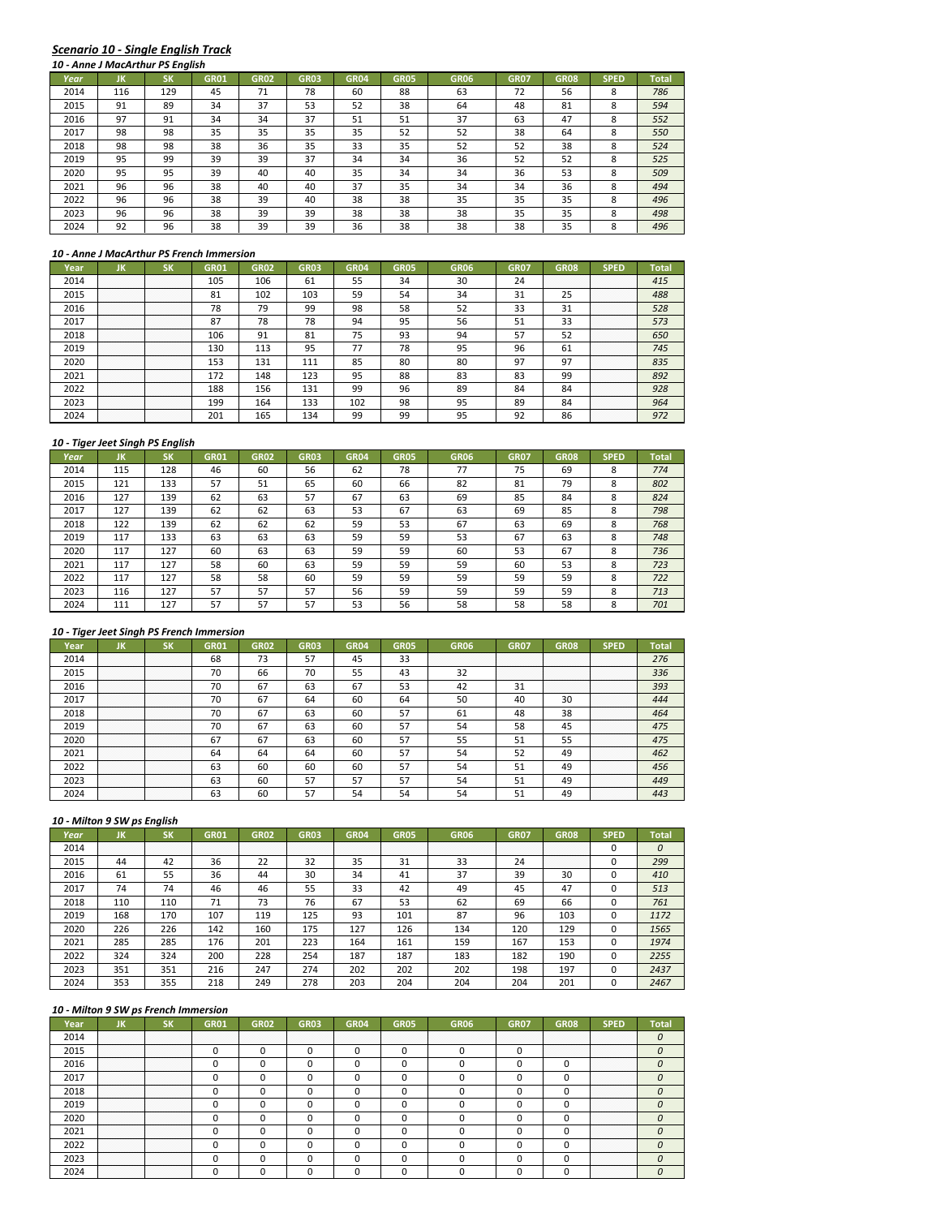# *Scenario 10 ‐ Single English Track*

|      |     | 10 - Anne J MacArthur PS English |             |             |             |             |             |             |             |             |             |              |
|------|-----|----------------------------------|-------------|-------------|-------------|-------------|-------------|-------------|-------------|-------------|-------------|--------------|
| Year | ЛΚ  | SK                               | <b>GR01</b> | <b>GR02</b> | <b>GR03</b> | <b>GR04</b> | <b>GR05</b> | <b>GR06</b> | <b>GR07</b> | <b>GR08</b> | <b>SPED</b> | <b>Total</b> |
| 2014 | 116 | 129                              | 45          | 71          | 78          | 60          | 88          | 63          | 72          | 56          | 8           | 786          |
| 2015 | 91  | 89                               | 34          | 37          | 53          | 52          | 38          | 64          | 48          | 81          | 8           | 594          |
| 2016 | 97  | 91                               | 34          | 34          | 37          | 51          | 51          | 37          | 63          | 47          | 8           | 552          |
| 2017 | 98  | 98                               | 35          | 35          | 35          | 35          | 52          | 52          | 38          | 64          | 8           | 550          |
| 2018 | 98  | 98                               | 38          | 36          | 35          | 33          | 35          | 52          | 52          | 38          | 8           | 524          |
| 2019 | 95  | 99                               | 39          | 39          | 37          | 34          | 34          | 36          | 52          | 52          | 8           | 525          |
| 2020 | 95  | 95                               | 39          | 40          | 40          | 35          | 34          | 34          | 36          | 53          | 8           | 509          |
| 2021 | 96  | 96                               | 38          | 40          | 40          | 37          | 35          | 34          | 34          | 36          | 8           | 494          |
| 2022 | 96  | 96                               | 38          | 39          | 40          | 38          | 38          | 35          | 35          | 35          | 8           | 496          |
| 2023 | 96  | 96                               | 38          | 39          | 39          | 38          | 38          | 38          | 35          | 35          | 8           | 498          |
| 2024 | 92  | 96                               | 38          | 39          | 39          | 36          | 38          | 38          | 38          | 35          | 8           | 496          |

#### *10 ‐ Anne J MacArthur PS French Immersion*

| Year |                            |                       | GR01 | GR02 | GR03 | GR <sub>04</sub> | GR05 | GR06 | GR07 | GR08             | SPED                       | Total |
|------|----------------------------|-----------------------|------|------|------|------------------|------|------|------|------------------|----------------------------|-------|
| 2014 | .<br>.                     | .<br>.                | 105  | 106  | 61   | 55               | 34   | 30   | 24   | .<br>.<br>.<br>. | .<br>.<br>.<br>.           | 415   |
| 2015 | .<br>.<br>.                | .<br>.<br>.           | 81   | 102  | 103  | 59               | 54   | 34   | 31   | n r<br>25        | .<br>.<br>.<br>.<br>.      | 488   |
| 2016 | .<br>.<br>.<br>.<br>.      | .<br>.<br>.<br>.<br>. | 78   | 79   | 99   | 98               | 58   | 52   | 33   | 31               | .<br>.<br>.<br>.<br>.      | 528   |
| 2017 | .<br>.<br>.                | .<br>.<br>.           | 87   | 78   | 78   | 94               | 95   | 56   | 51   | 33               | .<br>.<br>.<br>.<br>.      | 573   |
| 2018 | .<br>.<br>.                | .<br>.<br>.           | 106  | 91   | 81   | 75               | 93   | 94   | 57   | 52               | .<br>.<br>.<br>.<br>.      | 650   |
| 2019 | .<br>.<br>.                | .<br>.<br>.           | 130  | 113  | 95   |                  | 78   | 95   | 96   | 61               | .<br>.<br>.<br>.<br>.      | 745   |
| 2020 | .<br>.<br>.<br>.<br>.<br>. | .<br>.<br>.<br>.<br>. | 153  | 131  |      | 85               | 80   | 80   | 97   | 97               | .<br>.<br>.<br>.<br>.<br>. | 835   |
| 2021 | <br>.<br>.<br>.<br>.       | <br>.<br>.<br>.<br>.  | 172  | 148  | 123  | 95               | 88   | 83   | 83   | 99               | <br>.<br>.<br>.<br>.       | 892   |
| 2022 | .<br>.<br>.<br>.           | .<br>.<br>.<br>.      | 188  | 156  | 131  | 99               | 96   | 8S   | 84   | 84               | .<br>.<br>.<br>.<br>.      | 928   |
| 2023 | .<br>.<br>.<br>.<br>.      | .<br>.<br>.<br>.<br>. | 199  | 164  | 133  | 102              | 98   | 95   | 89   | 84               | .<br>.<br>.<br>.<br>.      | 964   |
|      | .<br>.<br>.<br>.           | .<br>.<br>.<br>.      | 201  | '65  |      | ۵Q               | 99   |      | ۵ĩ   | ິ                | .<br>.<br>.<br>.<br>.      |       |

#### *10 ‐ Tiger Jeet Singh PS English*

|      |     | 10 - Tiger Jeet Singh PS Engilsh |             |             |             |             |             |      |             |             |             |              |
|------|-----|----------------------------------|-------------|-------------|-------------|-------------|-------------|------|-------------|-------------|-------------|--------------|
| Year | JK  | <b>SK</b>                        | <b>GR01</b> | <b>GR02</b> | <b>GR03</b> | <b>GR04</b> | <b>GR05</b> | GR06 | <b>GR07</b> | <b>GR08</b> | <b>SPED</b> | <b>Total</b> |
| 2014 | 115 | 128                              | 46          | 60          | 56          | 62          | 78          | 77   | 75          | 69          | 8           | 774          |
| 2015 | 121 | 133                              | 57          | 51          | 65          | 60          | 66          | 82   | 81          | 79          | 8           | 802          |
| 2016 | 127 | 139                              | 62          | 63          | 57          | 67          | 63          | 69   | 85          | 84          | 8           | 824          |
| 2017 | 127 | 139                              | 62          | 62          | 63          | 53          | 67          | 63   | 69          | 85          | 8           | 798          |
| 2018 | 122 | 139                              | 62          | 62          | 62          | 59          | 53          | 67   | 63          | 69          | 8           | 768          |
| 2019 | 117 | 133                              | 63          | 63          | 63          | 59          | 59          | 53   | 67          | 63          | 8           | 748          |
| 2020 | 117 | 127                              | 60          | 63          | 63          | 59          | 59          | 60   | 53          | 67          | 8           | 736          |
| 2021 | 117 | 127                              | 58          | 60          | 63          | 59          | 59          | 59   | 60          | 53          | 8           | 723          |
| 2022 | 117 | 127                              | 58          | 58          | 60          | 59          | 59          | 59   | 59          | 59          | 8           | 722          |
| 2023 | 116 | 127                              | 57          | 57          | 57          | 56          | 59          | 59   | 59          | 59          | 8           | 713          |
| 2024 | 111 | 127                              | 57          | 57          | 57          | 53          | 56          | 58   | 58          | 58          | 8           | 701          |

## *10 ‐ Tiger Jeet Singh PS French Immersion*

| ⁄ear |                            |                                                                                                                           | GR01 | GR02      |    |    | GR05 | GR06 | GR07             | GR08                  | SPED                      |     |
|------|----------------------------|---------------------------------------------------------------------------------------------------------------------------|------|-----------|----|----|------|------|------------------|-----------------------|---------------------------|-----|
| 2014 | .<br>.                     | .<br>.                                                                                                                    | 68   | כי<br>כ ו | 57 |    | 33   |      | .<br>.<br>.      | .<br>.<br>.           | .<br>.<br>.               | 276 |
| 2015 | .<br>.<br>.<br>.           | .<br>.<br>.<br>.                                                                                                          | 70   | 66        | 70 | 55 |      | 52   | .<br>.<br>.<br>. | .<br>.<br>.<br>.      | .<br>.<br>.<br>.<br>.     | 336 |
| 2016 | .<br>.                     | .<br>.                                                                                                                    | 70   | ь.        | 63 | 67 | 53   |      | 31               | .<br>.<br>.<br>.<br>. | .<br>.<br>.<br>.<br>.     | 393 |
| 2017 | .                          | .                                                                                                                         | 70   | 6         | 64 | 60 | 64   |      | 40               | 30                    | .<br>.<br>.<br>.<br>.     | 444 |
| 2018 | .<br>.<br>.                | .<br>.<br>.                                                                                                               | 70   | 67        | 63 | 60 | 57   | 61   | 48               | 38                    | .<br>.<br>.<br>.<br>.     | 464 |
| 2019 | .<br>.                     | .<br>.<br>the contract of the contract of the contract of the contract of the contract of the contract of the contract of | 70   | 67        | 63 | 60 | 57   |      | 58               | 45                    | .<br>.<br>.<br>.<br>.     |     |
| 2020 | .<br>.<br>.<br>.<br>.<br>. | <br>.<br>.<br>.<br>.                                                                                                      | 67   | 67        | 63 | 60 | 57   |      | 51               |                       | <br>.<br>.<br>.<br>.<br>. |     |
| 2021 | <br>.<br>.<br>.            | .<br>.<br>.                                                                                                               | 64   | 64        | 64 | 60 | 57   |      | 52               | 49                    | <br>.<br>.<br>.<br>.      | 462 |
| 2022 | .<br>.                     | .<br>.                                                                                                                    | 63   | 60        | 60 | 60 | 57   |      | 51               | 49                    | .<br>.<br>.<br>.<br>.     | 456 |
| 2023 | .                          | .                                                                                                                         | 63   | 60        |    | 57 | 57   |      | 51               | 49                    | .<br>.<br>.<br>.<br>.     | 449 |
|      | .<br>.                     | .<br>.                                                                                                                    |      |           |    |    |      |      |                  |                       | .<br>.<br>.<br>.<br>.     |     |

## *10 ‐ Milton 9 SW ps English*

| Year | JK  | SK  | GR01 | <b>GR02</b> | <b>GR03</b> | <b>GR04</b> | <b>GR05</b> | <b>GR06</b> | <b>GR07</b>      | <b>GR08</b>           | <b>SPED</b> | Total |
|------|-----|-----|------|-------------|-------------|-------------|-------------|-------------|------------------|-----------------------|-------------|-------|
| 2014 | .   | .   | .    | .           | .           | .           | .           |             | .<br>.<br>.<br>. | .<br>.<br>.           |             | 0     |
| 2015 | 44  | 42  | 36   | 22          | 32          | 35          | 31          | 33          | 24               | .<br>.<br>.<br>.<br>. |             | 299   |
| 2016 | 61  | 55  | 36   | 44          | 30          | 34          | 41          | 37          | 39               | 30                    |             | 410   |
| 2017 | 74  | 74  | 46   | 46          | 55          | 33          | 42          | 49          | 45               | 47                    |             | 513   |
| 2018 | 110 | 110 | 71   | 73          | 76          | 67          | 53          | 62          | 69               | 66                    |             | 761   |
| 2019 | 168 | 170 | 107  | 119         | 125         | 93          | 101         | 87          | 96               | 103                   |             | 1172  |
| 2020 | 226 | 226 | 142  | 160         | 175         | 127         | 126         | 134         | 120              | 129                   |             | 1565  |
| 2021 | 285 | 285 | 176  | 201         | 223         | 164         | 161         | 159         | 167              | 153                   |             | 1974  |
| 2022 | 324 | 324 | 200  | 228         | 254         | 187         | 187         | 183         | 182              | 190                   |             | 2255  |
| 2023 | 351 | 351 | 216  | 247         | 274         | 202         | 202         | 202         | 198              | 197                   |             | 2437  |
| 2024 | 353 | 355 | 218  | 249         | 278         | 203         | 204         | 204         | 204              | 201                   |             | 2467  |

| 2014 |             |                                                                                                                     |  |  |  |  |                       |  |
|------|-------------|---------------------------------------------------------------------------------------------------------------------|--|--|--|--|-----------------------|--|
| 2015 |             |                                                                                                                     |  |  |  |  |                       |  |
| 2016 |             |                                                                                                                     |  |  |  |  | .<br>.<br>.<br>.<br>. |  |
| 2017 | .           | .                                                                                                                   |  |  |  |  | .<br>.<br>.<br>.<br>. |  |
| 2018 |             |                                                                                                                     |  |  |  |  | .<br>.<br>.<br>.<br>. |  |
| 2019 |             |                                                                                                                     |  |  |  |  | .<br>.<br>.<br>.<br>. |  |
| 2020 |             | <br>the contract of the contract of the contract of the contract of the contract of the contract of the contract of |  |  |  |  | .<br>.<br>.<br>.<br>. |  |
| 2021 | <br>.<br>.  | <br>.<br>.                                                                                                          |  |  |  |  | .<br>.<br>.<br>.<br>. |  |
| 2022 | .<br>.<br>. | .<br>.<br>.                                                                                                         |  |  |  |  | .<br>.<br>.<br>.<br>. |  |
| 2023 | .<br>.      | .<br>.                                                                                                              |  |  |  |  | .<br>.<br>.<br>.<br>. |  |
|      |             |                                                                                                                     |  |  |  |  | .<br>.<br>.<br>.<br>. |  |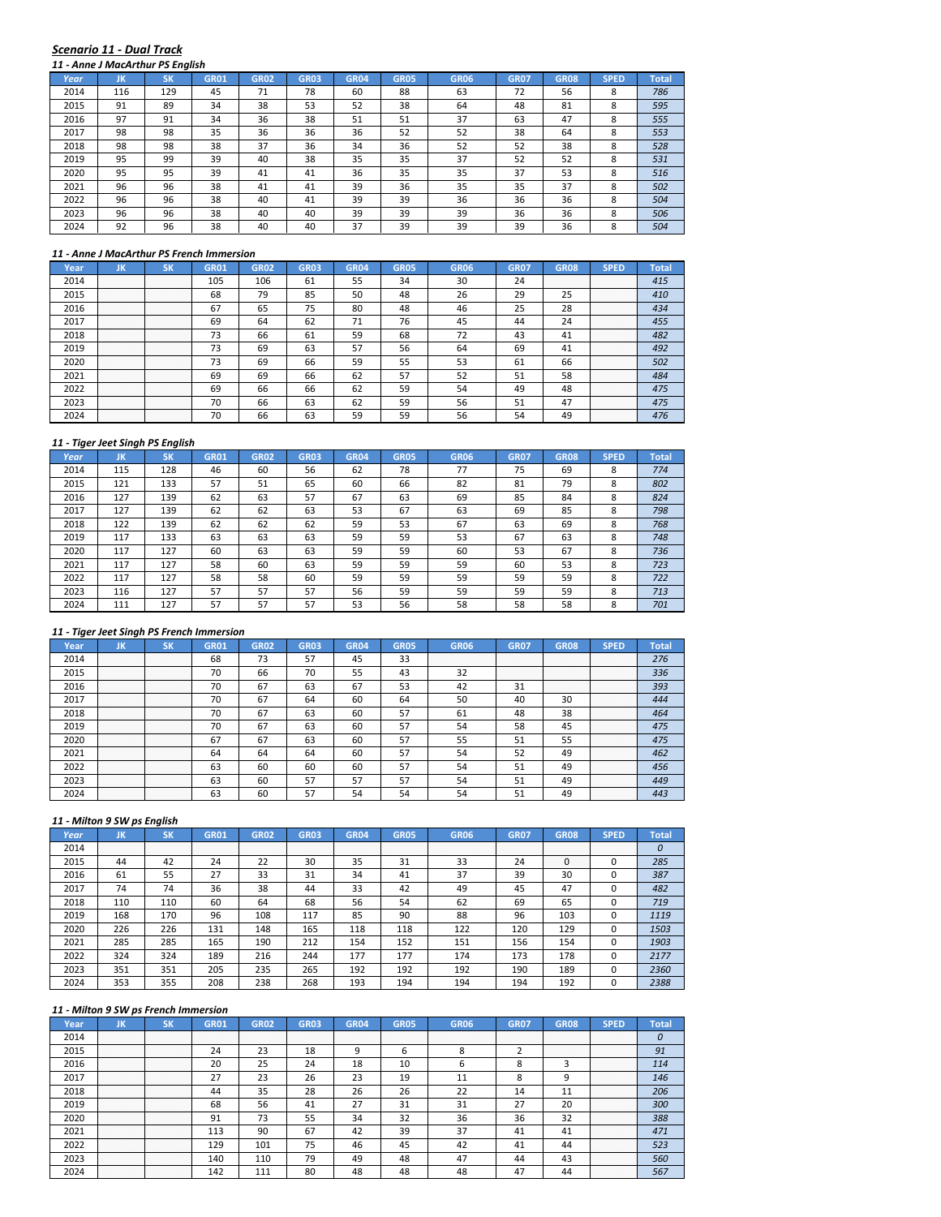#### *Scenario 11 ‐ Dual Track 11 ‐ Anne J MacArthur PS English*

|      | , <sub></sub> |           |             |             |             |             |             |             |             |             |             |              |
|------|---------------|-----------|-------------|-------------|-------------|-------------|-------------|-------------|-------------|-------------|-------------|--------------|
| Year | JK            | <b>SK</b> | <b>GR01</b> | <b>GR02</b> | <b>GR03</b> | <b>GR04</b> | <b>GR05</b> | <b>GR06</b> | <b>GR07</b> | <b>GR08</b> | <b>SPED</b> | <b>Total</b> |
| 2014 | 116           | 129       | 45          | 71          | 78          | 60          | 88          | 63          | 72          | 56          | 8           | 786          |
| 2015 | 91            | 89        | 34          | 38          | 53          | 52          | 38          | 64          | 48          | 81          | 8           | 595          |
| 2016 | 97            | 91        | 34          | 36          | 38          | 51          | 51          | 37          | 63          | 47          | 8           | 555          |
| 2017 | 98            | 98        | 35          | 36          | 36          | 36          | 52          | 52          | 38          | 64          | 8           | 553          |
| 2018 | 98            | 98        | 38          | 37          | 36          | 34          | 36          | 52          | 52          | 38          | 8           | 528          |
| 2019 | 95            | 99        | 39          | 40          | 38          | 35          | 35          | 37          | 52          | 52          | 8           | 531          |
| 2020 | 95            | 95        | 39          | 41          | 41          | 36          | 35          | 35          | 37          | 53          | 8           | 516          |
| 2021 | 96            | 96        | 38          | 41          | 41          | 39          | 36          | 35          | 35          | 37          | 8           | 502          |
| 2022 | 96            | 96        | 38          | 40          | 41          | 39          | 39          | 36          | 36          | 36          | 8           | 504          |
| 2023 | 96            | 96        | 38          | 40          | 40          | 39          | 39          | 39          | 36          | 36          | 8           | 506          |
| 2024 | 92            | 96        | 38          | 40          | 40          | 37          | 39          | 39          | 39          | 36          | 8           | 504          |

#### *11 ‐ Anne J MacArthur PS French Immersion*

| Year | ЛN                                 | טופ                   | GR01 | GR02 | GR03 | GR04 | GR05 | GR06 | GR07 | <b>GR08</b>      | SPED                       | Total |
|------|------------------------------------|-----------------------|------|------|------|------|------|------|------|------------------|----------------------------|-------|
| 2014 | .<br>.<br>.<br>.                   | .<br>.<br>.<br>.      | 105  | 106  | ы    | 55   | 34   | 30   | 24   | .<br>.<br>.<br>. | .<br>.<br>.<br>.           |       |
| 2015 | <br>.<br>.<br>.<br>.               | .<br>.<br>.<br>.<br>. | 68   | 79   | 85   | 50   | 48   |      | 29   | חר               | .<br>.<br>.<br>.<br>.      | 410   |
| 2016 | .<br>.<br>.<br>.                   | .<br>.<br>.<br>.      | 67   | 65   | 75   | 80   | 48   |      | 25   | 28               | .<br>.<br>.<br>.<br>.      |       |
| 2017 | .<br>.<br>.<br>.<br>.              | .<br>.<br>.<br>.<br>. | 69   | 64   | 62   | 71   | 76   |      | 44   | 24               | .<br>.<br>.<br>.<br>.      |       |
| 2018 | .<br>.<br>.<br>.<br>.              | .<br>.<br>.<br>.<br>. | 73   | 66   | 61   | 59   | 68   |      | 43   | 41               | .<br>.<br>.<br>.<br>.      |       |
| 2019 | .<br>.<br>.<br>.<br>.              | .<br>.<br>.<br>.<br>. | 73   | 69   | 63   | 57   | 56   | 64   | 69   | 41               | .<br>.<br>.<br>.<br>.      |       |
| 2020 | .<br>.<br>.<br>.<br>.              | <br>.<br>.<br>.<br>.  | 73   | 69   | 66   | 59   | 55   | 53   | 61   | 66               | .<br>.<br>.<br>.<br>.<br>. | 502   |
| 2021 | <br>.<br>.<br>.<br>.               | <br>.<br>.<br>.<br>.  | 69   | 69   | 66   | 62   | 57   |      | 51   | 58               | .<br>.<br>.<br>.<br>.      | 484   |
| 2022 | . <del>.</del><br>.<br>.<br>.<br>. | <br>.<br>.<br>.<br>.  | 69   | 66   | 66   | 62   | 59   |      | 49   | 48               | .<br>.<br>.<br>.<br>.      | 475   |
| 2023 | .<br>.<br>.<br>.<br>.              | .<br>.<br>.<br>.<br>. | 70   | 66   | 63   | 62   | 59   | 56   | 51   | 47               | .<br>.<br>.<br>.<br>.      | 475   |
|      | .<br>.<br>.<br>.<br>.              | .<br>.<br>.<br>.<br>. | 70   | hh   |      | 50   | 59   |      |      |                  | .<br>.<br>.<br>.<br>.      | 476   |

#### *11 ‐ Tiger Jeet Singh PS English*

|      |     | 11 - Tiger Jeet Singh PS Engilsh |             |             |             |             |             |             |             |             |             |              |
|------|-----|----------------------------------|-------------|-------------|-------------|-------------|-------------|-------------|-------------|-------------|-------------|--------------|
| Year | JK  | <b>SK</b>                        | <b>GR01</b> | <b>GR02</b> | <b>GR03</b> | <b>GR04</b> | <b>GR05</b> | <b>GR06</b> | <b>GR07</b> | <b>GR08</b> | <b>SPED</b> | <b>Total</b> |
| 2014 | 115 | 128                              | 46          | 60          | 56          | 62          | 78          | 77          | 75          | 69          | 8           | 774          |
| 2015 | 121 | 133                              | 57          | 51          | 65          | 60          | 66          | 82          | 81          | 79          | 8           | 802          |
| 2016 | 127 | 139                              | 62          | 63          | 57          | 67          | 63          | 69          | 85          | 84          | 8           | 824          |
| 2017 | 127 | 139                              | 62          | 62          | 63          | 53          | 67          | 63          | 69          | 85          | 8           | 798          |
| 2018 | 122 | 139                              | 62          | 62          | 62          | 59          | 53          | 67          | 63          | 69          | 8           | 768          |
| 2019 | 117 | 133                              | 63          | 63          | 63          | 59          | 59          | 53          | 67          | 63          | 8           | 748          |
| 2020 | 117 | 127                              | 60          | 63          | 63          | 59          | 59          | 60          | 53          | 67          | 8           | 736          |
| 2021 | 117 | 127                              | 58          | 60          | 63          | 59          | 59          | 59          | 60          | 53          | 8           | 723          |
| 2022 | 117 | 127                              | 58          | 58          | 60          | 59          | 59          | 59          | 59          | 59          | 8           | 722          |
| 2023 | 116 | 127                              | 57          | 57          | 57          | 56          | 59          | 59          | 59          | 59          | 8           | 713          |
| 2024 | 111 | 127                              | 57          | 57          | 57          | 53          | 56          | 58          | 58          | 58          | 8           | 701          |

## *11 ‐ Tiger Jeet Singh PS French Immersion*

| Year | uв               |                  | GR01 | GR02 | GRO3 |    | GR05 | GR06 | GR07             | GR08                  |                            |     |
|------|------------------|------------------|------|------|------|----|------|------|------------------|-----------------------|----------------------------|-----|
| 2014 | .                | .                | 68   | כ. ז |      |    | 33   |      | .<br>.           | .<br>.                | .<br>.<br>.<br>.           | 276 |
| 2015 | .<br>.<br>.      | .<br>.           | 70   | bh   | 70   | 55 | 43   |      | .<br>.<br>.<br>. | .<br>.<br>.<br>.      | .<br>.<br>.<br>.<br>.      | 336 |
| 2016 | .                | .                | 70   | ь.   | 63   | 67 | 53   |      | 31               | .<br>.<br>.<br>.<br>. | .<br>.<br>.<br>.<br>.      | 393 |
| 2017 | .<br>.<br>.<br>. | .<br>.<br>.<br>. | 70   | ь.   | 64   | 60 | 64   | 50   | 40               | 30                    | .<br>.<br>.<br>.<br>.      | 444 |
| 2018 | .<br>.<br>.      | .<br>.<br>.      |      | 67   | 63   | 60 | 57   | -61  | 48               | 38                    | .<br>.<br>.<br>.<br>.      | 464 |
| 2019 | .                | .                | 70   | ь.   | 63   | 60 | 57   |      | 58               | 45                    | .<br>.<br>.<br>.           |     |
| 2020 | .<br>.<br>.<br>. | .<br>.<br>.<br>. | 67   | 67   | 63   | 60 | 57   |      | 51               |                       | .<br>.<br>.<br>.<br>.<br>. |     |
| 2021 | <br>.<br>.       | .<br>.<br>.      | 64   | 64   | 64   | 60 | 57   |      | 52               | 49                    | .<br>.<br>.<br>.<br>.      | 462 |
| 2022 | <br>.<br>.       | .<br>.<br>.      | 63   | 60   | 60   | 60 | 57   |      | 51               | 49                    | .<br>.<br>.<br>.<br>.      | 456 |
| 2023 |                  |                  | 63   | 60   |      |    | 57   |      |                  | 49                    | .<br>.<br>.<br>.<br>.      | 449 |
|      | .                | .                | 63   |      |      |    |      |      |                  |                       | .<br>.<br>.<br>.<br>.      |     |

## *11 ‐ Milton 9 SW ps English*

| Year | JK               | C1<br>эκ         | GR01        | GR <sub>02</sub> | <b>GR03</b> | <b>GR04</b>      | <b>GR05</b>      | <b>GR06</b> | GR07             | <b>GR08</b>       | <b>SPED</b> | Total |
|------|------------------|------------------|-------------|------------------|-------------|------------------|------------------|-------------|------------------|-------------------|-------------|-------|
| 2014 | .<br>.<br>.<br>. | .<br>.<br>.<br>. | .<br>.<br>. | .<br>.<br>.      | .<br>.<br>. | .<br>.<br>.<br>. | .<br>.<br>.<br>. |             | .<br>.<br>.<br>. | .<br>.<br>.<br>.  | .<br>.<br>. |       |
| 2015 | 44               | 42               | 24          | 22               | 30          | 35               | 31               | 33          | 24               | .<br>$\mathbf{0}$ |             | 285   |
| 2016 | 61               | 55               | 27          | 33               | 31          | 34               | 41               | 37          | 39               | 30                |             | 387   |
| 2017 | 74               | 74               | 36          | 38               | 44          | 33               | 42               | 49          | 45               | 47                |             | 482   |
| 2018 | 110              | 110              | 60          | 64               | 68          | 56               | 54               | 62          | 69               | 65                |             | 719   |
| 2019 | 168              | 170              | 96          | 108              | 117         | 85               | 90               | 88          | 96               | 103               |             | 1119  |
| 2020 | 226              | 226              | 131         | 148              | 165         | 118              | 118              | 122         | 120              | 129               |             | 1503  |
| 2021 | 285              | 285              | 165         | 190              | 212         | 154              | 152              | 151         | 156              | 154               |             | 1903  |
| 2022 | 324              | 324              | 189         | 216              | 244         | 177              | 177              | 174         | 173              | 178               |             | 2177  |
| 2023 | 351              | 351              | 205         | 235              | 265         | 192              | 192              | 192         | 190              | 189               |             | 2360  |
| 2024 | 353              | 355              | 208         | 238              | 268         | 193              | 194              | 194         | 194              | 192               |             | 2388  |

| Year |                  |                  |     |     | GR03     |    |    | GR06 | GRO. |        |                       |     |
|------|------------------|------------------|-----|-----|----------|----|----|------|------|--------|-----------------------|-----|
| 2014 |                  |                  |     |     |          |    |    |      | .    |        | .                     |     |
| 2015 |                  |                  | 24  |     | ıο       |    |    |      |      | .<br>. | .<br>.                |     |
| 2016 | .<br>.<br>.      | .<br>.<br>.      | 20  |     | 24       | 18 | 10 |      |      |        | .<br>.<br>.<br>.<br>. |     |
|      | .<br>.           | .<br>.           |     | 23  |          | າາ | 10 |      |      |        | .<br>.<br>.<br>.<br>. |     |
| 2018 | .<br>.           | .<br>.           |     | 35  | າດ<br>۷õ | 26 | 26 |      | 14   |        | .<br>.<br>.<br>.<br>. | 206 |
| 2019 | .<br>.           | .<br>.           | 68  | 56  |          |    |    |      | າສ   |        | .<br>.<br>.<br>.<br>. | 300 |
| 2020 | .                |                  | 91  | 73  |          |    | 32 | 36   | 36   |        | <br>.<br>.<br>.<br>.  | 388 |
| 2021 | <br>.            | <br>.            | 113 | 90  |          | 42 | 39 |      |      |        | <br>.<br>.<br>.<br>.  |     |
| 2022 | .                | .                | 129 | 101 |          | 46 | 45 |      |      |        | .<br>.<br>.<br>.<br>. |     |
| 2023 | .<br>.<br>.<br>. | .<br>.<br>.<br>. | 140 | 110 |          |    | 48 |      |      |        | .<br>.<br>.<br>.<br>. | 560 |
|      |                  |                  | 142 |     |          |    |    |      |      |        | .<br>.<br>.<br>.<br>. |     |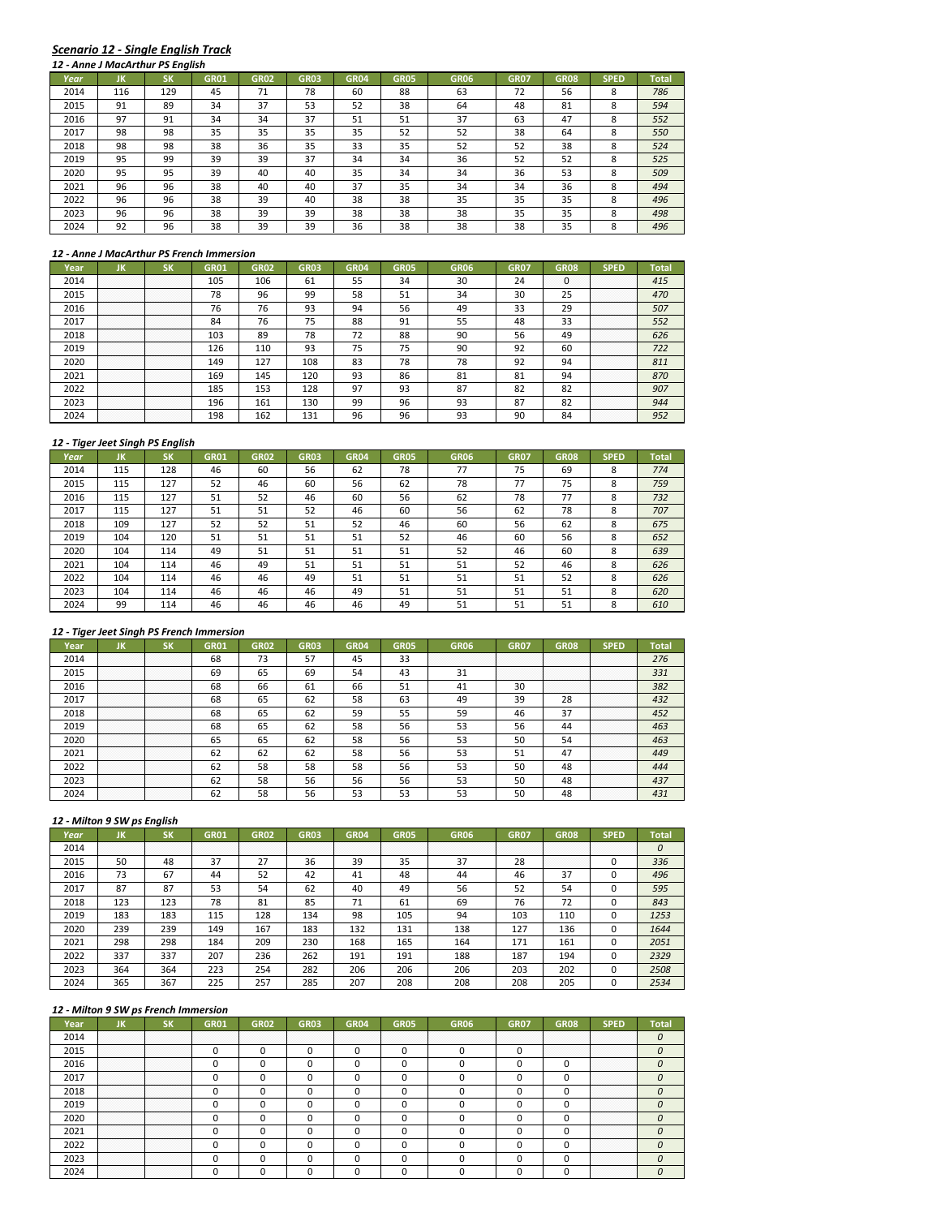## *Scenario 12 ‐ Single English Track*

|      |     | 12 - Anne J MacArthur PS English |             |             |             |             |             |             |             |      |             |              |
|------|-----|----------------------------------|-------------|-------------|-------------|-------------|-------------|-------------|-------------|------|-------------|--------------|
| Year | JK  | <b>SK</b>                        | <b>GR01</b> | <b>GR02</b> | <b>GR03</b> | <b>GR04</b> | <b>GR05</b> | <b>GR06</b> | <b>GR07</b> | GR08 | <b>SPED</b> | <b>Total</b> |
| 2014 | 116 | 129                              | 45          | 71          | 78          | 60          | 88          | 63          | 72          | 56   | 8           | 786          |
| 2015 | 91  | 89                               | 34          | 37          | 53          | 52          | 38          | 64          | 48          | 81   | 8           | 594          |
| 2016 | 97  | 91                               | 34          | 34          | 37          | 51          | 51          | 37          | 63          | 47   | 8           | 552          |
| 2017 | 98  | 98                               | 35          | 35          | 35          | 35          | 52          | 52          | 38          | 64   | 8           | 550          |
| 2018 | 98  | 98                               | 38          | 36          | 35          | 33          | 35          | 52          | 52          | 38   | 8           | 524          |
| 2019 | 95  | 99                               | 39          | 39          | 37          | 34          | 34          | 36          | 52          | 52   | 8           | 525          |
| 2020 | 95  | 95                               | 39          | 40          | 40          | 35          | 34          | 34          | 36          | 53   | 8           | 509          |
| 2021 | 96  | 96                               | 38          | 40          | 40          | 37          | 35          | 34          | 34          | 36   | 8           | 494          |
| 2022 | 96  | 96                               | 38          | 39          | 40          | 38          | 38          | 35          | 35          | 35   | 8           | 496          |
| 2023 | 96  | 96                               | 38          | 39          | 39          | 38          | 38          | 38          | 35          | 35   | 8           | 498          |
| 2024 | 92  | 96                               | 38          | 39          | 39          | 36          | 38          | 38          | 38          | 35   | 8           | 496          |

#### *12 ‐ Anne J MacArthur PS French Immersion*

| rear) |                            |                       | GR01 | GR02 | GR03            | GR <sub>04</sub> | GR05 | GR06             | GR07                 | GRO8                                     | SPED                       | Total |
|-------|----------------------------|-----------------------|------|------|-----------------|------------------|------|------------------|----------------------|------------------------------------------|----------------------------|-------|
| 2014  | .<br>.                     | .<br>.                | 105  | 106  | 61              | 55               | 34   | 30               | 24                   | .<br>. <b>.</b><br>.<br>. <del>. .</del> | .<br>.<br>.<br>.           | 415   |
| 2015  | .<br>.<br>.                | .<br>.<br>.           | 78   | 96   | 99              | 58               | 51   | 34               | 30                   | n m<br>25                                | .<br>.<br>.<br>.<br>.      | 470   |
| 2016  | .<br>.<br>.<br>.<br>.      | .<br>.<br>.<br>.<br>. | 76   | 76   | 93              | 94               | 56   |                  | 33                   | 29                                       | .<br>.<br>.<br>.<br>.      | 507   |
| 2017  | .<br>.<br>.                | .<br>.<br>.           | 84   | 76   | 75              | 88               | 91   | 55               | 48                   | 33                                       | .<br>.<br>.<br>.<br>.      | 552   |
| 2018  | .<br>.<br>.                | .<br>.<br>.           | 103  | 89   | 78              | 72               | 88   | 90               | 56                   | 49                                       | .<br>.<br>.<br>.<br>.      | 626   |
| 2019  | .<br>.<br>.                | .<br>.<br>.           | 126  | 110  | 93              | 75               | 75   | 90               | 92                   | 60                                       | .<br>.<br>.<br>.<br>.      | 722   |
| 2020  | .<br>.<br>.<br>.<br>.<br>. | .<br>.<br>.<br>.<br>. | 149  | 127  | 108             | 83               | 78   | 78               | 92                   | 94                                       | .<br>.<br>.<br>.<br>.<br>. | 811   |
| 2021  | <br>.<br>.<br>.<br>.       | <br>.<br>.<br>.<br>.  | 169  | 145  | 12 <sub>C</sub> | 93               | 86   | $^{\circ}$<br>81 | 81                   |                                          | <br>.<br>.<br>.<br>.       | 870   |
| 2022  | .<br>.<br>.<br>.           | .<br>.<br>.<br>.      | 185  | 153  | 128             | 97               | 93   | 87               | 82                   | $\circ$<br>84                            | .<br>.<br>.<br>.<br>.      | 907   |
| 2023  | .<br>.<br>.<br>.<br>.      | .<br>.<br>.<br>.<br>. | 196  | 161  | 130             | 99               | 96   | 93               | O <sub>7</sub><br>87 | $\circ$<br>ΩZ                            | .<br>.<br>.<br>.<br>.      | 944   |
|       | .<br>.<br>.<br>.           | .<br>.<br>.<br>.      | 198  | 62   |                 |                  | 96   |                  | 90                   |                                          | .<br>.<br>.<br>.<br>.      |       |

#### *12 ‐ Tiger Jeet Singh PS English*

| Year | JK  | <b>SK</b> | <b>GR01</b> | <b>GR02</b> | <b>GR03</b> | <b>GR04</b> | <b>GR05</b> | <b>GR06</b> | <b>GR07</b> | <b>GR08</b> | <b>SPED</b> | <b>Total</b> |
|------|-----|-----------|-------------|-------------|-------------|-------------|-------------|-------------|-------------|-------------|-------------|--------------|
| 2014 | 115 | 128       | 46          | 60          | 56          | 62          | 78          | 77          | 75          | 69          | 8           | 774          |
| 2015 | 115 | 127       | 52          | 46          | 60          | 56          | 62          | 78          | 77          | 75          | 8           | 759          |
| 2016 | 115 | 127       | 51          | 52          | 46          | 60          | 56          | 62          | 78          | 77          | 8           | 732          |
| 2017 | 115 | 127       | 51          | 51          | 52          | 46          | 60          | 56          | 62          | 78          | 8           | 707          |
| 2018 | 109 | 127       | 52          | 52          | 51          | 52          | 46          | 60          | 56          | 62          | 8           | 675          |
| 2019 | 104 | 120       | 51          | 51          | 51          | 51          | 52          | 46          | 60          | 56          | 8           | 652          |
| 2020 | 104 | 114       | 49          | 51          | 51          | 51          | 51          | 52          | 46          | 60          | 8           | 639          |
| 2021 | 104 | 114       | 46          | 49          | 51          | 51          | 51          | 51          | 52          | 46          | 8           | 626          |
| 2022 | 104 | 114       | 46          | 46          | 49          | 51          | 51          | 51          | 51          | 52          | 8           | 626          |
| 2023 | 104 | 114       | 46          | 46          | 46          | 49          | 51          | 51          | 51          | 51          | 8           | 620          |
| 2024 | 99  | 114       | 46          | 46          | 46          | 46          | 49          | 51          | 51          | 51          | 8           | 610          |

## *12 ‐ Tiger Jeet Singh PS French Immersion*

|      | חו                    |                                                                                                                                | GR01 | GR02     | GRO3 |    | GR05 | GR06 | GR07                  | GR08                  | SPED                      |     |
|------|-----------------------|--------------------------------------------------------------------------------------------------------------------------------|------|----------|------|----|------|------|-----------------------|-----------------------|---------------------------|-----|
| 2014 | .                     | .                                                                                                                              | 68   | 72<br>75 |      | 45 | 33   |      | .<br>.<br>.<br>.      | .<br>.<br>.<br>.      | .<br>.<br>.<br>.          | 276 |
| 2015 | .<br>.<br>.<br>.<br>. | .<br>.<br>.<br>.                                                                                                               | 69   | 65       | 69   | 54 | 43   | 3 I  | .<br>.<br>.<br>.<br>. | .<br>.<br>.<br>.<br>. | .<br>.<br>.<br>.<br>.     | 331 |
| 2016 | <br>.<br>.<br>.       | <br>.<br>.<br>.                                                                                                                | 68   | 66       | 61   | 66 | 51   | 41   | 30                    | <br>.<br>.<br>.<br>.  | .<br>.<br>.<br>.<br>.     | 382 |
| 2017 | .                     | .                                                                                                                              | 68   |          | 62   | 58 | 63   | 49   | 39                    | 28                    | .<br>.<br>.<br>.<br>.     | 432 |
| 2018 | .<br>.<br>.           | .<br>.<br>.                                                                                                                    | 68   | 65       | 62   | 59 | 55   | 59   | 46                    | 37                    | .<br>.<br>.<br>.<br>.     | 452 |
| 2019 | .<br>.<br>.           | .<br>.<br>.<br>the contract of the contract of the contract of the contract of the contract of the contract of the contract of | 68   | 65       | 62   | 58 | 56   | 53   | 56                    | 44                    | .<br>.<br>.<br>.          | 463 |
| 2020 | <br>.<br>.<br>.       | .<br>.<br>.                                                                                                                    | 65   | 65       | 62   | 58 | 56   | 53   | 50                    | 54                    | <br>.<br>.<br>.<br>.<br>. |     |
| 2021 | <br>.<br>.<br>.       | .<br>.<br>.                                                                                                                    |      | 62       | 62   | 58 | 56   |      | 51                    |                       | .<br>.<br>.<br>.<br>.     | 449 |
| 2022 | .<br>.<br>.           | .<br>.<br>.                                                                                                                    | 62   | 58       | 58   | 58 | 56   | 53   | 50                    | 48                    | .<br>.<br>.<br>.<br>.     | 444 |
| 2023 | .<br>.<br>.<br>.      | .<br>.<br>.<br>.                                                                                                               | 62   | 58       | 56   | 56 | 56   |      | 50                    | 48                    | .<br>.<br>.<br>.<br>.     | 437 |
|      | .<br>.<br>.<br>.      | .<br>.<br>.<br>.                                                                                                               |      | 58       |      |    | ב ל  |      |                       |                       | .<br>.<br>.<br>.<br>.     |     |

# *12 ‐ Milton 9 SW ps English*

| Year | JK          | SΚ          | <b>GR01</b> | <b>GR02</b>      | <b>GR03</b> | <b>GR04</b> | <b>GR05</b> | <b>GR06</b> | <b>GR07</b> | <b>GR08</b>           | <b>SPED</b> | Total |
|------|-------------|-------------|-------------|------------------|-------------|-------------|-------------|-------------|-------------|-----------------------|-------------|-------|
| 2014 | .<br>.<br>. | .<br>.<br>. | .<br>.<br>. | .<br>.<br>.<br>. | .           | .           | .<br>.      |             |             | .<br>.<br>.<br>.      | .<br>.      |       |
| 2015 | 50          | 48          | 37          | 27               | 36          | 39          | 35          | 37          | 28          | .<br>.<br>.<br>.<br>. |             | 336   |
| 2016 | 73          | 67          | 44          | 52               | 42          | 41          | 48          | 44          | 46          | 37                    |             | 496   |
| 2017 | 87          | 87          | 53          | 54               | 62          | 40          | 49          | 56          | 52          | 54                    |             | 595   |
| 2018 | 123         | 123         | 78          | 81               | 85          | 71          | 61          | 69          | 76          | 72                    |             | 843   |
| 2019 | 183         | 183         | 115         | 128              | 134         | 98          | 105         | 94          | 103         | 110                   |             | 1253  |
| 2020 | 239         | 239         | 149         | 167              | 183         | 132         | 131         | 138         | 127         | 136                   |             | 1644  |
| 2021 | 298         | 298         | 184         | 209              | 230         | 168         | 165         | 164         | 171         | 161                   |             | 2051  |
| 2022 | 337         | 337         | 207         | 236              | 262         | 191         | 191         | 188         | 187         | 194                   |             | 2329  |
| 2023 | 364         | 364         | 223         | 254              | 282         | 206         | 206         | 206         | 203         | 202                   |             | 2508  |
| 2024 | 365         | 367         | 225         | 257              | 285         | 207         | 208         | 208         | 208         | 205                   |             | 2534  |

| 2014 |             |                                                                                      |  |  |  | . |   | .                     |  |
|------|-------------|--------------------------------------------------------------------------------------|--|--|--|---|---|-----------------------|--|
|      |             |                                                                                      |  |  |  |   | . | .                     |  |
| 2016 |             |                                                                                      |  |  |  |   |   | .<br>.<br>.<br>.<br>. |  |
|      | .           | .                                                                                    |  |  |  |   |   | .<br>.<br>.<br>.<br>. |  |
| 2018 | .           | .                                                                                    |  |  |  |   |   | .<br>.<br>.<br>.<br>. |  |
| 2019 | .           | .                                                                                    |  |  |  |   |   | .<br>.<br>.<br>.<br>. |  |
| 2020 | .           | .<br>the contract of the contract of the contract of the contract of the contract of |  |  |  |   |   | .<br>.<br>.<br>.<br>. |  |
|      | .<br>.<br>. | .<br>.<br>.                                                                          |  |  |  |   |   | <br>.<br>.<br>.<br>.  |  |
|      | .<br>.<br>. | .<br>.<br>.                                                                          |  |  |  |   |   | .<br>.<br>.<br>.<br>. |  |
|      | .<br>.<br>. | .<br>.<br>.                                                                          |  |  |  |   |   | .<br>.<br>.<br>.<br>. |  |
|      |             |                                                                                      |  |  |  |   |   | .<br>.<br>.<br>.<br>. |  |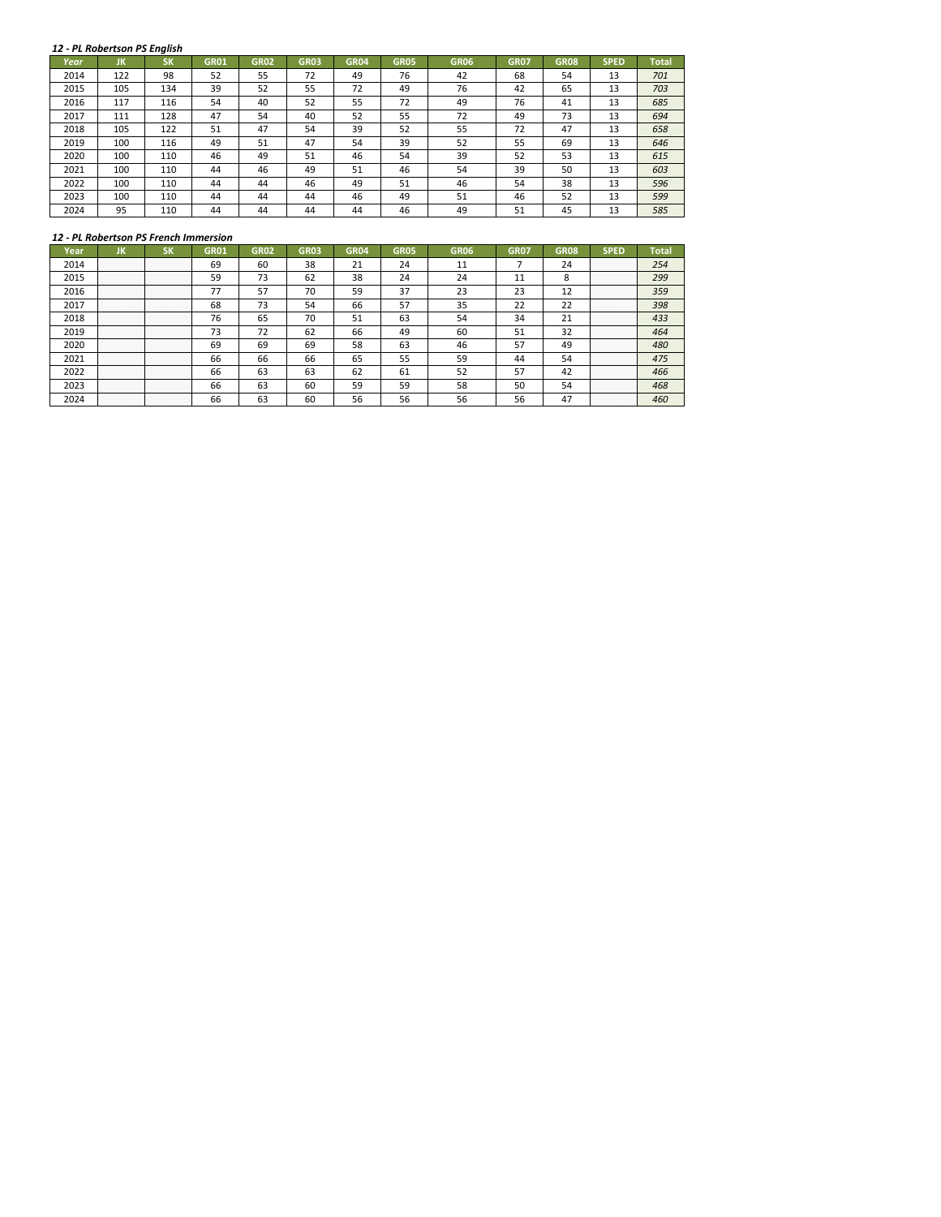#### *12 ‐ PL Robertson PS English*

|      | 12 - PL Robertson PS English |           |             |             |             |             |             |             |             |             |             |              |
|------|------------------------------|-----------|-------------|-------------|-------------|-------------|-------------|-------------|-------------|-------------|-------------|--------------|
| Year | JK                           | <b>SK</b> | <b>GR01</b> | <b>GR02</b> | <b>GR03</b> | <b>GR04</b> | <b>GR05</b> | <b>GR06</b> | <b>GR07</b> | <b>GR08</b> | <b>SPED</b> | <b>Total</b> |
| 2014 | 122                          | 98        | 52          | 55          | 72          | 49          | 76          | 42          | 68          | 54          | 13          | 701          |
| 2015 | 105                          | 134       | 39          | 52          | 55          | 72          | 49          | 76          | 42          | 65          | 13          | 703          |
| 2016 | 117                          | 116       | 54          | 40          | 52          | 55          | 72          | 49          | 76          | 41          | 13          | 685          |
| 2017 | 111                          | 128       | 47          | 54          | 40          | 52          | 55          | 72          | 49          | 73          | 13          | 694          |
| 2018 | 105                          | 122       | 51          | 47          | 54          | 39          | 52          | 55          | 72          | 47          | 13          | 658          |
| 2019 | 100                          | 116       | 49          | 51          | 47          | 54          | 39          | 52          | 55          | 69          | 13          | 646          |
| 2020 | 100                          | 110       | 46          | 49          | 51          | 46          | 54          | 39          | 52          | 53          | 13          | 615          |
| 2021 | 100                          | 110       | 44          | 46          | 49          | 51          | 46          | 54          | 39          | 50          | 13          | 603          |
| 2022 | 100                          | 110       | 44          | 44          | 46          | 49          | 51          | 46          | 54          | 38          | 13          | 596          |
| 2023 | 100                          | 110       | 44          | 44          | 44          | 46          | 49          | 51          | 46          | 52          | 13          | 599          |
| 2024 | 95                           | 110       | 44          | 44          | 44          | 44          | 46          | 49          | 51          | 45          | 13          | 585          |

## *12 ‐ PL Robertson PS French Immersion*

| Year |                            | אכ                    | GR01 | GR02 | GR03 | GR04 | GR05 | GR06 | GR07         | GR08 | SPED                  | Total |
|------|----------------------------|-----------------------|------|------|------|------|------|------|--------------|------|-----------------------|-------|
| 2014 | <br>.<br>.<br>.<br>.       | <br>.<br>.<br>.<br>.  | 69   |      | 38   |      | 24   |      |              |      | <br>.<br>.<br>.<br>.  | 254   |
| 2015 | . 1<br>. 1<br>.            | .<br>.<br>.           | 59   |      | 62   | 38   | 24   | 24   | $\sim$       |      | .<br>.<br>.<br>.<br>. | 299   |
| 2016 | .                          | .                     |      | 57   | 76   | 59   | 37   | 23   | ຳ<br>23      |      | .<br>.<br>.<br>.<br>. | 359   |
| 2017 | .<br>.<br>.<br>.<br>.      | .<br>.<br>.<br>.      | 68   | 75   | 54   | 66   | 57   | 35   | $\mathbf{a}$ | ר ר  | .<br>.<br>.<br>.<br>. | 398   |
| 2018 | <br>.<br>. 1<br>. 1<br>. 1 | .<br>.<br>.<br>.<br>. | 76   |      | 70   | 51   | 63   | 54   | 34           |      | <br>.<br>.<br>.<br>.  | 433   |
| 2019 | .                          | .                     | 73   |      | -62  | 66   | 49   | 60   | -51          | 32   | .<br>.<br>.<br>.<br>. | 464   |
| 2020 | .<br>. 1<br>.<br>.         | .<br>.<br>.<br>.<br>. | 69   | 69   | 69   | 58   | 63   | 46   | 57           | 49   | .<br>.<br>.<br>.<br>. | 480   |
| 2021 | .<br>.<br>.<br>.<br>.      | .<br>.<br>.<br>.<br>. | 66   | 66   | 66   | 65   | 55   | 59   |              |      | .<br>.<br>.<br>.<br>. | 475   |
| 2022 | . 1<br>. 1<br>.            | .<br>.<br>.<br>.      | bЬ   |      | 63   | 62   | ьı   | 52   | 57           |      | .<br>.<br>.<br>.<br>. | 466   |
| 2023 |                            | .                     | bb   | 63   | 60   | 59   | 59   | 58   | 50           |      | .<br>.<br>.<br>.<br>. | 468   |
|      | .<br>.<br>.<br>.           | .<br>.<br>.<br>.      | bb   | 63   | 60   | 56   |      |      | 56           | 4.   | .<br>.<br>.<br>.      |       |